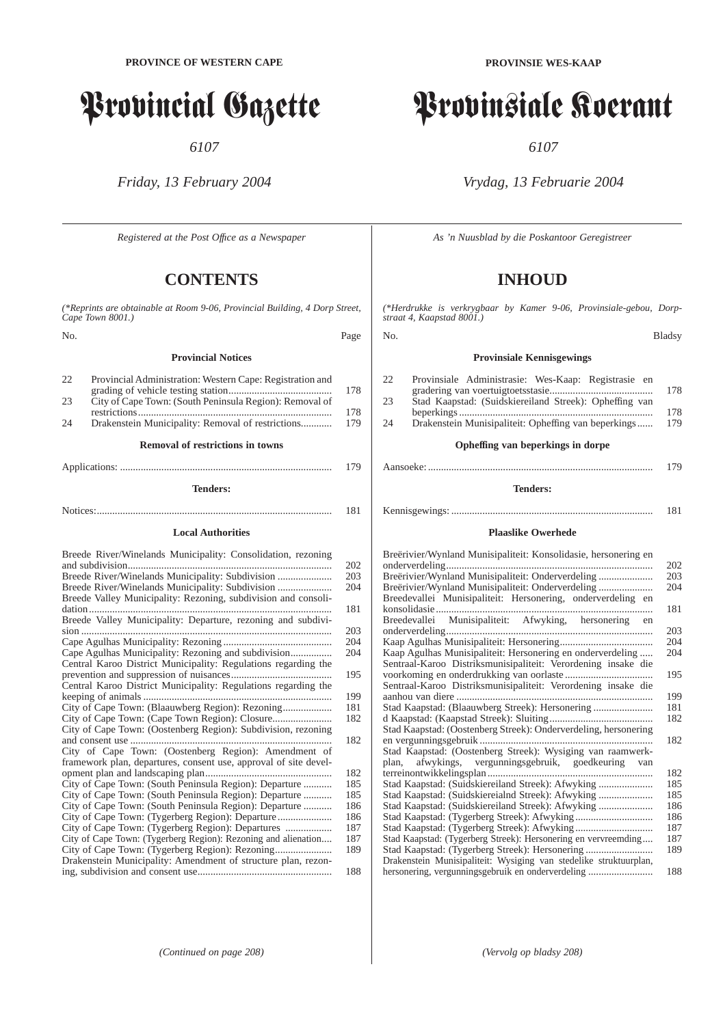# Provincial Gazette

*6107*

*Friday, 13 February 2004*

*Registered at the Post Offıce as a Newspaper*

## **CONTENTS**

*(\*Reprints are obtainable at Room 9-06, Provincial Building, 4 Dorp Street, Cape Town 8001.)*

No. Page

#### **Provincial Notices**

| 22. | Provincial Administration: Western Cape: Registration and |     |
|-----|-----------------------------------------------------------|-----|
|     |                                                           | 178 |
| 23  | City of Cape Town: (South Peninsula Region): Removal of   |     |
|     |                                                           | 178 |
| 24  | Drakenstein Municipality: Removal of restrictions         | 179 |
|     | <b>Removal of restrictions in towns</b>                   |     |

#### **Tenders:**

Applications: .................................................................................. 179

## Notices:........................................................................................... 181 **Local Authorities**

| Breede River/Winelands Municipality: Consolidation, rezoning     | 202 |
|------------------------------------------------------------------|-----|
| Breede River/Winelands Municipality: Subdivision                 | 203 |
| Breede River/Winelands Municipality: Subdivision                 | 204 |
| Breede Valley Municipality: Rezoning, subdivision and consoli-   |     |
|                                                                  | 181 |
| Breede Valley Municipality: Departure, rezoning and subdivi-     |     |
|                                                                  | 203 |
|                                                                  | 204 |
| Cape Agulhas Municipality: Rezoning and subdivision              | 204 |
| Central Karoo District Municipality: Regulations regarding the   |     |
|                                                                  | 195 |
| Central Karoo District Municipality: Regulations regarding the   |     |
|                                                                  | 199 |
| City of Cape Town: (Blaauwberg Region): Rezoning                 | 181 |
|                                                                  | 182 |
| City of Cape Town: (Oostenberg Region): Subdivision, rezoning    |     |
|                                                                  | 182 |
| City of Cape Town: (Oostenberg Region): Amendment of             |     |
| framework plan, departures, consent use, approval of site devel- | 182 |
| City of Cape Town: (South Peninsula Region): Departure           | 185 |
| City of Cape Town: (South Peninsula Region): Departure           | 185 |
| City of Cape Town: (South Peninsula Region): Departure           | 186 |
|                                                                  | 186 |
|                                                                  | 187 |
| City of Cape Town: (Tygerberg Region): Rezoning and alienation   | 187 |
| City of Cape Town: (Tygerberg Region): Rezoning                  | 189 |
| Drakenstein Municipality: Amendment of structure plan, rezon-    |     |
|                                                                  | 188 |

**PROVINSIE WES-KAAP**

# Provinsiale Koerant

*6107*

*Vrydag, 13 Februarie 2004*

*As 'n Nuusblad by die Poskantoor Geregistreer*

# **INHOUD**

*(\*Herdrukke is verkrygbaar by Kamer 9-06, Provinsiale-gebou, Dorpstraat 4, Kaapstad 8001.)*

#### No. Bladsy

### **Provinsiale Kennisgewings**

| 178 |                                                                                                                                                                       |
|-----|-----------------------------------------------------------------------------------------------------------------------------------------------------------------------|
|     |                                                                                                                                                                       |
| 178 |                                                                                                                                                                       |
| 179 |                                                                                                                                                                       |
|     | Provinsiale Administrasie: Wes-Kaap: Registrasie en<br>Stad Kaapstad: (Suidskiereiland Streek): Opheffing van<br>Drakenstein Munisipaliteit: Opheffing van beperkings |

#### **Opheffing van beperkings in dorpe**

## Aansoeke: ....................................................................................... 179

## **Tenders:**

## Kennisgewings: .............................................................................. 181

#### **Plaaslike Owerhede**

| Breërivier/Wynland Munisipaliteit: Konsolidasie, hersonering en   |     |
|-------------------------------------------------------------------|-----|
|                                                                   | 202 |
| Breërivier/Wynland Munisipaliteit: Onderverdeling                 | 203 |
| Breërivier/Wynland Munisipaliteit: Onderverdeling                 | 204 |
| Breedevallei Munisipaliteit: Hersonering, onderverdeling en       |     |
|                                                                   | 181 |
| Breedevallei Munisipaliteit: Afwyking, hersonering en             |     |
|                                                                   | 203 |
|                                                                   | 204 |
| Kaap Agulhas Munisipaliteit: Hersonering en onderverdeling        | 204 |
| Sentraal-Karoo Distriksmunisipaliteit: Verordening insake die     |     |
|                                                                   | 195 |
| Sentraal-Karoo Distriksmunisipaliteit: Verordening insake die     |     |
|                                                                   | 199 |
| Stad Kaapstad: (Blaauwberg Streek): Hersonering                   | 181 |
|                                                                   | 182 |
| Stad Kaapstad: (Oostenberg Streek): Onderverdeling, hersonering   |     |
|                                                                   | 182 |
| Stad Kaapstad: (Oostenberg Streek): Wysiging van raamwerk-        |     |
| plan, afwykings, vergunningsgebruik, goedkeuring van              |     |
|                                                                   | 182 |
| Stad Kaapstad: (Suidskiereiland Streek): Afwyking                 | 185 |
| Stad Kaapstad: (Suidskiereialnd Streek): Afwyking                 | 185 |
| Stad Kaapstad: (Suidskiereiland Streek): Afwyking                 | 186 |
|                                                                   | 186 |
|                                                                   | 187 |
| Stad Kaapstad: (Tygerberg Streek): Hersonering en vervreemding    | 187 |
| Stad Kaapstad: (Tygerberg Streek): Hersonering                    | 189 |
| Drakenstein Munisipaliteit: Wysiging van stedelike struktuurplan, |     |
| hersonering, vergunningsgebruik en onderverdeling                 | 188 |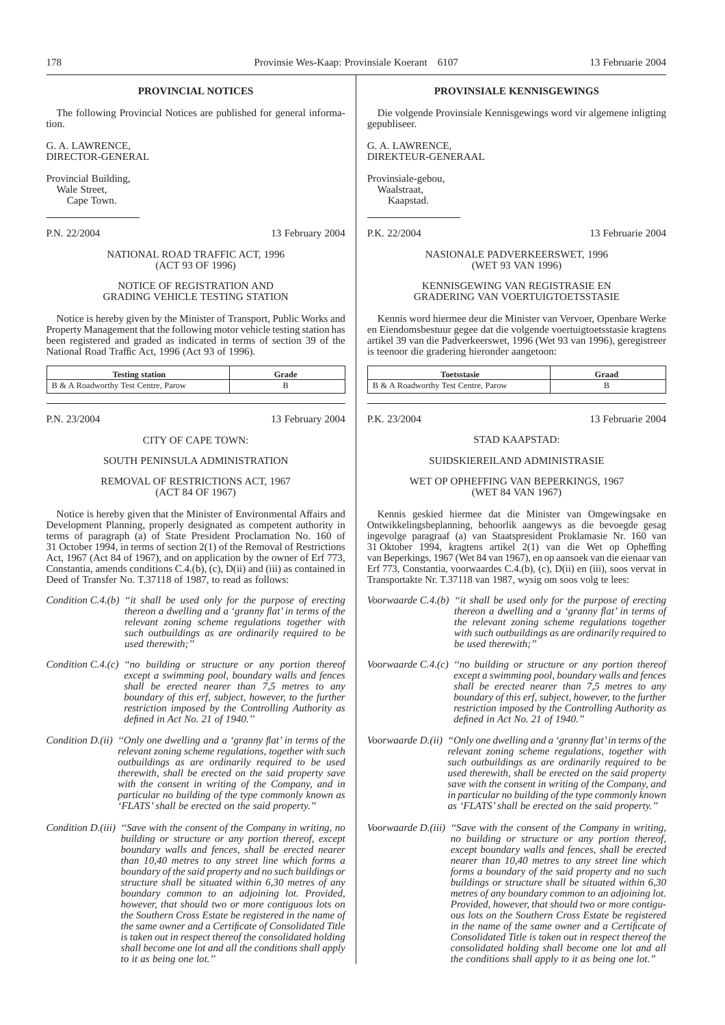#### **PROVINCIAL NOTICES**

The following Provincial Notices are published for general information.

G. A. LAWRENCE, DIRECTOR-GENERAL

Provincial Building, Wale Street, Cape Town.

P.N. 22/2004 13 February 2004

NATIONAL ROAD TRAFFIC ACT, 1996 (ACT 93 OF 1996)

#### NOTICE OF REGISTRATION AND GRADING VEHICLE TESTING STATION

Notice is hereby given by the Minister of Transport, Public Works and Property Management that the following motor vehicle testing station has been registered and graded as indicated in terms of section 39 of the National Road Traffic Act, 1996 (Act 93 of 1996).

| <b>Testing station</b>              | Grade |
|-------------------------------------|-------|
| B & A Roadworthy Test Centre, Parow |       |

P.N. 23/2004 13 February 2004

#### CITY OF CAPE TOWN:

#### SOUTH PENINSULA ADMINISTRATION

#### REMOVAL OF RESTRICTIONS ACT, 1967 (ACT 84 OF 1967)

Notice is hereby given that the Minister of Environmental Affairs and Development Planning, properly designated as competent authority in terms of paragraph (a) of State President Proclamation No. 160 of 31 October 1994, in terms of section 2(1) of the Removal of Restrictions Act, 1967 (Act 84 of 1967), and on application by the owner of Erf 773, Constantia, amends conditions C.4.(b), (c), D(ii) and (iii) as contained in Deed of Transfer No. T.37118 of 1987, to read as follows:

- *Condition C.4.(b) ''it shall be used only for the purpose of erecting thereon a dwelling and a 'granny flat'in terms of the relevant zoning scheme regulations together with such outbuildings as are ordinarily required to be used therewith;''*
- *Condition C.4.(c) ''no building or structure or any portion thereof except a swimming pool, boundary walls and fences shall be erected nearer than 7,5 metres to any boundary of this erf, subject, however, to the further restriction imposed by the Controlling Authority as defined in Act No. 21 of 1940.''*
- *Condition D.(ii) ''Only one dwelling and a 'granny flat' in terms of the relevant zoning scheme regulations, together with such outbuildings as are ordinarily required to be used therewith, shall be erected on the said property save with the consent in writing of the Company, and in particular no building of the type commonly known as 'FLATS'shall be erected on the said property.''*
- *Condition D.(iii) ''Save with the consent of the Company in writing, no building or structure or any portion thereof, except boundary walls and fences, shall be erected nearer than 10,40 metres to any street line which forms a boundary of the said property and no such buildings or structure shall be situated within 6,30 metres of any boundary common to an adjoining lot. Provided, however, that should two or more contiguous lots on the Southern Cross Estate be registered in the name of the same owner and a Certificate of Consolidated Title is taken out in respect thereof the consolidated holding shall become one lot and all the conditions shall apply to it as being one lot.''*

#### **PROVINSIALE KENNISGEWINGS**

Die volgende Provinsiale Kennisgewings word vir algemene inligting gepubliseer.

G. A. LAWRENCE, DIREKTEUR-GENERAAL

Provinsiale-gebou, Waalstraat, Kaapstad.

P.K. 22/2004 13 Februarie 2004

NASIONALE PADVERKEERSWET, 1996 (WET 93 VAN 1996)

KENNISGEWING VAN REGISTRASIE EN GRADERING VAN VOERTUIGTOETSSTASIE

Kennis word hiermee deur die Minister van Vervoer, Openbare Werke en Eiendomsbestuur gegee dat die volgende voertuigtoetsstasie kragtens artikel 39 van die Padverkeerswet, 1996 (Wet 93 van 1996), geregistreer is teenoor die gradering hieronder aangetoon:

| <b>Toetsstasie</b>                  | Graad |
|-------------------------------------|-------|
| B & A Roadworthy Test Centre, Parow |       |

P.K. 23/2004 13 Februarie 2004

#### STAD KAAPSTAD:

#### SUIDSKIEREILAND ADMINISTRASIE

#### WET OP OPHEFFING VAN BEPERKINGS, 1967 (WET 84 VAN 1967)

Kennis geskied hiermee dat die Minister van Omgewingsake en Ontwikkelingsbeplanning, behoorlik aangewys as die bevoegde gesag ingevolge paragraaf (a) van Staatspresident Proklamasie Nr. 160 van 31 Oktober 1994, kragtens artikel 2(1) van die Wet op Opheffing van Beperkings, 1967 (Wet 84 van 1967), en op aansoek van die eienaar van Erf 773, Constantia, voorwaardes C.4.(b), (c), D(ii) en (iii), soos vervat in Transportakte Nr. T.37118 van 1987, wysig om soos volg te lees:

*Voorwaarde C.4.(b) ''it shall be used only for the purpose of erecting thereon a dwelling and a 'granny flat' in terms of the relevant zoning scheme regulations together with such outbuildings as are ordinarily required to be used therewith;''*

*Voorwaarde C.4.(c) ''no building or structure or any portion thereof except a swimming pool, boundary walls and fences shall be erected nearer than 7,5 metres to any boundary of this erf, subject, however, to the further restriction imposed by the Controlling Authority as defined in Act No. 21 of 1940.''*

- *Voorwaarde D.(ii) ''Only one dwelling and a 'granny flat'in terms of the relevant zoning scheme regulations, together with such outbuildings as are ordinarily required to be used therewith, shall be erected on the said property save with the consent in writing of the Company, and in particular no building of the type commonly known as 'FLATS'shall be erected on the said property.''*
- *Voorwaarde D.(iii) ''Save with the consent of the Company in writing, no building or structure or any portion thereof, except boundary walls and fences, shall be erected nearer than 10,40 metres to any street line which forms a boundary of the said property and no such buildings or structure shall be situated within 6,30 metres of any boundary common to an adjoining lot. Provided, however, that should two or more contiguous lots on the Southern Cross Estate be registered in the name of the same owner and a Certificate of Consolidated Title is taken out in respect thereof the consolidated holding shall become one lot and all the conditions shall apply to it as being one lot.''*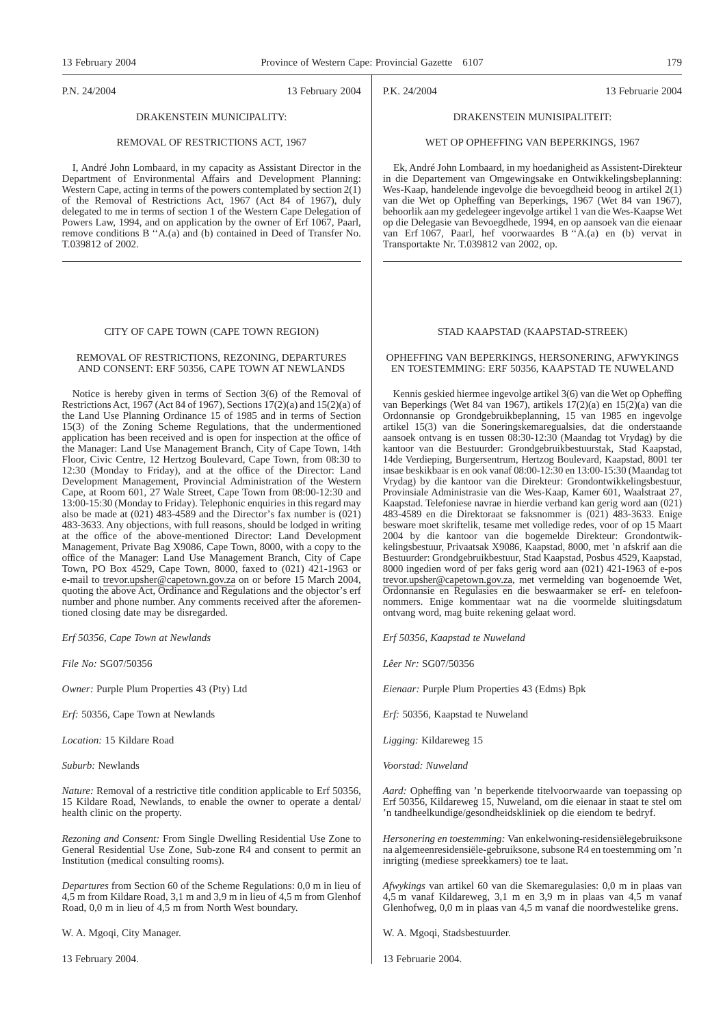P.N. 24/2004 13 February 2004

## DRAKENSTEIN MUNICIPALITY:

#### REMOVAL OF RESTRICTIONS ACT, 1967

I, André John Lombaard, in my capacity as Assistant Director in the Department of Environmental Affairs and Development Planning: Western Cape, acting in terms of the powers contemplated by section 2(1) of the Removal of Restrictions Act, 1967 (Act 84 of 1967), duly delegated to me in terms of section 1 of the Western Cape Delegation of Powers Law, 1994, and on application by the owner of Erf 1067, Paarl, remove conditions B ''A.(a) and (b) contained in Deed of Transfer No. T.039812 of 2002.

#### CITY OF CAPE TOWN (CAPE TOWN REGION)

#### REMOVAL OF RESTRICTIONS, REZONING, DEPARTURES AND CONSENT: ERF 50356, CAPE TOWN AT NEWLANDS

Notice is hereby given in terms of Section 3(6) of the Removal of Restrictions Act, 1967 (Act 84 of 1967), Sections  $17(2)(a)$  and  $15(2)(a)$  of the Land Use Planning Ordinance 15 of 1985 and in terms of Section 15(3) of the Zoning Scheme Regulations, that the undermentioned application has been received and is open for inspection at the office of the Manager: Land Use Management Branch, City of Cape Town, 14th Floor, Civic Centre, 12 Hertzog Boulevard, Cape Town, from 08:30 to 12:30 (Monday to Friday), and at the office of the Director: Land Development Management, Provincial Administration of the Western Cape, at Room 601, 27 Wale Street, Cape Town from 08:00-12:30 and 13:00-15:30 (Monday to Friday). Telephonic enquiries in this regard may also be made at (021) 483-4589 and the Director's fax number is (021) 483-3633. Any objections, with full reasons, should be lodged in writing at the office of the above-mentioned Director: Land Development Management, Private Bag X9086, Cape Town, 8000, with a copy to the office of the Manager: Land Use Management Branch, City of Cape Town, PO Box 4529, Cape Town, 8000, faxed to (021) 421-1963 or e-mail to trevor.upsher@capetown.gov.za on or before 15 March 2004, quoting the above Act, Ordinance and Regulations and the objector's erf number and phone number. Any comments received after the aforementioned closing date may be disregarded.

*Erf 50356, Cape Town at Newlands*

*File No:* SG07/50356

*Owner:* Purple Plum Properties 43 (Pty) Ltd

*Erf:* 50356, Cape Town at Newlands

*Location:* 15 Kildare Road

*Suburb:* Newlands

*Nature:* Removal of a restrictive title condition applicable to Erf 50356, 15 Kildare Road, Newlands, to enable the owner to operate a dental/ health clinic on the property.

*Rezoning and Consent:* From Single Dwelling Residential Use Zone to General Residential Use Zone, Sub-zone R4 and consent to permit an Institution (medical consulting rooms).

*Departures* from Section 60 of the Scheme Regulations: 0,0 m in lieu of 4,5 m from Kildare Road, 3,1 m and 3,9 m in lieu of 4,5 m from Glenhof Road, 0,0 m in lieu of 4,5 m from North West boundary.

W. A. Mgoqi, City Manager.

13 February 2004.

P.K. 24/2004 13 Februarie 2004

#### DRAKENSTEIN MUNISIPALITEIT:

#### WET OP OPHEFFING VAN BEPERKINGS, 1967

Ek, André John Lombaard, in my hoedanigheid as Assistent-Direkteur in die Departement van Omgewingsake en Ontwikkelingsbeplanning: Wes-Kaap, handelende ingevolge die bevoegdheid beoog in artikel 2(1) van die Wet op Opheffing van Beperkings, 1967 (Wet 84 van 1967), behoorlik aan my gedelegeer ingevolge artikel 1 van die Wes-Kaapse Wet op die Delegasie van Bevoegdhede, 1994, en op aansoek van die eienaar van Erf 1067, Paarl, hef voorwaardes B ''A.(a) en (b) vervat in Transportakte Nr. T.039812 van 2002, op.

#### STAD KAAPSTAD (KAAPSTAD-STREEK)

OPHEFFING VAN BEPERKINGS, HERSONERING, AFWYKINGS EN TOESTEMMING: ERF 50356, KAAPSTAD TE NUWELAND

Kennis geskied hiermee ingevolge artikel 3(6) van die Wet op Opheffing van Beperkings (Wet 84 van 1967), artikels 17(2)(a) en 15(2)(a) van die Ordonnansie op Grondgebruikbeplanning, 15 van 1985 en ingevolge artikel 15(3) van die Soneringskemaregualsies, dat die onderstaande aansoek ontvang is en tussen  $08:30-12:30$  (Maandag tot Vrydag) by die kantoor van die Bestuurder: Grondgebruikbestuurstak, Stad Kaapstad, 14de Verdieping, Burgersentrum, Hertzog Boulevard, Kaapstad, 8001 ter insae beskikbaar is en ook vanaf 08:00-12:30 en 13:00-15:30 (Maandag tot Vrydag) by die kantoor van die Direkteur: Grondontwikkelingsbestuur, Provinsiale Administrasie van die Wes-Kaap, Kamer 601, Waalstraat 27, Kaapstad. Telefoniese navrae in hierdie verband kan gerig word aan (021) 483-4589 en die Direktoraat se faksnommer is (021) 483-3633. Enige besware moet skriftelik, tesame met volledige redes, voor of op 15 Maart 2004 by die kantoor van die bogemelde Direkteur: Grondontwikkelingsbestuur, Privaatsak X9086, Kaapstad, 8000, met 'n afskrif aan die Bestuurder: Grondgebruikbestuur, Stad Kaapstad, Posbus 4529, Kaapstad, 8000 ingedien word of per faks gerig word aan (021) 421-1963 of e-pos trevor.upsher@capetown.gov.za, met vermelding van bogenoemde Wet, Ordonnansie en Regulasies en die beswaarmaker se erf- en telefoonnommers. Enige kommentaar wat na die voormelde sluitingsdatum ontvang word, mag buite rekening gelaat word.

*Erf 50356, Kaapstad te Nuweland*

*Lêer Nr:* SG07/50356

*Eienaar:* Purple Plum Properties 43 (Edms) Bpk

*Erf:* 50356, Kaapstad te Nuweland

*Ligging:* Kildareweg 15

*Voorstad: Nuweland*

*Aard:* Opheffing van 'n beperkende titelvoorwaarde van toepassing op Erf 50356, Kildareweg 15, Nuweland, om die eienaar in staat te stel om 'n tandheelkundige/gesondheidskliniek op die eiendom te bedryf.

*Hersonering en toestemming:* Van enkelwoning-residensiëlegebruiksone na algemeenresidensiële-gebruiksone, subsone R4 en toestemming om 'n inrigting (mediese spreekkamers) toe te laat.

*Afwykings* van artikel 60 van die Skemaregulasies: 0,0 m in plaas van 4,5 m vanaf Kildareweg, 3,1 m en 3,9 m in plaas van 4,5 m vanaf Glenhofweg, 0,0 m in plaas van 4,5 m vanaf die noordwestelike grens.

W. A. Mgoqi, Stadsbestuurder.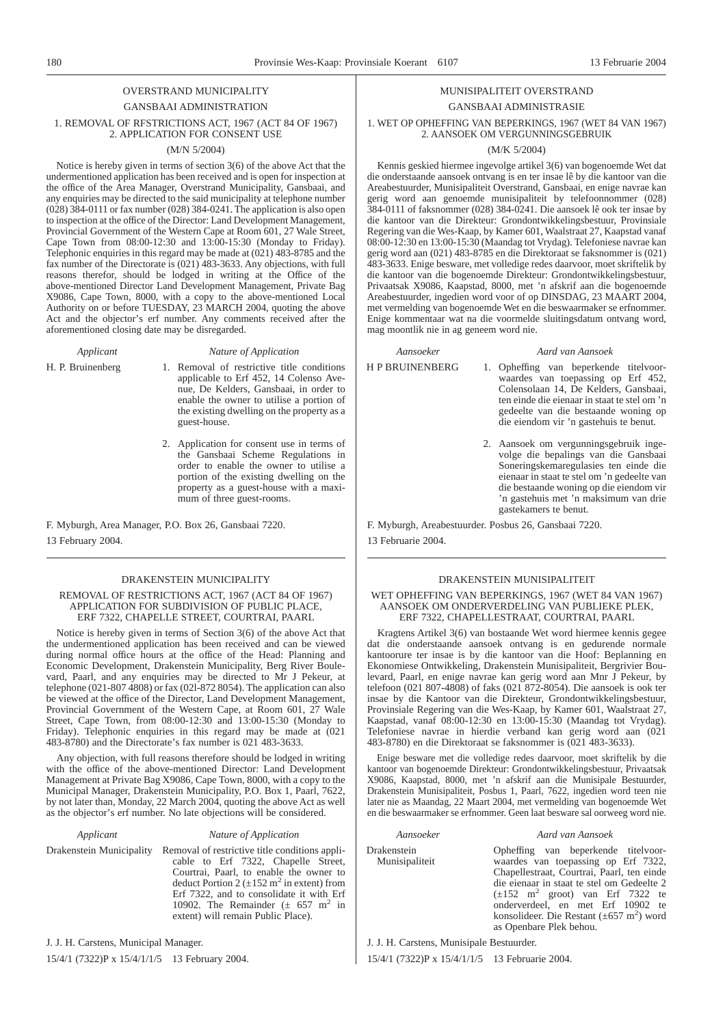### OVERSTRAND MUNICIPALITY GANSBAAI ADMINISTRATION 1. REMOVAL OF RFSTRICTIONS ACT, 1967 (ACT 84 OF 1967) 2. APPLICATION FOR CONSENT USE

#### (M/N 5/2004)

Notice is hereby given in terms of section 3(6) of the above Act that the undermentioned application has been received and is open for inspection at the office of the Area Manager, Overstrand Municipality, Gansbaai, and any enquiries may be directed to the said municipality at telephone number (028) 384-0111 or fax number (028) 384-0241. The application is also open to inspection at the office of the Director: Land Development Management, Provincial Government of the Western Cape at Room 601, 27 Wale Street, Cape Town from 08:00-12:30 and 13:00-15:30 (Monday to Friday). Telephonic enquiries in this regard may be made at (021) 483-8785 and the fax number of the Directorate is (021) 483-3633. Any objections, with full reasons therefor, should be lodged in writing at the Office of the above-mentioned Director Land Development Management, Private Bag X9086, Cape Town, 8000, with a copy to the above-mentioned Local Authority on or before TUESDAY, 23 MARCH 2004, quoting the above Act and the objector's erf number. Any comments received after the aforementioned closing date may be disregarded.

*Applicant Nature of Application*

- H. P. Bruinenberg 1. Removal of restrictive title conditions applicable to Erf 452, 14 Colenso Avenue, De Kelders, Gansbaai, in order to enable the owner to utilise a portion of the existing dwelling on the property as a guest-house.
	- 2. Application for consent use in terms of the Gansbaai Scheme Regulations in order to enable the owner to utilise a portion of the existing dwelling on the property as a guest-house with a maximum of three guest-rooms.

F. Myburgh, Area Manager, P.O. Box 26, Gansbaai 7220. 13 February 2004.

#### DRAKENSTEIN MUNICIPALITY

#### REMOVAL OF RESTRICTIONS ACT, 1967 (ACT 84 OF 1967) APPLICATION FOR SUBDIVISION OF PUBLIC PLACE, ERF 7322, CHAPELLE STREET, COURTRAI, PAARL

Notice is hereby given in terms of Section 3(6) of the above Act that the undermentioned application has been received and can be viewed during normal office hours at the office of the Head: Planning and Economic Development, Drakenstein Municipality, Berg River Boulevard, Paarl, and any enquiries may be directed to Mr J Pekeur, at telephone (021-807 4808) or fax (02l-872 8054). The application can also be viewed at the office of the Director, Land Development Management, Provincial Government of the Western Cape, at Room 601, 27 Wale Street, Cape Town, from 08:00-12:30 and 13:00-15:30 (Monday to Friday). Telephonic enquiries in this regard may be made at  $(0.21)$ 483-8780) and the Directorate's fax number is 021 483-3633.

Any objection, with full reasons therefore should be lodged in writing with the office of the above-mentioned Director: Land Development Management at Private Bag X9086, Cape Town, 8000, with a copy to the Municipal Manager, Drakenstein Municipality, P.O. Box 1, Paarl, 7622, by not later than, Monday, 22 March 2004, quoting the above Act as well as the objector's erf number. No late objections will be considered.

#### *Applicant Nature of Application*

Drakenstein Municipality Removal of restrictive title conditions applicable to Erf 7322, Chapelle Street, Courtrai, Paarl, to enable the owner to deduct Portion 2 ( $\pm 152$  m<sup>2</sup> in extent) from Erf 7322, and to consolidate it with Erf 10902. The Remainder  $(\pm 657 \text{ m}^2 \text{ in}$ extent) will remain Public Place).

#### MUNISIPALITEIT OVERSTRAND GANSBAAI ADMINISTRASIE

#### 1. WET OP OPHEFFING VAN BEPERKINGS, 1967 (WET 84 VAN 1967) 2. AANSOEK OM VERGUNNINGSGEBRUIK

#### (M/K 5/2004)

Kennis geskied hiermee ingevolge artikel 3(6) van bogenoemde Wet dat die onderstaande aansoek ontvang is en ter insae lê by die kantoor van die Areabestuurder, Munisipaliteit Overstrand, Gansbaai, en enige navrae kan gerig word aan genoemde munisipaliteit by telefoonnommer (028) 384-0111 of faksnommer (028) 384-0241. Die aansoek lê ook ter insae by die kantoor van die Direkteur: Grondontwikkelingsbestuur, Provinsiale Regering van die Wes-Kaap, by Kamer 601, Waalstraat 27, Kaapstad vanaf 08:00-12:30 en 13:00-15:30 (Maandag tot Vrydag). Telefoniese navrae kan gerig word aan (021) 483-8785 en die Direktoraat se faksnommer is (021) 483-3633. Enige besware, met volledige redes daarvoor, moet skriftelik by die kantoor van die bogenoemde Direkteur: Grondontwikkelingsbestuur, Privaatsak X9086, Kaapstad, 8000, met 'n afskrif aan die bogenoemde Areabestuurder, ingedien word voor of op DINSDAG, 23 MAART 2004, met vermelding van bogenoemde Wet en die beswaarmaker se erfnommer. Enige kommentaar wat na die voormelde sluitingsdatum ontvang word, mag moontlik nie in ag geneem word nie.

#### *Aansoeker Aard van Aansoek*

- H P BRUINENBERG 1. Opheffing van beperkende titelvoorwaardes van toepassing op Erf 452, Colensolaan 14, De Kelders, Gansbaai, ten einde die eienaar in staat te stel om 'n gedeelte van die bestaande woning op die eiendom vir 'n gastehuis te benut.
	- 2. Aansoek om vergunningsgebruik ingevolge die bepalings van die Gansbaai Soneringskemaregulasies ten einde die eienaar in staat te stel om 'n gedeelte van die bestaande woning op die eiendom vir 'n gastehuis met 'n maksimum van drie gastekamers te benut.

F. Myburgh, Areabestuurder. Posbus 26, Gansbaai 7220.

13 Februarie 2004.

#### DRAKENSTEIN MUNISIPALITEIT

#### WET OPHEFFING VAN BEPERKINGS, 1967 (WET 84 VAN 1967) AANSOEK OM ONDERVERDELING VAN PUBLIEKE PLEK, ERF 7322, CHAPELLESTRAAT, COURTRAI, PAARL

Kragtens Artikel 3(6) van bostaande Wet word hiermee kennis gegee dat die onderstaande aansoek ontvang is en gedurende normale kantoorure ter insae is by die kantoor van die Hoof: Beplanning en Ekonomiese Ontwikkeling, Drakenstein Munisipaliteit, Bergrivier Boulevard, Paarl, en enige navrae kan gerig word aan Mnr J Pekeur, by telefoon (021 807-4808) of faks (021 872-8054). Die aansoek is ook ter insae by die Kantoor van die Direkteur, Grondontwikkelingsbestuur, Provinsiale Regering van die Wes-Kaap, by Kamer 601, Waalstraat 27, Kaapstad, vanaf 08:00-12:30 en 13:00-15:30 (Maandag tot Vrydag). Telefoniese navrae in hierdie verband kan gerig word aan (021 483-8780) en die Direktoraat se faksnommer is (021 483-3633).

Enige besware met die volledige redes daarvoor, moet skriftelik by die kantoor van bogenoemde Direkteur: Grondontwikkelingsbestuur, Privaatsak X9086, Kaapstad, 8000, met 'n afskrif aan die Munisipale Bestuurder, Drakenstein Munisipaliteit, Posbus 1, Paarl, 7622, ingedien word teen nie later nie as Maandag, 22 Maart 2004, met vermelding van bogenoemde Wet en die beswaarmaker se erfnommer. Geen laat besware sal oorweeg word nie.

#### *Aansoeker Aard van Aansoek*

Drakenstein Munisipaliteit Opheffing van beperkende titelvoorwaardes van toepassing op Erf 7322, Chapellestraat, Courtrai, Paarl, ten einde die eienaar in staat te stel om Gedeelte 2  $(\pm 152 \text{ m}^2 \text{ groot})$  van Erf 7322 te onderverdeel, en met Erf 10902 te konsolideer. Die Restant  $(\pm 657 \text{ m}^2)$  word as Openbare Plek behou.

J. J. H. Carstens, Munisipale Bestuurder.

15/4/1 (7322)P x 15/4/1/1/5 13 Februarie 2004.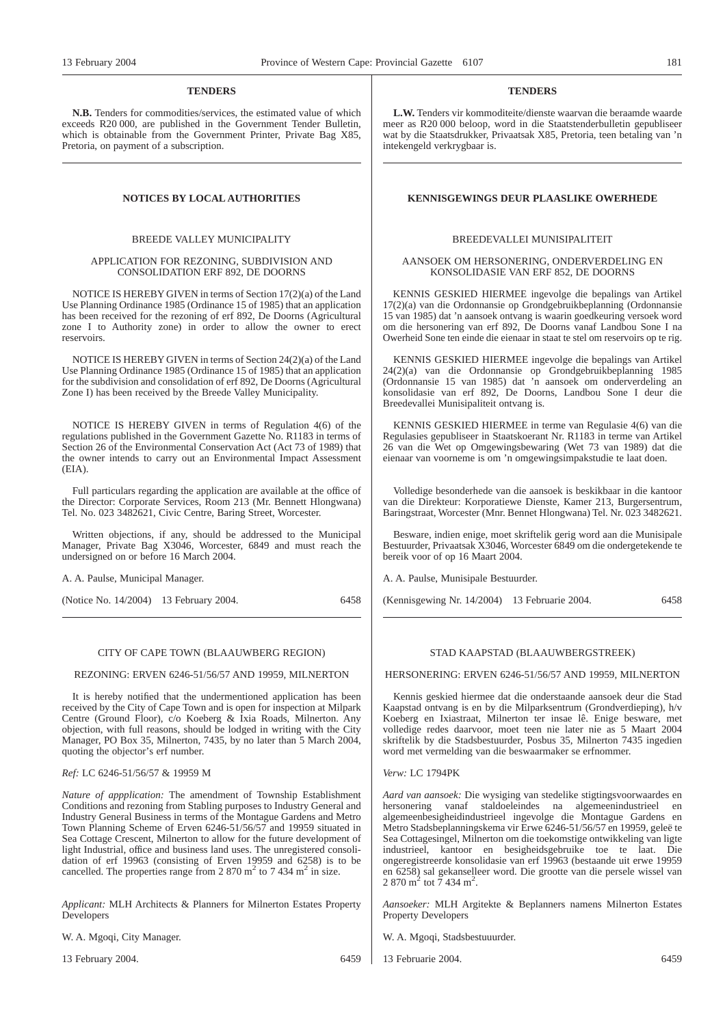#### **TENDERS**

**N.B.** Tenders for commodities/services, the estimated value of which exceeds R20 000, are published in the Government Tender Bulletin, which is obtainable from the Government Printer, Private Bag X85, Pretoria, on payment of a subscription.

#### BREEDE VALLEY MUNICIPALITY

#### APPLICATION FOR REZONING, SUBDIVISION AND CONSOLIDATION ERF 892, DE DOORNS

NOTICE IS HEREBY GIVEN in terms of Section 17(2)(a) of the Land Use Planning Ordinance 1985 (Ordinance 15 of 1985) that an application has been received for the rezoning of erf 892, De Doorns (Agricultural zone I to Authority zone) in order to allow the owner to erect reservoirs.

NOTICE IS HEREBY GIVEN in terms of Section 24(2)(a) of the Land Use Planning Ordinance 1985 (Ordinance 15 of 1985) that an application for the subdivision and consolidation of erf 892, De Doorns (Agricultural Zone I) has been received by the Breede Valley Municipality.

NOTICE IS HEREBY GIVEN in terms of Regulation 4(6) of the regulations published in the Government Gazette No. R1183 in terms of Section 26 of the Environmental Conservation Act (Act 73 of 1989) that the owner intends to carry out an Environmental Impact Assessment  $(FIA)$ 

Full particulars regarding the application are available at the office of the Director: Corporate Services, Room 213 (Mr. Bennett Hlongwana) Tel. No. 023 3482621, Civic Centre, Baring Street, Worcester.

Written objections, if any, should be addressed to the Municipal Manager, Private Bag X3046, Worcester, 6849 and must reach the undersigned on or before 16 March 2004.

A. A. Paulse, Municipal Manager.

(Notice No. 14/2004) 13 February 2004. 6458

#### CITY OF CAPE TOWN (BLAAUWBERG REGION)

#### REZONING: ERVEN 6246-51/56/57 AND 19959, MILNERTON

It is hereby notified that the undermentioned application has been received by the City of Cape Town and is open for inspection at Milpark Centre (Ground Floor), c/o Koeberg & Ixia Roads, Milnerton. Any objection, with full reasons, should be lodged in writing with the City Manager, PO Box 35, Milnerton, 7435, by no later than 5 March 2004, quoting the objector's erf number.

#### *Ref:* LC 6246-51/56/57 & 19959 M

*Nature of appplication:* The amendment of Township Establishment Conditions and rezoning from Stabling purposes to Industry General and Industry General Business in terms of the Montague Gardens and Metro Town Planning Scheme of Erven 6246-51/56/57 and 19959 situated in Sea Cottage Crescent, Milnerton to allow for the future development of light Industrial, office and business land uses. The unregistered consolidation of erf 19963 (consisting of Erven 19959 and 6258) is to be cancelled. The properties range from  $2\,870\,\mathrm{m}^2$  to  $7\,434\,\mathrm{m}^2$  in size.

*Applicant:* MLH Architects & Planners for Milnerton Estates Property **Developers** 

W. A. Mgoqi, City Manager.

13 February 2004. 6459

#### **TENDERS**

**L.W.** Tenders vir kommoditeite/dienste waarvan die beraamde waarde meer as R20 000 beloop, word in die Staatstenderbulletin gepubliseer wat by die Staatsdrukker, Privaatsak X85, Pretoria, teen betaling van 'n intekengeld verkrygbaar is.

#### **NOTICES BY LOCAL AUTHORITIES KENNISGEWINGS DEUR PLAASLIKE OWERHEDE**

#### BREEDEVALLEI MUNISIPALITEIT

#### AANSOEK OM HERSONERING, ONDERVERDELING EN KONSOLIDASIE VAN ERF 852, DE DOORNS

KENNIS GESKIED HIERMEE ingevolge die bepalings van Artikel 17(2)(a) van die Ordonnansie op Grondgebruikbeplanning (Ordonnansie 15 van 1985) dat 'n aansoek ontvang is waarin goedkeuring versoek word om die hersonering van erf 892, De Doorns vanaf Landbou Sone I na Owerheid Sone ten einde die eienaar in staat te stel om reservoirs op te rig.

KENNIS GESKIED HIERMEE ingevolge die bepalings van Artikel 24(2)(a) van die Ordonnansie op Grondgebruikbeplanning 1985 (Ordonnansie 15 van 1985) dat 'n aansoek om onderverdeling an konsolidasie van erf 892, De Doorns, Landbou Sone I deur die Breedevallei Munisipaliteit ontvang is.

KENNIS GESKIED HIERMEE in terme van Regulasie 4(6) van die Regulasies gepubliseer in Staatskoerant Nr. R1183 in terme van Artikel 26 van die Wet op Omgewingsbewaring (Wet 73 van 1989) dat die eienaar van voorneme is om 'n omgewingsimpakstudie te laat doen.

Volledige besonderhede van die aansoek is beskikbaar in die kantoor van die Direkteur: Korporatiewe Dienste, Kamer 213, Burgersentrum, Baringstraat, Worcester (Mnr. Bennet Hlongwana) Tel. Nr. 023 3482621.

Besware, indien enige, moet skriftelik gerig word aan die Munisipale Bestuurder, Privaatsak X3046, Worcester 6849 om die ondergetekende te bereik voor of op 16 Maart 2004.

A. A. Paulse, Munisipale Bestuurder.

(Kennisgewing Nr. 14/2004) 13 Februarie 2004. 6458

#### STAD KAAPSTAD (BLAAUWBERGSTREEK)

#### HERSONERING: ERVEN 6246-51/56/57 AND 19959, MILNERTON

Kennis geskied hiermee dat die onderstaande aansoek deur die Stad Kaapstad ontvang is en by die Milparksentrum (Grondverdieping), h/v Koeberg en Ixiastraat, Milnerton ter insae lê. Enige besware, met volledige redes daarvoor, moet teen nie later nie as 5 Maart 2004 skriftelik by die Stadsbestuurder, Posbus 35, Milnerton 7435 ingedien word met vermelding van die beswaarmaker se erfnommer.

#### *Verw:* LC 1794PK

*Aard van aansoek:* Die wysiging van stedelike stigtingsvoorwaardes en vanaf staldoeleindes na algemeenindustrieel en algemeenbesigheidindustrieel ingevolge die Montague Gardens en Metro Stadsbeplanningskema vir Erwe 6246-51/56/57 en 19959, geleë te Sea Cottagesingel, Milnerton om die toekomstige ontwikkeling van ligte industrieel, kantoor en besigheidsgebruike toe te laat. Die ongeregistreerde konsolidasie van erf 19963 (bestaande uit erwe 19959 en 6258) sal gekanselleer word. Die grootte van die persele wissel van 2 870 m<sup>2</sup> tot 7 434 m<sup>2</sup>.

*Aansoeker:* MLH Argitekte & Beplanners namens Milnerton Estates Property Developers

- W. A. Mgoqi, Stadsbestuuurder.
- 13 Februarie 2004. 6459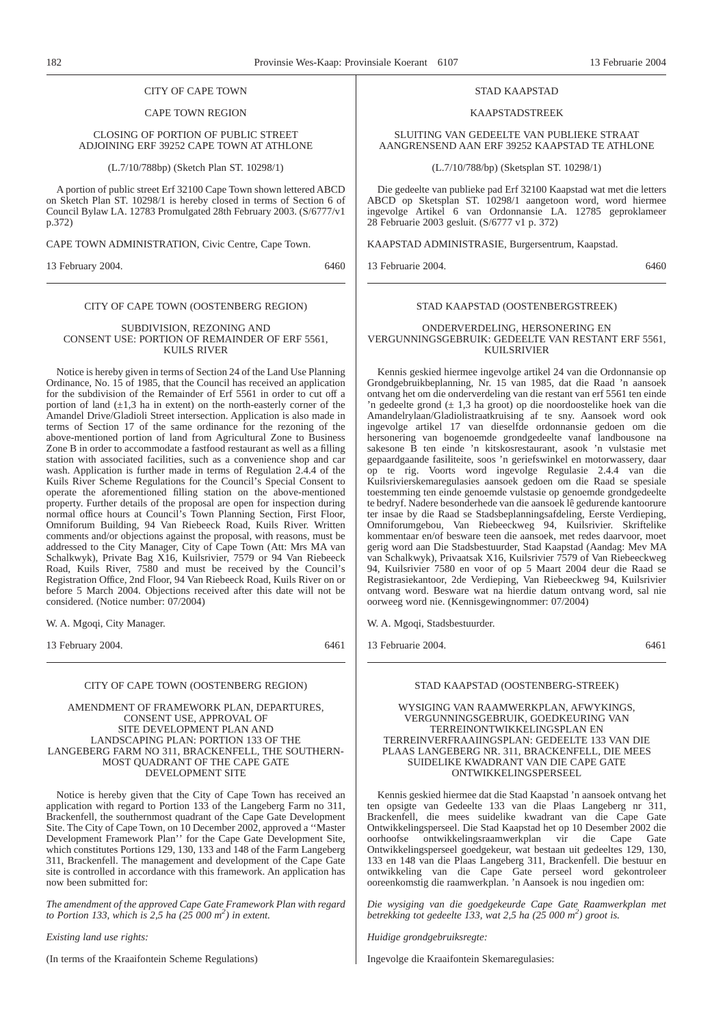#### CITY OF CAPE TOWN

#### CAPE TOWN REGION

#### CLOSING OF PORTION OF PUBLIC STREET ADJOINING ERF 39252 CAPE TOWN AT ATHLONE

(L.7/10/788bp) (Sketch Plan ST. 10298/1)

A portion of public street Erf 32100 Cape Town shown lettered ABCD on Sketch Plan ST. 10298/1 is hereby closed in terms of Section 6 of Council Bylaw LA. 12783 Promulgated 28th February 2003. (S/6777/v1 p.372)

CAPE TOWN ADMINISTRATION, Civic Centre, Cape Town.

13 February 2004. 6460

#### CITY OF CAPE TOWN (OOSTENBERG REGION)

#### SUBDIVISION, REZONING AND CONSENT USE: PORTION OF REMAINDER OF ERF 5561, KUILS RIVER

Notice is hereby given in terms of Section 24 of the Land Use Planning Ordinance, No. 15 of 1985, that the Council has received an application for the subdivision of the Remainder of Erf 5561 in order to cut off a portion of land  $(\pm 1,3$  ha in extent) on the north-easterly corner of the Amandel Drive/Gladioli Street intersection. Application is also made in terms of Section 17 of the same ordinance for the rezoning of the above-mentioned portion of land from Agricultural Zone to Business Zone B in order to accommodate a fastfood restaurant as well as a filling station with associated facilities, such as a convenience shop and car wash. Application is further made in terms of Regulation 2.4.4 of the Kuils River Scheme Regulations for the Council's Special Consent to operate the aforementioned filling station on the above-mentioned property. Further details of the proposal are open for inspection during normal office hours at Council's Town Planning Section, First Floor, Omniforum Building, 94 Van Riebeeck Road, Kuils River. Written comments and/or objections against the proposal, with reasons, must be addressed to the City Manager, City of Cape Town (Att: Mrs MA van Schalkwyk), Private Bag X16, Kuilsrivier, 7579 or 94 Van Riebeeck Road, Kuils River, 7580 and must be received by the Council's Registration Office, 2nd Floor, 94 Van Riebeeck Road, Kuils River on or before 5 March 2004. Objections received after this date will not be considered. (Notice number: 07/2004)

W. A. Mgoqi, City Manager.

13 February 2004. 6461

#### CITY OF CAPE TOWN (OOSTENBERG REGION)

#### AMENDMENT OF FRAMEWORK PLAN, DEPARTURES, CONSENT USE, APPROVAL OF SITE DEVELOPMENT PLAN AND LANDSCAPING PLAN: PORTION 133 OF THE LANGEBERG FARM NO 311, BRACKENFELL, THE SOUTHERN-MOST QUADRANT OF THE CAPE GATE DEVELOPMENT SITE

Notice is hereby given that the City of Cape Town has received an application with regard to Portion 133 of the Langeberg Farm no 311, Brackenfell, the southernmost quadrant of the Cape Gate Development Site. The City of Cape Town, on 10 December 2002, approved a ''Master Development Framework Plan'' for the Cape Gate Development Site, which constitutes Portions 129, 130, 133 and 148 of the Farm Langeberg 311, Brackenfell. The management and development of the Cape Gate site is controlled in accordance with this framework. An application has now been submitted for:

*The amendment of the approved Cape Gate Framework Plan with regard to Portion 133, which is 2,5 ha (25 000 m2 ) in extent.*

*Existing land use rights:*

(In terms of the Kraaifontein Scheme Regulations)

#### STAD KAAPSTAD

#### KAAPSTADSTREEK

SLUITING VAN GEDEELTE VAN PUBLIEKE STRAAT AANGRENSEND AAN ERF 39252 KAAPSTAD TE ATHLONE

(L.7/10/788/bp) (Sketsplan ST. 10298/1)

Die gedeelte van publieke pad Erf 32100 Kaapstad wat met die letters ABCD op Sketsplan ST. 10298/1 aangetoon word, word hiermee ingevolge Artikel 6 van Ordonnansie LA. 12785 geproklameer 28 Februarie 2003 gesluit. (S/6777 v1 p. 372)

KAAPSTAD ADMINISTRASIE, Burgersentrum, Kaapstad.

13 Februarie 2004. 6460

#### STAD KAAPSTAD (OOSTENBERGSTREEK)

ONDERVERDELING, HERSONERING EN VERGUNNINGSGEBRUIK: GEDEELTE VAN RESTANT ERF 5561, KUILSRIVIER

Kennis geskied hiermee ingevolge artikel 24 van die Ordonnansie op Grondgebruikbeplanning, Nr. 15 van 1985, dat die Raad 'n aansoek ontvang het om die onderverdeling van die restant van erf 5561 ten einde 'n gedeelte grond  $(± 1,3$  ha groot) op die noordoostelike hoek van die Amandelrylaan/Gladiolistraatkruising af te sny. Aansoek word ook ingevolge artikel 17 van dieselfde ordonnansie gedoen om die hersonering van bogenoemde grondgedeelte vanaf landbousone na sakesone B ten einde 'n kitskosrestaurant, asook 'n vulstasie met gepaardgaande fasiliteite, soos 'n geriefswinkel en motorwassery, daar op te rig. Voorts word ingevolge Regulasie 2.4.4 van die Kuilsrivierskemaregulasies aansoek gedoen om die Raad se spesiale toestemming ten einde genoemde vulstasie op genoemde grondgedeelte te bedryf. Nadere besonderhede van die aansoek lê gedurende kantoorure ter insae by die Raad se Stadsbeplanningsafdeling, Eerste Verdieping, Omniforumgebou, Van Riebeeckweg 94, Kuilsrivier. Skriftelike kommentaar en/of besware teen die aansoek, met redes daarvoor, moet gerig word aan Die Stadsbestuurder, Stad Kaapstad (Aandag: Mev MA van Schalkwyk), Privaatsak X16, Kuilsrivier 7579 of Van Riebeeckweg 94, Kuilsrivier 7580 en voor of op 5 Maart 2004 deur die Raad se Registrasiekantoor, 2de Verdieping, Van Riebeeckweg 94, Kuilsrivier ontvang word. Besware wat na hierdie datum ontvang word, sal nie oorweeg word nie. (Kennisgewingnommer: 07/2004)

W. A. Mgoqi, Stadsbestuurder.

13 Februarie 2004. 6461

#### STAD KAAPSTAD (OOSTENBERG-STREEK)

#### WYSIGING VAN RAAMWERKPLAN, AFWYKINGS, VERGUNNINGSGEBRUIK, GOEDKEURING VAN TERREINONTWIKKELINGSPLAN EN TERREINVERFRAAIINGSPLAN: GEDEELTE 133 VAN DIE PLAAS LANGEBERG NR. 311, BRACKENFELL, DIE MEES SUIDELIKE KWADRANT VAN DIE CAPE GATE ONTWIKKELINGSPERSEEL

Kennis geskied hiermee dat die Stad Kaapstad 'n aansoek ontvang het ten opsigte van Gedeelte 133 van die Plaas Langeberg nr 311, Brackenfell, die mees suidelike kwadrant van die Cape Gate Ontwikkelingsperseel. Die Stad Kaapstad het op 10 Desember 2002 die oorhoofse ontwikkelingsraamwerkplan vir die Cape Gate Ontwikkelingsperseel goedgekeur, wat bestaan uit gedeeltes 129, 130, 133 en 148 van die Plaas Langeberg 311, Brackenfell. Die bestuur en ontwikkeling van die Cape Gate perseel word gekontroleer ooreenkomstig die raamwerkplan. 'n Aansoek is nou ingedien om:

*Die wysiging van die goedgekeurde Cape Gate Raamwerkplan met betrekking tot gedeelte 133, wat 2,5 ha (25 000 m2 ) groot is.*

*Huidige grondgebruiksregte:*

Ingevolge die Kraaifontein Skemaregulasies: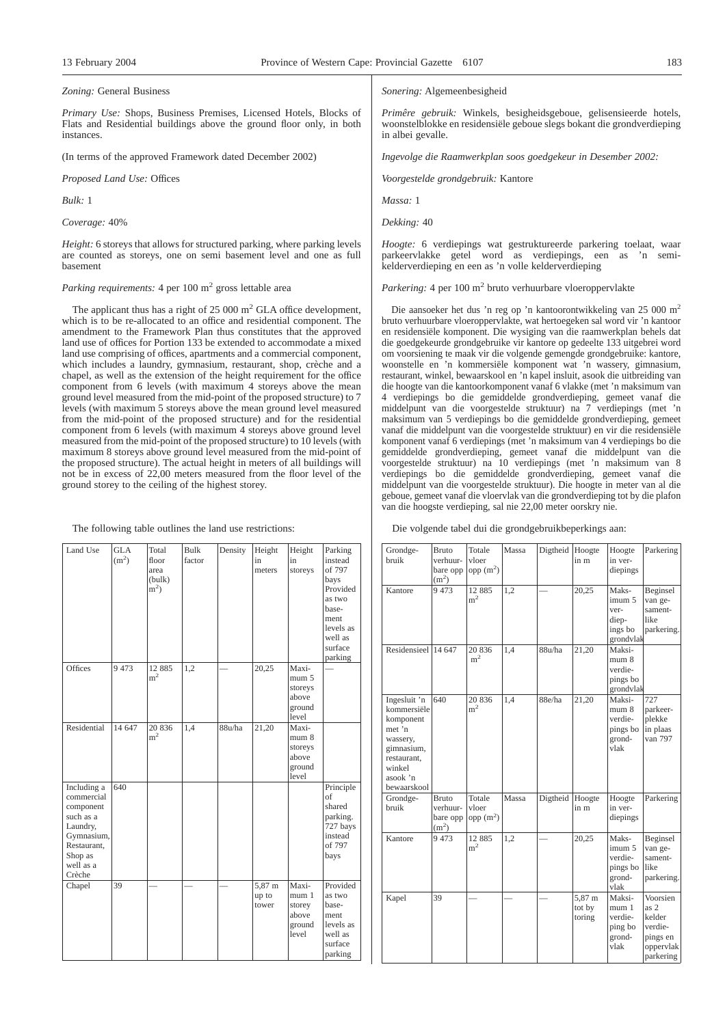#### *Zoning:* General Business

*Primary Use:* Shops, Business Premises, Licensed Hotels, Blocks of Flats and Residential buildings above the ground floor only, in both instances.

(In terms of the approved Framework dated December 2002)

*Proposed Land Use:* Offices

*Bulk:* 1

*Coverage:* 40%

*Height:* 6 storeys that allows for structured parking, where parking levels are counted as storeys, one on semi basement level and one as full basement

#### *Parking requirements:* 4 per 100 m<sup>2</sup> gross lettable area

The applicant thus has a right of  $25\ 000 \text{ m}^2$  GLA office development, which is to be re-allocated to an office and residential component. The amendment to the Framework Plan thus constitutes that the approved land use of offices for Portion 133 be extended to accommodate a mixed land use comprising of offices, apartments and a commercial component, which includes a laundry, gymnasium, restaurant, shop, crèche and a chapel, as well as the extension of the height requirement for the office component from 6 levels (with maximum 4 storeys above the mean ground level measured from the mid-point of the proposed structure) to 7 levels (with maximum 5 storeys above the mean ground level measured from the mid-point of the proposed structure) and for the residential component from 6 levels (with maximum 4 storeys above ground level measured from the mid-point of the proposed structure) to 10 levels (with maximum 8 storeys above ground level measured from the mid-point of the proposed structure). The actual height in meters of all buildings will not be in excess of 22,00 meters measured from the floor level of the ground storey to the ceiling of the highest storey.

The following table outlines the land use restrictions:

| Land Use                                                                                                                       | <b>GLA</b><br>(m <sup>2</sup> ) | Total<br>floor<br>area<br>(bulk)<br>$m2$ ) | Bulk<br>factor | Density | Height<br>in<br>meters   | Height<br>in<br>storeys                               | Parking<br>instead<br>of 797<br>bays<br>Provided<br>as two<br>base-<br>ment<br>levels as<br>well as<br>surface<br>parking |
|--------------------------------------------------------------------------------------------------------------------------------|---------------------------------|--------------------------------------------|----------------|---------|--------------------------|-------------------------------------------------------|---------------------------------------------------------------------------------------------------------------------------|
| Offices                                                                                                                        | 9 4 7 3                         | 12 8 8 5<br>m <sup>2</sup>                 | 1,2            |         | 20,25                    | Maxi-<br>mum 5<br>storeys<br>above<br>ground<br>level |                                                                                                                           |
| Residential                                                                                                                    | 14 647                          | 20 8 36<br>m <sup>2</sup>                  | 1,4            | 88u/ha  | 21,20                    | Maxi-<br>mum 8<br>storeys<br>above<br>ground<br>level |                                                                                                                           |
| Including a<br>commercial<br>component<br>such as a<br>Laundry,<br>Gymnasium,<br>Restaurant,<br>Shop as<br>well as a<br>Crèche | 640                             |                                            |                |         |                          |                                                       | Principle<br>of<br>shared<br>parking.<br>727 bays<br>instead<br>of 797<br>bays                                            |
| Chapel                                                                                                                         | 39                              |                                            |                |         | 5,87 m<br>up to<br>tower | Maxi-<br>mum 1<br>storey<br>above<br>ground<br>level  | Provided<br>as two<br>base-<br>ment<br>levels as<br>well as<br>surface<br>parking                                         |

#### *Sonering:* Algemeenbesigheid

*Primêre gebruik:* Winkels, besigheidsgeboue, gelisensieerde hotels, woonstelblokke en residensiële geboue slegs bokant die grondverdieping in albei gevalle.

*Ingevolge die Raamwerkplan soos goedgekeur in Desember 2002:*

*Voorgestelde grondgebruik:* Kantore

*Massa:* 1

*Dekking:* 40

*Hoogte:* 6 verdiepings wat gestruktureerde parkering toelaat, waar parkeervlakke getel word as verdiepings, een as 'n semikelderverdieping en een as 'n volle kelderverdieping

*Parkering:* 4 per 100 m<sup>2</sup> bruto verhuurbare vloeroppervlakte

Die aansoeker het dus 'n reg op 'n kantoorontwikkeling van 25 000 m<sup>2</sup> bruto verhuurbare vloeroppervlakte, wat hertoegeken sal word vir 'n kantoor en residensiële komponent. Die wysiging van die raamwerkplan behels dat die goedgekeurde grondgebruike vir kantore op gedeelte 133 uitgebrei word om voorsiening te maak vir die volgende gemengde grondgebruike: kantore, woonstelle en 'n kommersiële komponent wat 'n wassery, gimnasium, restaurant, winkel, bewaarskool en 'n kapel insluit, asook die uitbreiding van die hoogte van die kantoorkomponent vanaf 6 vlakke (met 'n maksimum van 4 verdiepings bo die gemiddelde grondverdieping, gemeet vanaf die middelpunt van die voorgestelde struktuur) na 7 verdiepings (met 'n maksimum van 5 verdiepings bo die gemiddelde grondverdieping, gemeet vanaf die middelpunt van die voorgestelde struktuur) en vir die residensiële komponent vanaf 6 verdiepings (met 'n maksimum van 4 verdiepings bo die gemiddelde grondverdieping, gemeet vanaf die middelpunt van die voorgestelde struktuur) na 10 verdiepings (met 'n maksimum van 8 verdiepings bo die gemiddelde grondverdieping, gemeet vanaf die middelpunt van die voorgestelde struktuur). Die hoogte in meter van al die geboue, gemeet vanaf die vloervlak van die grondverdieping tot by die plafon van die hoogste verdieping, sal nie 22,00 meter oorskry nie.

|  |  |  |  |  | Die volgende tabel dui die grondgebruikbeperkings aan: |  |
|--|--|--|--|--|--------------------------------------------------------|--|
|--|--|--|--|--|--------------------------------------------------------|--|

| Grondge-<br>bruik                                                                                                                | <b>Bruto</b><br>verhuur-<br>bare opp<br>(m <sup>2</sup> ) | Totale<br>vloer<br>opp(m <sup>2</sup> ) | Massa | Digtheid | Hoogte<br>in m             | Hoogte<br>in ver-<br>diepings                                       | Parkering                                                                   |
|----------------------------------------------------------------------------------------------------------------------------------|-----------------------------------------------------------|-----------------------------------------|-------|----------|----------------------------|---------------------------------------------------------------------|-----------------------------------------------------------------------------|
| Kantore                                                                                                                          | 9 4 7 3                                                   | 12 885<br>m <sup>2</sup>                | 1,2   |          | 20,25                      | Maks-<br>imum 5<br>ver-<br>diep-<br>ings bo<br>grondvlak            | Beginsel<br>van ge-<br>sament-<br>like<br>parkering.                        |
| Residensieel 14 647                                                                                                              |                                                           | 20 836<br>m <sup>2</sup>                | 1,4   | 88u/ha   | 21,20                      | Maksi-<br>mum <sub>8</sub><br>verdie-<br>pings bo<br>grondvlak      |                                                                             |
| Ingesluit 'n<br>kommersiële<br>komponent<br>met 'n<br>wassery,<br>gimnasium,<br>restaurant,<br>winkel<br>asook 'n<br>bewaarskool | 640                                                       | 20 836<br>m <sup>2</sup>                | 1,4   | 88e/ha   | 21,20                      | Maksi-<br>mum <sub>8</sub><br>verdie-<br>pings bo<br>grond-<br>vlak | 727<br>parkeer-<br>plekke<br>in plaas<br>van 797                            |
| Grondge-<br>bruik                                                                                                                | <b>Bruto</b><br>verhuur-<br>bare opp<br>(m <sup>2</sup> ) | Totale<br>vloer<br>opp(m <sup>2</sup> ) | Massa | Digtheid | Hoogte<br>in m             | Hoogte<br>in ver-<br>diepings                                       | Parkering                                                                   |
| Kantore                                                                                                                          | 9 4 7 3                                                   | 12 885<br>m <sup>2</sup>                | 1,2   |          | 20,25                      | Maks-<br>imum 5<br>verdie-<br>pings bo<br>grond-<br>vlak            | Beginsel<br>van ge-<br>sament-<br>like<br>parkering.                        |
| Kapel                                                                                                                            | 39                                                        |                                         |       |          | 5,87 m<br>tot by<br>toring | Maksi-<br>mum <sub>1</sub><br>verdie-<br>ping bo<br>grond-<br>vlak  | Voorsien<br>as 2<br>kelder<br>verdie-<br>pings en<br>oppervlak<br>parkering |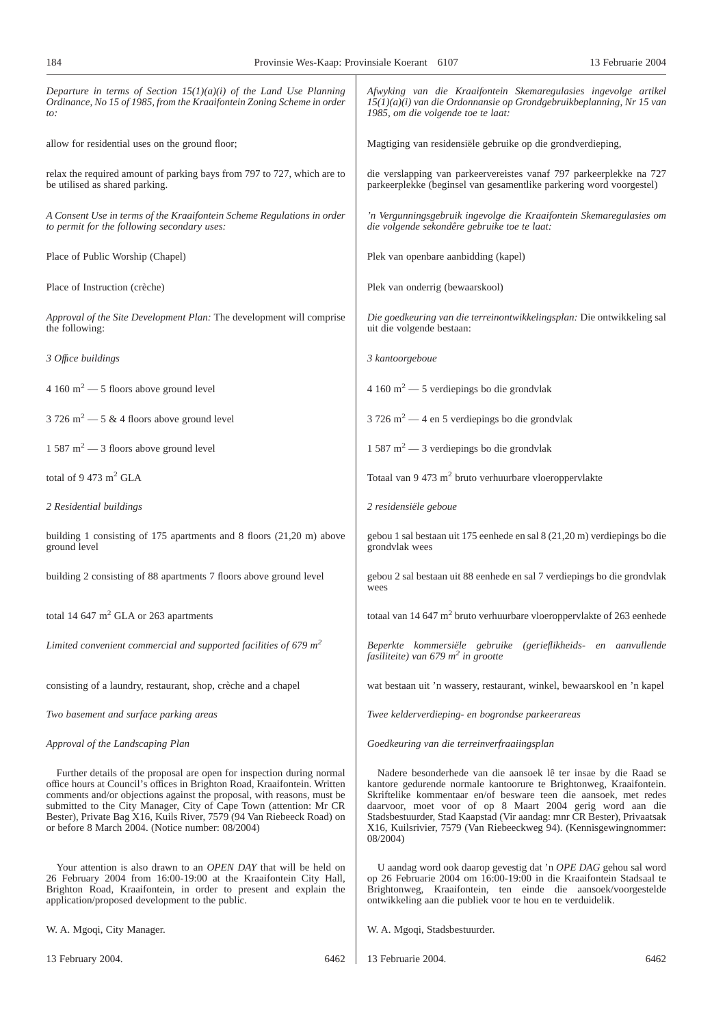| Departure in terms of Section $15(1)(a)(i)$ of the Land Use Planning<br>Ordinance, No 15 of 1985, from the Kraaifontein Zoning Scheme in order<br>to:                                                                                                                                                                                                                                                                           | Afwyking van die Kraaifontein Skemaregulasies ingevolge artikel<br>$15(1)(a)(i)$ van die Ordonnansie op Grondgebruikbeplanning, Nr 15 van<br>1985, om die volgende toe te laat:                                                                                                                                                                                                                                                   |
|---------------------------------------------------------------------------------------------------------------------------------------------------------------------------------------------------------------------------------------------------------------------------------------------------------------------------------------------------------------------------------------------------------------------------------|-----------------------------------------------------------------------------------------------------------------------------------------------------------------------------------------------------------------------------------------------------------------------------------------------------------------------------------------------------------------------------------------------------------------------------------|
| allow for residential uses on the ground floor;                                                                                                                                                                                                                                                                                                                                                                                 | Magtiging van residensiële gebruike op die grondverdieping,                                                                                                                                                                                                                                                                                                                                                                       |
| relax the required amount of parking bays from 797 to 727, which are to<br>be utilised as shared parking.                                                                                                                                                                                                                                                                                                                       | die verslapping van parkeervereistes vanaf 797 parkeerplekke na 727<br>parkeerplekke (beginsel van gesamentlike parkering word voorgestel)                                                                                                                                                                                                                                                                                        |
| A Consent Use in terms of the Kraaifontein Scheme Regulations in order<br>to permit for the following secondary uses:                                                                                                                                                                                                                                                                                                           | 'n Vergunningsgebruik ingevolge die Kraaifontein Skemaregulasies om<br>die volgende sekondêre gebruike toe te laat:                                                                                                                                                                                                                                                                                                               |
| Place of Public Worship (Chapel)                                                                                                                                                                                                                                                                                                                                                                                                | Plek van openbare aanbidding (kapel)                                                                                                                                                                                                                                                                                                                                                                                              |
| Place of Instruction (crèche)                                                                                                                                                                                                                                                                                                                                                                                                   | Plek van onderrig (bewaarskool)                                                                                                                                                                                                                                                                                                                                                                                                   |
| Approval of the Site Development Plan: The development will comprise<br>the following:                                                                                                                                                                                                                                                                                                                                          | Die goedkeuring van die terreinontwikkelingsplan: Die ontwikkeling sal<br>uit die volgende bestaan:                                                                                                                                                                                                                                                                                                                               |
| 3 Office buildings                                                                                                                                                                                                                                                                                                                                                                                                              | 3 kantoorgeboue                                                                                                                                                                                                                                                                                                                                                                                                                   |
| $4.160 \text{ m}^2 - 5$ floors above ground level                                                                                                                                                                                                                                                                                                                                                                               | 4 160 m <sup>2</sup> $-$ 5 verdiepings bo die grondvlak                                                                                                                                                                                                                                                                                                                                                                           |
| $3726 \text{ m}^2 - 5 \text{ \& } 4 \text{ floors above ground level}$                                                                                                                                                                                                                                                                                                                                                          | $3726 \text{ m}^2$ - 4 en 5 verdiepings bo die grondvlak                                                                                                                                                                                                                                                                                                                                                                          |
| $1587 \text{ m}^2$ – 3 floors above ground level                                                                                                                                                                                                                                                                                                                                                                                | $1587 \text{ m}^2$ — 3 verdiepings bo die grondvlak                                                                                                                                                                                                                                                                                                                                                                               |
| total of 9 473 m <sup>2</sup> GLA                                                                                                                                                                                                                                                                                                                                                                                               | Totaal van 9 473 m <sup>2</sup> bruto verhuurbare vloeroppervlakte                                                                                                                                                                                                                                                                                                                                                                |
| 2 Residential buildings                                                                                                                                                                                                                                                                                                                                                                                                         | 2 residensiële geboue                                                                                                                                                                                                                                                                                                                                                                                                             |
| building 1 consisting of 175 apartments and 8 floors $(21,20 \text{ m})$ above<br>ground level                                                                                                                                                                                                                                                                                                                                  | gebou 1 sal bestaan uit 175 eenhede en sal 8 (21,20 m) verdiepings bo die<br>grondvlak wees                                                                                                                                                                                                                                                                                                                                       |
| building 2 consisting of 88 apartments 7 floors above ground level                                                                                                                                                                                                                                                                                                                                                              | gebou 2 sal bestaan uit 88 eenhede en sal 7 verdiepings bo die grondvlak<br>wees                                                                                                                                                                                                                                                                                                                                                  |
| total 14 647 $m2$ GLA or 263 apartments                                                                                                                                                                                                                                                                                                                                                                                         | totaal van 14 647 m <sup>2</sup> bruto verhuurbare vloeroppervlakte of 263 eenhede                                                                                                                                                                                                                                                                                                                                                |
| Limited convenient commercial and supported facilities of 679 $m2$                                                                                                                                                                                                                                                                                                                                                              | Beperkte kommersiële gebruike (gerieflikheids- en aanvullende<br>fasiliteite) van 679 m <sup>2</sup> in grootte                                                                                                                                                                                                                                                                                                                   |
| consisting of a laundry, restaurant, shop, crèche and a chapel                                                                                                                                                                                                                                                                                                                                                                  | wat bestaan uit 'n wassery, restaurant, winkel, bewaarskool en 'n kapel                                                                                                                                                                                                                                                                                                                                                           |
| Two basement and surface parking areas                                                                                                                                                                                                                                                                                                                                                                                          | Twee kelderverdieping- en bogrondse parkeerareas                                                                                                                                                                                                                                                                                                                                                                                  |
| Approval of the Landscaping Plan                                                                                                                                                                                                                                                                                                                                                                                                | Goedkeuring van die terreinverfraaiingsplan                                                                                                                                                                                                                                                                                                                                                                                       |
| Further details of the proposal are open for inspection during normal<br>office hours at Council's offices in Brighton Road, Kraaifontein. Written<br>comments and/or objections against the proposal, with reasons, must be<br>submitted to the City Manager, City of Cape Town (attention: Mr CR<br>Bester), Private Bag X16, Kuils River, 7579 (94 Van Riebeeck Road) on<br>or before 8 March 2004. (Notice number: 08/2004) | Nadere besonderhede van die aansoek lê ter insae by die Raad se<br>kantore gedurende normale kantoorure te Brightonweg, Kraaifontein.<br>Skriftelike kommentaar en/of besware teen die aansoek, met redes<br>daarvoor, moet voor of op 8 Maart 2004 gerig word aan die<br>Stadsbestuurder, Stad Kaapstad (Vir aandag: mnr CR Bester), Privaatsak<br>X16, Kuilsrivier, 7579 (Van Riebeeckweg 94). (Kennisgewingnommer:<br>08/2004) |
| Your attention is also drawn to an <i>OPEN DAY</i> that will be held on<br>26 February 2004 from 16:00-19:00 at the Kraaifontein City Hall,<br>Brighton Road, Kraaifontein, in order to present and explain the<br>application/proposed development to the public.                                                                                                                                                              | U aandag word ook daarop gevestig dat 'n OPE DAG gehou sal word<br>op 26 Februarie 2004 om 16:00-19:00 in die Kraaifontein Stadsaal te<br>Brightonweg, Kraaifontein, ten einde die aansoek/voorgestelde<br>ontwikkeling aan die publiek voor te hou en te verduidelik.                                                                                                                                                            |
| W. A. Mgoqi, City Manager.                                                                                                                                                                                                                                                                                                                                                                                                      | W. A. Mgoqi, Stadsbestuurder.                                                                                                                                                                                                                                                                                                                                                                                                     |

W. A. Mgoqi, City Manager.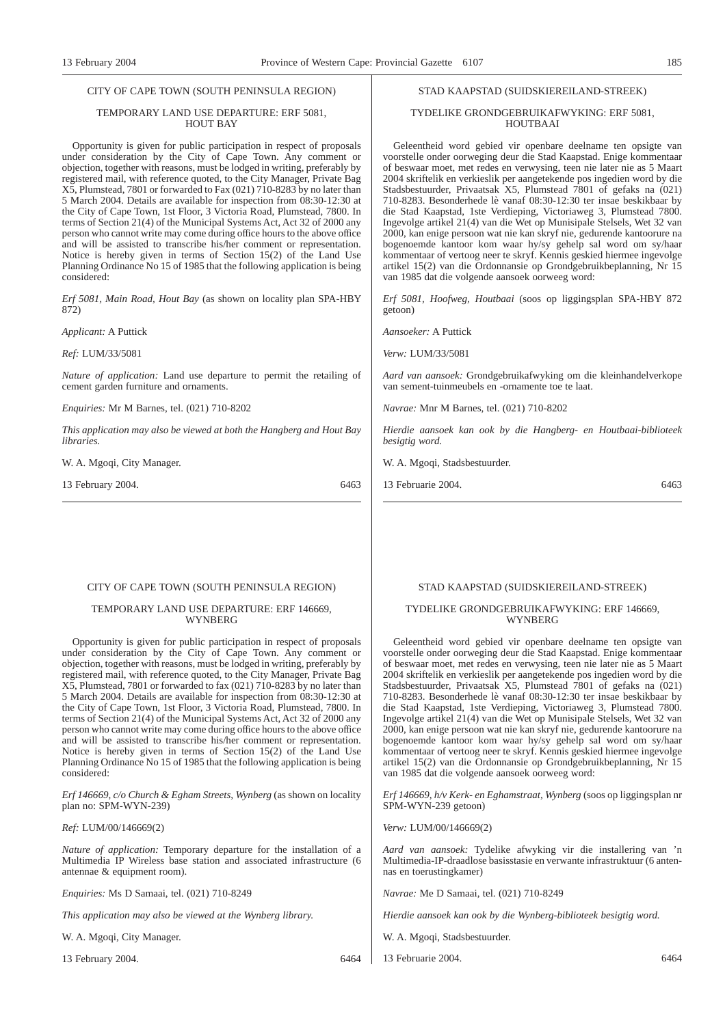#### CITY OF CAPE TOWN (SOUTH PENINSULA REGION)

#### TEMPORARY LAND USE DEPARTURE: ERF 5081, HOUT BAY

Opportunity is given for public participation in respect of proposals under consideration by the City of Cape Town. Any comment or objection, together with reasons, must be lodged in writing, preferably by registered mail, with reference quoted, to the City Manager, Private Bag X5, Plumstead, 7801 or forwarded to Fax (021) 710-8283 by no later than 5 March 2004. Details are available for inspection from 08:30-12:30 at the City of Cape Town, 1st Floor, 3 Victoria Road, Plumstead, 7800. In terms of Section 21(4) of the Municipal Systems Act, Act 32 of 2000 any person who cannot write may come during office hours to the above office and will be assisted to transcribe his/her comment or representation. Notice is hereby given in terms of Section 15(2) of the Land Use Planning Ordinance No 15 of 1985 that the following application is being considered:

*Erf 5081, Main Road, Hout Bay* (as shown on locality plan SPA-HBY 872)

*Applicant:* A Puttick

*Ref:* LUM/33/5081

*Nature of application:* Land use departure to permit the retailing of cement garden furniture and ornaments.

*Enquiries:* Mr M Barnes, tel. (021) 710-8202

*This application may also be viewed at both the Hangberg and Hout Bay libraries.*

W. A. Mgoqi, City Manager.

13 February 2004. 6463

#### CITY OF CAPE TOWN (SOUTH PENINSULA REGION)

#### TEMPORARY LAND USE DEPARTURE: ERF 146669, WYNBERG

Opportunity is given for public participation in respect of proposals under consideration by the City of Cape Town. Any comment or objection, together with reasons, must be lodged in writing, preferably by registered mail, with reference quoted, to the City Manager, Private Bag X5, Plumstead, 7801 or forwarded to fax (021) 710-8283 by no later than 5 March 2004. Details are available for inspection from 08:30-12:30 at the City of Cape Town, 1st Floor, 3 Victoria Road, Plumstead, 7800. In terms of Section 21(4) of the Municipal Systems Act, Act 32 of 2000 any person who cannot write may come during office hours to the above office and will be assisted to transcribe his/her comment or representation. Notice is hereby given in terms of Section 15(2) of the Land Use Planning Ordinance No 15 of 1985 that the following application is being considered:

*Erf 146669, c/o Church & Egham Streets, Wynberg* (as shown on locality plan no: SPM-WYN-239)

*Ref:* LUM/00/146669(2)

*Nature of application:* Temporary departure for the installation of a Multimedia IP Wireless base station and associated infrastructure (6 antennae & equipment room).

*Enquiries:* Ms D Samaai, tel. (021) 710-8249

*This application may also be viewed at the Wynberg library.*

W. A. Mgoqi, City Manager.

13 February 2004. 6464

#### STAD KAAPSTAD (SUIDSKIEREILAND-STREEK)

#### TYDELIKE GRONDGEBRUIKAFWYKING: ERF 5081, HOUTBAAI

Geleentheid word gebied vir openbare deelname ten opsigte van voorstelle onder oorweging deur die Stad Kaapstad. Enige kommentaar of beswaar moet, met redes en verwysing, teen nie later nie as 5 Maart 2004 skriftelik en verkieslik per aangetekende pos ingedien word by die Stadsbestuurder, Privaatsak X5, Plumstead 7801 of gefaks na (021) 710-8283. Besonderhede lè vanaf 08:30-12:30 ter insae beskikbaar by die Stad Kaapstad, 1ste Verdieping, Victoriaweg 3, Plumstead 7800. Ingevolge artikel 21(4) van die Wet op Munisipale Stelsels, Wet 32 van 2000, kan enige persoon wat nie kan skryf nie, gedurende kantoorure na bogenoemde kantoor kom waar hy/sy gehelp sal word om sy/haar kommentaar of vertoog neer te skryf. Kennis geskied hiermee ingevolge artikel 15(2) van die Ordonnansie op Grondgebruikbeplanning, Nr 15 van 1985 dat die volgende aansoek oorweeg word:

*Erf 5081, Hoofweg, Houtbaai* (soos op liggingsplan SPA-HBY 872 getoon)

*Aansoeker:* A Puttick

*Verw:* LUM/33/5081

*Aard van aansoek:* Grondgebruikafwyking om die kleinhandelverkope van sement-tuinmeubels en -ornamente toe te laat.

*Navrae:* Mnr M Barnes, tel. (021) 710-8202

*Hierdie aansoek kan ook by die Hangberg- en Houtbaai-biblioteek besigtig word.*

W. A. Mgoqi, Stadsbestuurder.

13 Februarie 2004. 6463

### STAD KAAPSTAD (SUIDSKIEREILAND-STREEK)

#### TYDELIKE GRONDGEBRUIKAFWYKING: ERF 146669, WYNBERG

Geleentheid word gebied vir openbare deelname ten opsigte van voorstelle onder oorweging deur die Stad Kaapstad. Enige kommentaar of beswaar moet, met redes en verwysing, teen nie later nie as 5 Maart 2004 skriftelik en verkieslik per aangetekende pos ingedien word by die Stadsbestuurder, Privaatsak X5, Plumstead 7801 of gefaks na (021) 710-8283. Besonderhede lè vanaf 08:30-12:30 ter insae beskikbaar by die Stad Kaapstad, 1ste Verdieping, Victoriaweg 3, Plumstead 7800. Ingevolge artikel 21(4) van die Wet op Munisipale Stelsels, Wet 32 van 2000, kan enige persoon wat nie kan skryf nie, gedurende kantoorure na bogenoemde kantoor kom waar hy/sy gehelp sal word om sy/haar kommentaar of vertoog neer te skryf. Kennis geskied hiermee ingevolge artikel 15(2) van die Ordonnansie op Grondgebruikbeplanning, Nr 15 van 1985 dat die volgende aansoek oorweeg word:

*Erf 146669, h/v Kerk- en Eghamstraat, Wynberg* (soos op liggingsplan nr SPM-WYN-239 getoon)

*Verw:* LUM/00/146669(2)

*Aard van aansoek:* Tydelike afwyking vir die installering van 'n Multimedia-IP-draadlose basisstasie en verwante infrastruktuur (6 antennas en toerustingkamer)

*Navrae:* Me D Samaai, tel. (021) 710-8249

*Hierdie aansoek kan ook by die Wynberg-biblioteek besigtig word.*

- W. A. Mgoqi, Stadsbestuurder.
- 13 Februarie 2004. 6464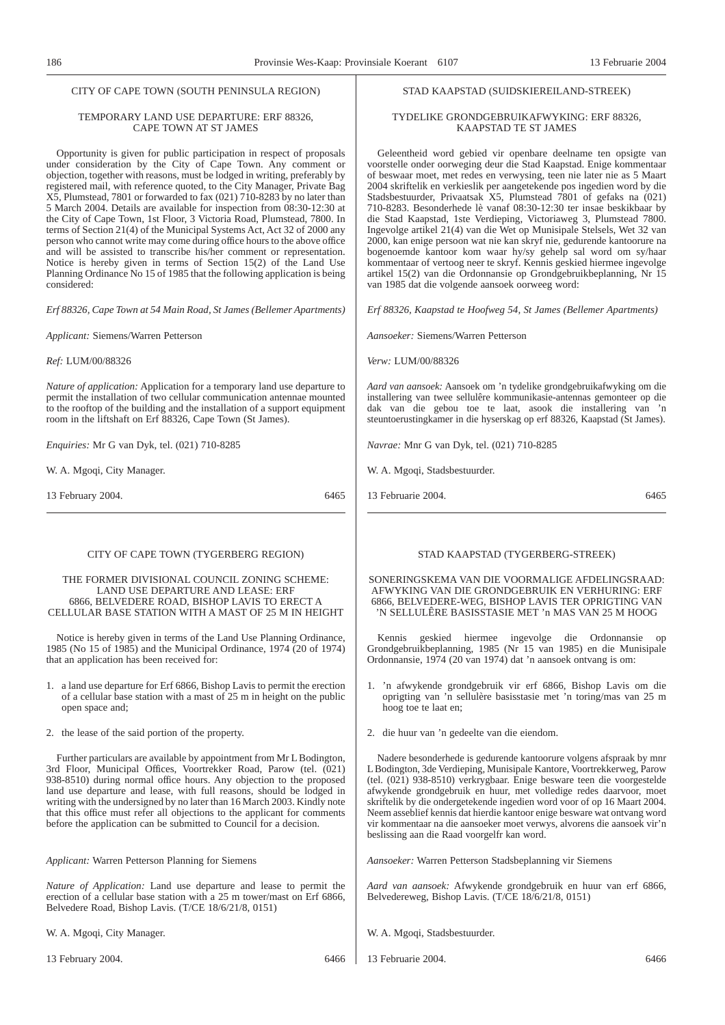#### CITY OF CAPE TOWN (SOUTH PENINSULA REGION)

#### TEMPORARY LAND USE DEPARTURE: ERF 88326, CAPE TOWN AT ST JAMES

Opportunity is given for public participation in respect of proposals under consideration by the City of Cape Town. Any comment or objection, together with reasons, must be lodged in writing, preferably by registered mail, with reference quoted, to the City Manager, Private Bag X5, Plumstead, 7801 or forwarded to fax (021) 710-8283 by no later than 5 March 2004. Details are available for inspection from 08:30-12:30 at the City of Cape Town, 1st Floor, 3 Victoria Road, Plumstead, 7800. In terms of Section 21(4) of the Municipal Systems Act, Act 32 of 2000 any person who cannot write may come during office hours to the above office and will be assisted to transcribe his/her comment or representation. Notice is hereby given in terms of Section 15(2) of the Land Use Planning Ordinance No 15 of 1985 that the following application is being considered:

*Erf 88326, Cape Town at 54 Main Road, St James (Bellemer Apartments)*

*Applicant:* Siemens/Warren Petterson

*Ref:* LUM/00/88326

*Nature of application:* Application for a temporary land use departure to permit the installation of two cellular communication antennae mounted to the rooftop of the building and the installation of a support equipment room in the liftshaft on Erf 88326, Cape Town (St James).

*Enquiries:* Mr G van Dyk, tel. (021) 710-8285

W. A. Mgoqi, City Manager.

13 February 2004. 6465

#### CITY OF CAPE TOWN (TYGERBERG REGION)

#### THE FORMER DIVISIONAL COUNCIL ZONING SCHEME: LAND USE DEPARTURE AND LEASE: ERF 6866, BELVEDERE ROAD, BISHOP LAVIS TO ERECT A CELLULAR BASE STATION WITH A MAST OF 25 M IN HEIGHT

Notice is hereby given in terms of the Land Use Planning Ordinance, 1985 (No 15 of 1985) and the Municipal Ordinance, 1974 (20 of 1974) that an application has been received for:

- 1. a land use departure for Erf 6866, Bishop Lavis to permit the erection of a cellular base station with a mast of 25 m in height on the public open space and;
- 2. the lease of the said portion of the property.

Further particulars are available by appointment from Mr L Bodington, 3rd Floor, Municipal Offices, Voortrekker Road, Parow (tel. (021) 938-8510) during normal office hours. Any objection to the proposed land use departure and lease, with full reasons, should be lodged in writing with the undersigned by no later than 16 March 2003. Kindly note that this office must refer all objections to the applicant for comments before the application can be submitted to Council for a decision.

*Applicant:* Warren Petterson Planning for Siemens

*Nature of Application:* Land use departure and lease to permit the erection of a cellular base station with a 25 m tower/mast on Erf 6866, Belvedere Road, Bishop Lavis. (T/CE 18/6/21/8, 0151)

W. A. Mgoqi, City Manager.

13 February 2004. 6466

#### STAD KAAPSTAD (SUIDSKIEREILAND-STREEK)

#### TYDELIKE GRONDGEBRUIKAFWYKING: ERF 88326, KAAPSTAD TE ST JAMES

Geleentheid word gebied vir openbare deelname ten opsigte van voorstelle onder oorweging deur die Stad Kaapstad. Enige kommentaar of beswaar moet, met redes en verwysing, teen nie later nie as 5 Maart 2004 skriftelik en verkieslik per aangetekende pos ingedien word by die Stadsbestuurder, Privaatsak X5, Plumstead 7801 of gefaks na (021) 710-8283. Besonderhede lè vanaf 08:30-12:30 ter insae beskikbaar by die Stad Kaapstad, 1ste Verdieping, Victoriaweg 3, Plumstead 7800. Ingevolge artikel 21(4) van die Wet op Munisipale Stelsels, Wet 32 van 2000, kan enige persoon wat nie kan skryf nie, gedurende kantoorure na bogenoemde kantoor kom waar hy/sy gehelp sal word om sy/haar kommentaar of vertoog neer te skryf. Kennis geskied hiermee ingevolge artikel 15(2) van die Ordonnansie op Grondgebruikbeplanning, Nr 15 van 1985 dat die volgende aansoek oorweeg word:

*Erf 88326, Kaapstad te Hoofweg 54, St James (Bellemer Apartments)*

*Aansoeker:* Siemens/Warren Petterson

*Verw:* LUM/00/88326

*Aard van aansoek:* Aansoek om 'n tydelike grondgebruikafwyking om die installering van twee sellulêre kommunikasie-antennas gemonteer op die dak van die gebou toe te laat, asook die installering van 'n steuntoerustingkamer in die hyserskag op erf 88326, Kaapstad (St James).

*Navrae:* Mnr G van Dyk, tel. (021) 710-8285

W. A. Mgoqi, Stadsbestuurder.

13 Februarie 2004. 6465

#### STAD KAAPSTAD (TYGERBERG-STREEK)

SONERINGSKEMA VAN DIE VOORMALIGE AFDELINGSRAAD: AFWYKING VAN DIE GRONDGEBRUIK EN VERHURING: ERF 6866, BELVEDERE-WEG, BISHOP LAVIS TER OPRIGTING VAN 'N SELLULÊRE BASISSTASIE MET 'n MAS VAN 25 M HOOG

Kennis geskied hiermee ingevolge die Ordonnansie Grondgebruikbeplanning, 1985 (Nr 15 van 1985) en die Munisipale Ordonnansie, 1974 (20 van 1974) dat 'n aansoek ontvang is om:

- 1. 'n afwykende grondgebruik vir erf 6866, Bishop Lavis om die oprigting van 'n sellulère basisstasie met 'n toring/mas van 25 m hoog toe te laat en;
- 2. die huur van 'n gedeelte van die eiendom.

Nadere besonderhede is gedurende kantoorure volgens afspraak by mnr L Bodington, 3de Verdieping, Munisipale Kantore, Voortrekkerweg, Parow (tel. (021) 938-8510) verkrygbaar. Enige besware teen die voorgestelde afwykende grondgebruik en huur, met volledige redes daarvoor, moet skriftelik by die ondergetekende ingedien word voor of op 16 Maart 2004. Neem asseblief kennis dat hierdie kantoor enige besware wat ontvang word vir kommentaar na die aansoeker moet verwys, alvorens die aansoek vir'n beslissing aan die Raad voorgelfr kan word.

*Aansoeker:* Warren Petterson Stadsbeplanning vir Siemens

*Aard van aansoek:* Afwykende grondgebruik en huur van erf 6866, Belvedereweg, Bishop Lavis. (T/CE 18/6/21/8, 0151)

- W. A. Mgoqi, Stadsbestuurder.
- 13 Februarie 2004. 6466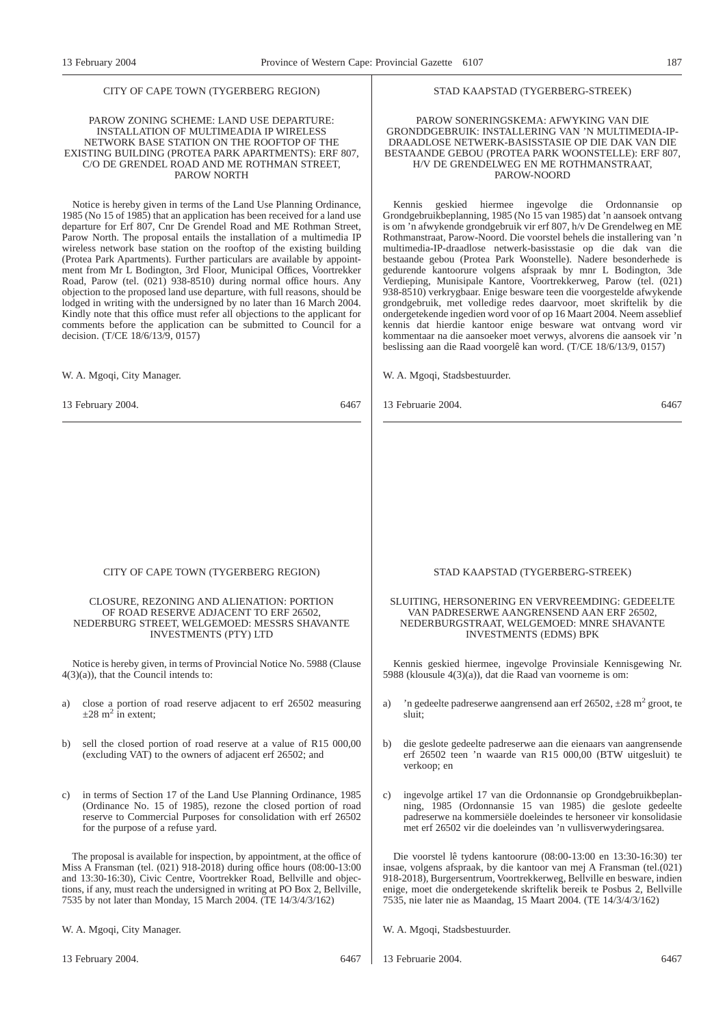#### CITY OF CAPE TOWN (TYGERBERG REGION)

#### PAROW ZONING SCHEME: LAND USE DEPARTURE: INSTALLATION OF MULTIMEADIA IP WIRELESS NETWORK BASE STATION ON THE ROOFTOP OF THE EXISTING BUILDING (PROTEA PARK APARTMENTS): ERF 807, C/O DE GRENDEL ROAD AND ME ROTHMAN STREET, PAROW NORTH

Notice is hereby given in terms of the Land Use Planning Ordinance, 1985 (No 15 of 1985) that an application has been received for a land use departure for Erf 807, Cnr De Grendel Road and ME Rothman Street, Parow North. The proposal entails the installation of a multimedia IP wireless network base station on the rooftop of the existing building (Protea Park Apartments). Further particulars are available by appointment from Mr L Bodington, 3rd Floor, Municipal Offices, Voortrekker Road, Parow (tel. (021) 938-8510) during normal office hours. Any objection to the proposed land use departure, with full reasons, should be lodged in writing with the undersigned by no later than 16 March 2004. Kindly note that this office must refer all objections to the applicant for comments before the application can be submitted to Council for a decision. (T/CE 18/6/13/9, 0157)

W. A. Mgoqi, City Manager.

13 February 2004. 6467

#### CITY OF CAPE TOWN (TYGERBERG REGION)

#### CLOSURE, REZONING AND ALIENATION: PORTION OF ROAD RESERVE ADJACENT TO ERF 26502, NEDERBURG STREET, WELGEMOED: MESSRS SHAVANTE INVESTMENTS (PTY) LTD

Notice is hereby given, in terms of Provincial Notice No. 5988 (Clause  $4(3)(a)$ , that the Council intends to:

- a) close a portion of road reserve adjacent to erf 26502 measuring  $\pm 28$  m<sup>2</sup> in extent;
- b) sell the closed portion of road reserve at a value of R15 000,00 (excluding VAT) to the owners of adjacent erf 26502; and
- c) in terms of Section 17 of the Land Use Planning Ordinance, 1985 (Ordinance No. 15 of 1985), rezone the closed portion of road reserve to Commercial Purposes for consolidation with erf 26502 for the purpose of a refuse yard.

The proposal is available for inspection, by appointment, at the office of Miss A Fransman (tel. (021) 918-2018) during office hours (08:00-13:00 and 13:30-16:30), Civic Centre, Voortrekker Road, Bellville and objections, if any, must reach the undersigned in writing at PO Box 2, Bellville, 7535 by not later than Monday, 15 March 2004. (TE 14/3/4/3/162)

W. A. Mgoqi, City Manager.

#### STAD KAAPSTAD (TYGERBERG-STREEK)

#### PAROW SONERINGSKEMA: AFWYKING VAN DIE GRONDDGEBRUIK: INSTALLERING VAN 'N MULTIMEDIA-IP-DRAADLOSE NETWERK-BASISSTASIE OP DIE DAK VAN DIE BESTAANDE GEBOU (PROTEA PARK WOONSTELLE): ERF 807, H/V DE GRENDELWEG EN ME ROTHMANSTRAAT, PAROW-NOORD

Kennis geskied hiermee ingevolge die Ordonnansie op Grondgebruikbeplanning, 1985 (No 15 van 1985) dat 'n aansoek ontvang is om 'n afwykende grondgebruik vir erf 807, h/v De Grendelweg en ME Rothmanstraat, Parow-Noord. Die voorstel behels die installering van 'n multimedia-IP-draadlose netwerk-basisstasie op die dak van die bestaande gebou (Protea Park Woonstelle). Nadere besonderhede is gedurende kantoorure volgens afspraak by mnr L Bodington, 3de Verdieping, Munisipale Kantore, Voortrekkerweg, Parow (tel. (021) 938-8510) verkrygbaar. Enige besware teen die voorgestelde afwykende grondgebruik, met volledige redes daarvoor, moet skriftelik by die ondergetekende ingedien word voor of op 16 Maart 2004. Neem asseblief kennis dat hierdie kantoor enige besware wat ontvang word vir kommentaar na die aansoeker moet verwys, alvorens die aansoek vir 'n beslissing aan die Raad voorgelê kan word. (T/CE 18/6/13/9, 0157)

W. A. Mgoqi, Stadsbestuurder.

13 Februarie 2004. 6467

#### STAD KAAPSTAD (TYGERBERG-STREEK)

#### SLUITING, HERSONERING EN VERVREEMDING: GEDEELTE VAN PADRESERWE AANGRENSEND AAN ERF 26502, NEDERBURGSTRAAT, WELGEMOED: MNRE SHAVANTE INVESTMENTS (EDMS) BPK

Kennis geskied hiermee, ingevolge Provinsiale Kennisgewing Nr. 5988 (klousule 4(3)(a)), dat die Raad van voorneme is om:

- a) 'n gedeelte padreserwe aangrensend aan erf 26502,  $\pm 28$  m<sup>2</sup> groot, te sluit;
- b) die geslote gedeelte padreserwe aan die eienaars van aangrensende erf 26502 teen 'n waarde van R15 000,00 (BTW uitgesluit) te verkoop; en
- c) ingevolge artikel 17 van die Ordonnansie op Grondgebruikbeplanning, 1985 (Ordonnansie 15 van 1985) die geslote gedeelte padreserwe na kommersiële doeleindes te hersoneer vir konsolidasie met erf 26502 vir die doeleindes van 'n vullisverwyderingsarea.

Die voorstel lê tydens kantoorure (08:00-13:00 en 13:30-16:30) ter insae, volgens afspraak, by die kantoor van mej A Fransman (tel.(021) 918-2018), Burgersentrum, Voortrekkerweg, Bellville en besware, indien enige, moet die ondergetekende skriftelik bereik te Posbus 2, Bellville 7535, nie later nie as Maandag, 15 Maart 2004. (TE 14/3/4/3/162)

W. A. Mgoqi, Stadsbestuurder.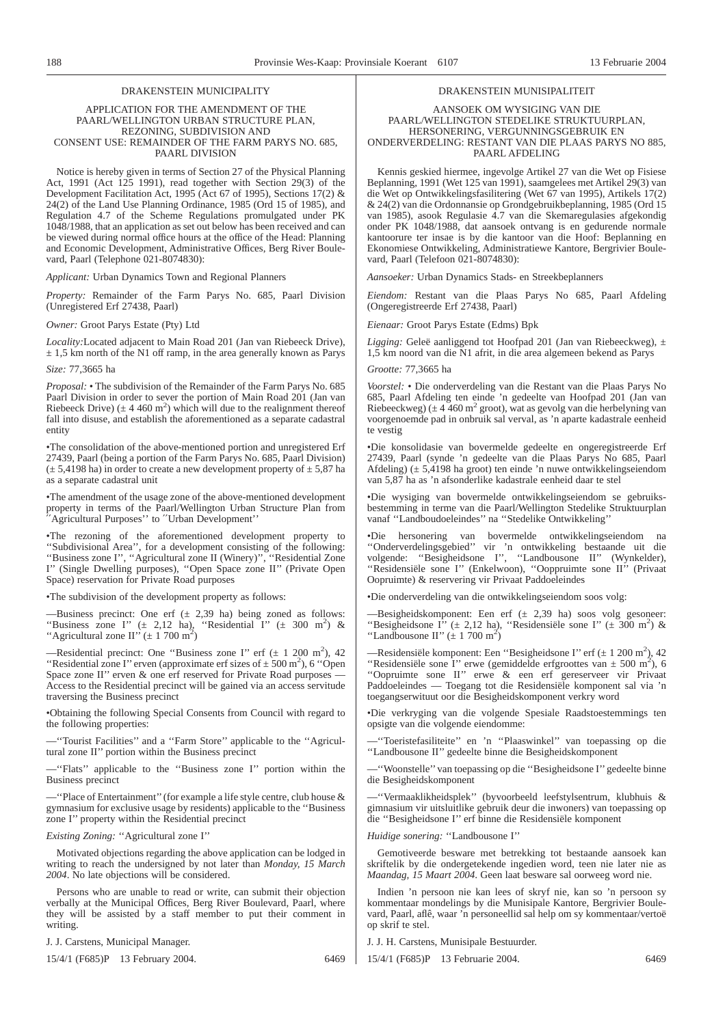#### DRAKENSTEIN MUNICIPALITY

#### APPLICATION FOR THE AMENDMENT OF THE PAARL/WELLINGTON URBAN STRUCTURE PLAN, REZONING, SUBDIVISION AND CONSENT USE: REMAINDER OF THE FARM PARYS NO. 685, PAARL DIVISION

Notice is hereby given in terms of Section 27 of the Physical Planning Act, 1991 (Act 125 1991), read together with Section 29(3) of the Development Facilitation Act, 1995 (Act 67 of 1995), Sections 17(2) & 24(2) of the Land Use Planning Ordinance, 1985 (Ord 15 of 1985), and Regulation 4.7 of the Scheme Regulations promulgated under PK 1048/1988, that an application as set out below has been received and can be viewed during normal office hours at the office of the Head: Planning and Economic Development, Administrative Offices, Berg River Boulevard, Paarl (Telephone 021-8074830):

*Applicant:* Urban Dynamics Town and Regional Planners

*Property:* Remainder of the Farm Parys No. 685, Paarl Division (Unregistered Erf 27438, Paarl)

*Owner:* Groot Parys Estate (Pty) Ltd

*Locality:*Located adjacent to Main Road 201 (Jan van Riebeeck Drive),  $\pm$  1,5 km north of the N1 off ramp, in the area generally known as Parys

*Size:* 77,3665 ha

*Proposal:* • The subdivision of the Remainder of the Farm Parys No. 685 Paarl Division in order to sever the portion of Main Road 201 (Jan van Riebeeck Drive) ( $\pm 4.460$  m<sup>2</sup>) which will due to the realignment thereof fall into disuse, and establish the aforementioned as a separate cadastral entity

•The consolidation of the above-mentioned portion and unregistered Erf 27439, Paarl (being a portion of the Farm Parys No. 685, Paarl Division)  $(\pm 5,4198$  ha) in order to create a new development property of  $\pm 5,87$  ha as a separate cadastral unit

•The amendment of the usage zone of the above-mentioned development property in terms of the Paarl/Wellington Urban Structure Plan from ′′Agricultural Purposes'' to ′′Urban Development''

•The rezoning of the aforementioned development property to ''Subdivisional Area'', for a development consisting of the following: ''Business zone I'', ''Agricultural zone II (Winery)'', ''Residential Zone I'' (Single Dwelling purposes), ''Open Space zone II'' (Private Open Space) reservation for Private Road purposes

•The subdivision of the development property as follows:

—Business precinct: One erf ( $\pm$  2,39 ha) being zoned as follows: "Business zone I" ( $\pm$  2,12 ha), "Residential I" ( $\pm$  300 m<sup>2</sup>) & "Agricultural zone II" ( $\pm$  1 700 m<sup>2</sup>)

-Residential precinct: One "Business zone I" erf  $(\pm 1200 \text{ m}^2)$ , 42 "Residential zone I" erven (approximate erf sizes of  $\pm$  500 m<sup>2</sup>), 6 "Open Space zone II" erven  $\&$  one erf reserved for Private Road purposes  $\cdot$ Access to the Residential precinct will be gained via an access servitude traversing the Business precinct

•Obtaining the following Special Consents from Council with regard to the following properties:

—''Tourist Facilities'' and a ''Farm Store'' applicable to the ''Agricultural zone II'' portion within the Business precinct

—''Flats'' applicable to the ''Business zone I'' portion within the Business precinct

—''Place of Entertainment''(for example a life style centre, club house & gymnasium for exclusive usage by residents) applicable to the ''Business zone I'' property within the Residential precinct

*Existing Zoning:* ''Agricultural zone I''

Motivated objections regarding the above application can be lodged in writing to reach the undersigned by not later than *Monday, 15 March 2004*. No late objections will be considered.

Persons who are unable to read or write, can submit their objection verbally at the Municipal Offices, Berg River Boulevard, Paarl, where they will be assisted by a staff member to put their comment in writing.

J. J. Carstens, Municipal Manager.

15/4/1 (F685)P 13 February 2004. 6469

#### DRAKENSTEIN MUNISIPALITEIT

#### AANSOEK OM WYSIGING VAN DIE PAARL/WELLINGTON STEDELIKE STRUKTUURPLAN, HERSONERING, VERGUNNINGSGEBRUIK EN ONDERVERDELING: RESTANT VAN DIE PLAAS PARYS NO 885, PAARL AFDELING

Kennis geskied hiermee, ingevolge Artikel 27 van die Wet op Fisiese Beplanning, 1991 (Wet 125 van 1991), saamgelees met Artikel 29(3) van die Wet op Ontwikkelingsfasilitering (Wet 67 van 1995), Artikels 17(2) & 24(2) van die Ordonnansie op Grondgebruikbeplanning, 1985 (Ord 15 van 1985), asook Regulasie 4.7 van die Skemaregulasies afgekondig onder PK 1048/1988, dat aansoek ontvang is en gedurende normale kantoorure ter insae is by die kantoor van die Hoof: Beplanning en Ekonomiese Ontwikkeling, Administratiewe Kantore, Bergrivier Boulevard, Paarl (Telefoon 021-8074830):

*Aansoeker:* Urban Dynamics Stads- en Streekbeplanners

*Eiendom:* Restant van die Plaas Parys No 685, Paarl Afdeling (Ongeregistreerde Erf 27438, Paarl)

*Eienaar:* Groot Parys Estate (Edms) Bpk

*Ligging:* Geleë aanliggend tot Hoofpad 201 (Jan van Riebeeckweg),  $\pm$ 1,5 km noord van die N1 afrit, in die area algemeen bekend as Parys

*Grootte:* 77,3665 ha

*Voorstel:* • Die onderverdeling van die Restant van die Plaas Parys No 685, Paarl Afdeling ten einde 'n gedeelte van Hoofpad 201 (Jan van Riebeeckweg) ( $\pm$  4 460 m<sup>2</sup> groot), wat as gevolg van die herbelyning van voorgenoemde pad in onbruik sal verval, as 'n aparte kadastrale eenheid te vestig

•Die konsolidasie van bovermelde gedeelte en ongeregistreerde Erf 27439, Paarl (synde 'n gedeelte van die Plaas Parys No 685, Paarl Afdeling)  $(\pm 5,4198$  ha groot) ten einde 'n nuwe ontwikkelingseiendom van 5,87 ha as 'n afsonderlike kadastrale eenheid daar te stel

•Die wysiging van bovermelde ontwikkelingseiendom se gebruiksbestemming in terme van die Paarl/Wellington Stedelike Struktuurplan vanaf ''Landboudoeleindes'' na ''Stedelike Ontwikkeling''

•Die hersonering van bovermelde ontwikkelingseiendom na ''Onderverdelingsgebied'' vir 'n ontwikkeling bestaande uit die volgende: ''Besigheidsone I'', ''Landbousone II'' (Wynkelder), ''Residensiële sone I'' (Enkelwoon), ''Ooppruimte sone II'' (Privaat Oopruimte) & reservering vir Privaat Paddoeleindes

•Die onderverdeling van die ontwikkelingseiendom soos volg:

—Besigheidskomponent: Een erf  $(\pm 2,39 \text{ ha})$  soos volg gesoneer: "Besigheidsone I''  $(\pm 2,12 \text{ ha})$ , "Residensiële sone I''  $(\pm 300 \text{ m}^2)$  & "Landbousone II"  $(\pm 1700 \text{ m}^2)$ 

—Residensiële komponent: Een "Besigheidsone I" erf  $(\pm 1200 \text{ m}^2)$ , 42 "Residensiële sone I" erwe (gemiddelde erfgroottes van  $\pm$  500 m<sup>2</sup>), 6 ''Oopruimte sone II'' erwe & een erf gereserveer vir Privaat Paddoeleindes — Toegang tot die Residensiële komponent sal via 'n toegangserwituut oor die Besigheidskomponent verkry word

•Die verkryging van die volgende Spesiale Raadstoestemmings ten opsigte van die volgende eiendomme:

—''Toeristefasiliteite'' en 'n ''Plaaswinkel'' van toepassing op die ''Landbousone II'' gedeelte binne die Besigheidskomponent

—''Woonstelle'' van toepassing op die ''Besigheidsone I'' gedeelte binne die Besigheidskomponent

—''Vermaaklikheidsplek'' (byvoorbeeld leefstylsentrum, klubhuis & gimnasium vir uitsluitlike gebruik deur die inwoners) van toepassing op die ''Besigheidsone I'' erf binne die Residensiële komponent

*Huidige sonering:* ''Landbousone I''

Gemotiveerde besware met betrekking tot bestaande aansoek kan skriftelik by die ondergetekende ingedien word, teen nie later nie as *Maandag, 15 Maart 2004*. Geen laat besware sal oorweeg word nie.

Indien 'n persoon nie kan lees of skryf nie, kan so 'n persoon sy kommentaar mondelings by die Munisipale Kantore, Bergrivier Boulevard, Paarl, aflê, waar 'n personeellid sal help om sy kommentaar/vertoë op skrif te stel.

J. J. H. Carstens, Munisipale Bestuurder.

15/4/1 (F685)P 13 Februarie 2004. 6469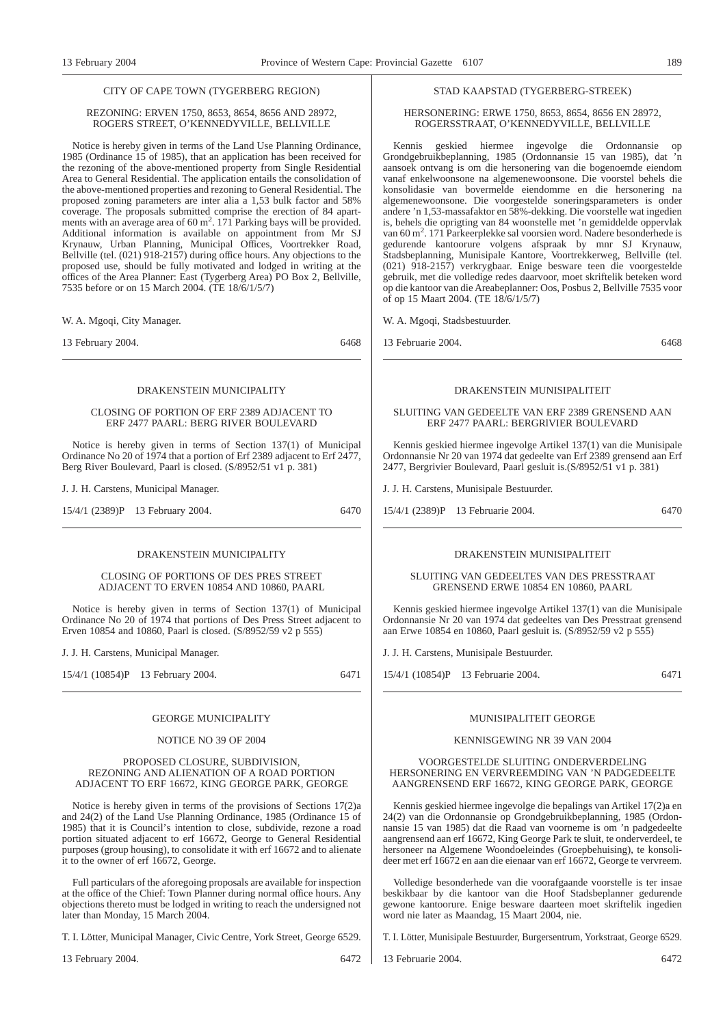#### CITY OF CAPE TOWN (TYGERBERG REGION)

#### REZONING: ERVEN 1750, 8653, 8654, 8656 AND 28972, ROGERS STREET, O'KENNEDYVILLE, BELLVILLE

Notice is hereby given in terms of the Land Use Planning Ordinance, 1985 (Ordinance 15 of 1985), that an application has been received for the rezoning of the above-mentioned property from Single Residential Area to General Residential. The application entails the consolidation of the above-mentioned properties and rezoning to General Residential. The proposed zoning parameters are inter alia a 1,53 bulk factor and 58% coverage. The proposals submitted comprise the erection of 84 apart-<br>ments with an average area of 60  $\text{m}^2$ . 171 Parking bays will be provided. Additional information is available on appointment from Mr SJ Krynauw, Urban Planning, Municipal Offices, Voortrekker Road, Bellville (tel. (021) 918-2157) during office hours. Any objections to the proposed use, should be fully motivated and lodged in writing at the offices of the Area Planner: East (Tygerberg Area) PO Box 2, Bellville, 7535 before or on 15 March 2004. (TE 18/6/1/5/7)

W. A. Mgoqi, City Manager.

13 February 2004. 6468

#### DRAKENSTEIN MUNICIPALITY

#### CLOSING OF PORTION OF ERE 2389 ADJACENT TO ERF 2477 PAARL: BERG RIVER BOULEVARD

Notice is hereby given in terms of Section 137(1) of Municipal Ordinance No 20 of 1974 that a portion of Erf 2389 adjacent to Erf 2477, Berg River Boulevard, Paarl is closed. (S/8952/51 v1 p. 381)

J. J. H. Carstens, Municipal Manager.

15/4/1 (2389)P 13 February 2004. 6470

#### DRAKENSTEIN MUNICIPALITY

CLOSING OF PORTIONS OF DES PRES STREET ADJACENT TO ERVEN 10854 AND 10860, PAARL

Notice is hereby given in terms of Section 137(1) of Municipal Ordinance No 20 of 1974 that portions of Des Press Street adjacent to Erven 10854 and 10860, Paarl is closed. (S/8952/59 v2 p 555)

J. J. H. Carstens, Municipal Manager.

15/4/1 (10854)P 13 February 2004. 6471

#### GEORGE MUNICIPALITY

#### NOTICE NO 39 OF 2004

#### PROPOSED CLOSURE, SUBDIVISION, REZONING AND ALIENATION OF A ROAD PORTION ADJACENT TO ERF 16672, KING GEORGE PARK, GEORGE

Notice is hereby given in terms of the provisions of Sections 17(2)a and 24(2) of the Land Use Planning Ordinance, 1985 (Ordinance 15 of 1985) that it is Council's intention to close, subdivide, rezone a road portion situated adjacent to erf 16672, George to General Residential purposes (group housing), to consolidate it with erf 16672 and to alienate it to the owner of erf 16672, George.

Full particulars of the aforegoing proposals are available for inspection at the office of the Chief: Town Planner during normal office hours. Any objections thereto must be lodged in writing to reach the undersigned not later than Monday, 15 March 2004.

T. I. Lötter, Municipal Manager, Civic Centre, York Street, George 6529.

13 February 2004. 6472

#### STAD KAAPSTAD (TYGERBERG-STREEK)

#### HERSONERING: ERWE 1750, 8653, 8654, 8656 EN 28972, ROGERSSTRAAT, O'KENNEDYVILLE, BELLVILLE

Kennis geskied hiermee ingevolge die Ordonnansie op Grondgebruikbeplanning, 1985 (Ordonnansie 15 van 1985), dat 'n aansoek ontvang is om die hersonering van die bogenoemde eiendom vanaf enkelwoonsone na algemenewoonsone. Die voorstel behels die konsolidasie van bovermelde eiendomme en die hersonering na algemenewoonsone. Die voorgestelde soneringsparameters is onder andere 'n 1,53-massafaktor en 58%-dekking. Die voorstelle wat ingedien is, behels die oprigting van 84 woonstelle met 'n gemiddelde oppervlak van 60 m<sup>2</sup>. 171 Parkeerplekke sal voorsien word. Nadere besonderhede is gedurende kantoorure volgens afspraak by mnr SJ Krynauw, Stadsbeplanning, Munisipale Kantore, Voortrekkerweg, Bellville (tel. (021) 918-2157) verkrygbaar. Enige besware teen die voorgestelde gebruik, met die volledige redes daarvoor, moet skriftelik beteken word op die kantoor van die Areabeplanner: Oos, Posbus 2, Bellville 7535 voor of op 15 Maart 2004. (TE 18/6/1/5/7)

W. A. Mgoqi, Stadsbestuurder.

13 Februarie 2004. 6468

#### DRAKENSTEIN MUNISIPALITEIT

#### SLUITING VAN GEDEELTE VAN ERF 2389 GRENSEND AAN ERF 2477 PAARL: BERGRlVIER BOULEVARD

Kennis geskied hiermee ingevolge Artikel 137(1) van die Munisipale Ordonnansie Nr 20 van 1974 dat gedeelte van Erf 2389 grensend aan Erf 2477, Bergrivier Boulevard, Paarl gesluit is.(S/8952/51 v1 p. 381)

J. J. H. Carstens, Munisipale Bestuurder.

15/4/1 (2389)P 13 Februarie 2004. 6470

#### DRAKENSTEIN MUNISIPALITEIT

#### SLUITING VAN GEDEELTES VAN DES PRESSTRAAT GRENSEND ERWE 10854 EN 10860, PAARL

Kennis geskied hiermee ingevolge Artikel 137(1) van die Munisipale Ordonnansie Nr 20 van 1974 dat gedeeltes van Des Presstraat grensend aan Erwe 10854 en 10860, Paarl gesluit is. (S/8952/59 v2 p 555)

J. J. H. Carstens, Munisipale Bestuurder.

15/4/1 (10854)P 13 Februarie 2004. 6471

#### MUNISIPALITEIT GEORGE

#### KENNISGEWING NR 39 VAN 2004

#### VOORGESTELDE SLUITING ONDERVERDELlNG HERSONERING EN VERVREEMDING VAN 'N PADGEDEELTE AANGRENSEND ERF 16672, KING GEORGE PARK, GEORGE

Kennis geskied hiermee ingevolge die bepalings van Artikel 17(2)a en 24(2) van die Ordonnansie op Grondgebruikbeplanning, 1985 (Ordonnansie 15 van 1985) dat die Raad van voorneme is om 'n padgedeelte aangrensend aan erf 16672, King George Park te sluit, te onderverdeel, te hersoneer na Algemene Woondoeleindes (Groepbehuising), te konsolideer met erf 16672 en aan die eienaar van erf 16672, George te vervreem.

Volledige besonderhede van die voorafgaande voorstelle is ter insae beskikbaar by die kantoor van die Hoof Stadsbeplanner gedurende gewone kantoorure. Enige besware daarteen moet skriftelik ingedien word nie later as Maandag, 15 Maart 2004, nie.

T. I. Lötter, Munisipale Bestuurder, Burgersentrum, Yorkstraat, George 6529.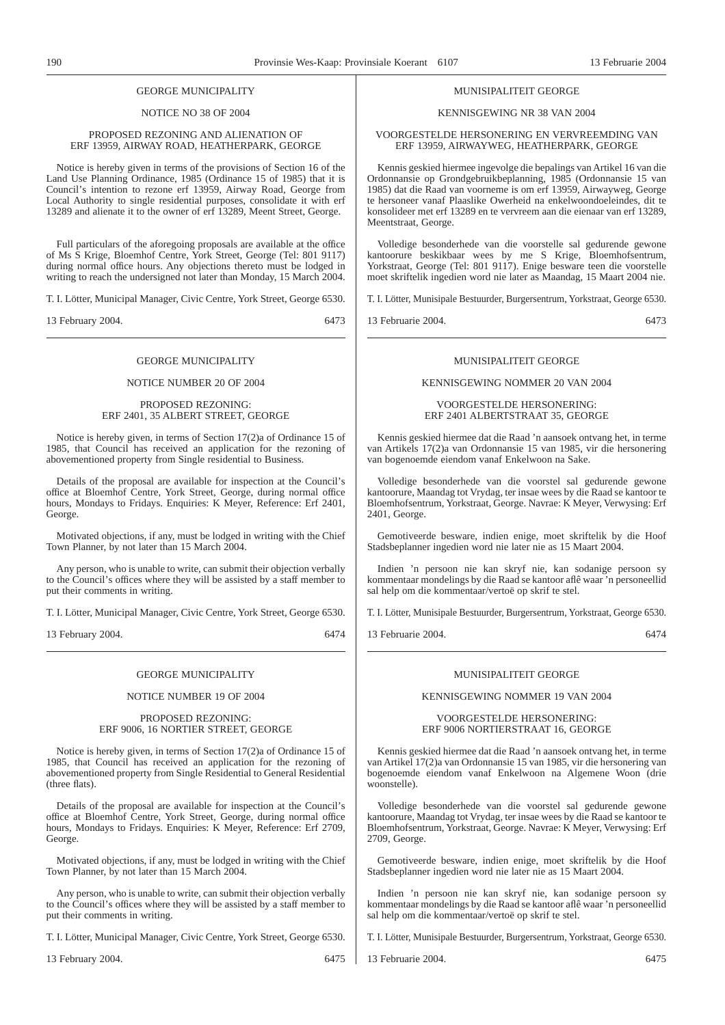#### GEORGE MUNICIPALITY

#### NOTICE NO 38 OF 2004

#### PROPOSED REZONING AND ALIENATION OF ERF 13959, AIRWAY ROAD, HEATHERPARK, GEORGE

Notice is hereby given in terms of the provisions of Section 16 of the Land Use Planning Ordinance, 1985 (Ordinance 15 of 1985) that it is Council's intention to rezone erf 13959, Airway Road, George from Local Authority to single residential purposes, consolidate it with erf 13289 and alienate it to the owner of erf 13289, Meent Street, George.

Full particulars of the aforegoing proposals are available at the office of Ms S Krige, Bloemhof Centre, York Street, George (Tel: 801 9117) during normal office hours. Any objections thereto must be lodged in writing to reach the undersigned not later than Monday, 15 March 2004.

T. I. Lötter, Municipal Manager, Civic Centre, York Street, George 6530.

13 February 2004. 6473

#### GEORGE MUNICIPALITY

#### NOTICE NUMBER 20 OF 2004

#### PROPOSED REZONING: ERF 2401, 35 ALBERT STREET, GEORGE

Notice is hereby given, in terms of Section 17(2)a of Ordinance 15 of 1985, that Council has received an application for the rezoning of abovementioned property from Single residential to Business.

Details of the proposal are available for inspection at the Council's office at Bloemhof Centre, York Street, George, during normal office hours, Mondays to Fridays. Enquiries: K Meyer, Reference: Erf 2401, George.

Motivated objections, if any, must be lodged in writing with the Chief Town Planner, by not later than 15 March 2004.

Any person, who is unable to write, can submit their objection verbally to the Council's offices where they will be assisted by a staff member to put their comments in writing.

T. I. Lötter, Municipal Manager, Civic Centre, York Street, George 6530.

13 February 2004. 6474

#### GEORGE MUNICIPALITY

#### NOTICE NUMBER 19 OF 2004

#### PROPOSED REZONING: ERF 9006, 16 NORTIER STREET, GEORGE

Notice is hereby given, in terms of Section 17(2)a of Ordinance 15 of 1985, that Council has received an application for the rezoning of abovementioned property from Single Residential to General Residential (three flats).

Details of the proposal are available for inspection at the Council's office at Bloemhof Centre, York Street, George, during normal office hours, Mondays to Fridays. Enquiries: K Meyer, Reference: Erf 2709, George.

Motivated objections, if any, must be lodged in writing with the Chief Town Planner, by not later than 15 March 2004.

Any person, who is unable to write, can submit their objection verbally to the Council's offices where they will be assisted by a staff member to put their comments in writing.

T. I. Lötter, Municipal Manager, Civic Centre, York Street, George 6530.

13 February 2004. 6475

#### MUNISIPALITEIT GEORGE

#### KENNISGEWING NR 38 VAN 2004

#### VOORGESTELDE HERSONERING EN VERVREEMDING VAN ERF 13959, AIRWAYWEG, HEATHERPARK, GEORGE

Kennis geskied hiermee ingevolge die bepalings van Artikel 16 van die Ordonnansie op Grondgebruikbeplanning, 1985 (Ordonnansie 15 van 1985) dat die Raad van voorneme is om erf 13959, Airwayweg, George te hersoneer vanaf Plaaslike Owerheid na enkelwoondoeleindes, dit te konsolideer met erf 13289 en te vervreem aan die eienaar van erf 13289, Meentstraat, George.

Volledige besonderhede van die voorstelle sal gedurende gewone kantoorure beskikbaar wees by me S Krige, Bloemhofsentrum, Yorkstraat, George (Tel: 801 9117). Enige besware teen die voorstelle moet skriftelik ingedien word nie later as Maandag, 15 Maart 2004 nie.

T. I. Lötter, Munisipale Bestuurder, Burgersentrum, Yorkstraat, George 6530.

13 Februarie 2004. 6473

#### MUNISIPALITEIT GEORGE

#### KENNISGEWING NOMMER 20 VAN 2004

VOORGESTELDE HERSONERING: ERF 2401 ALBERTSTRAAT 35, GEORGE

Kennis geskied hiermee dat die Raad 'n aansoek ontvang het, in terme van Artikels 17(2)a van Ordonnansie 15 van 1985, vir die hersonering van bogenoemde eiendom vanaf Enkelwoon na Sake.

Volledige besonderhede van die voorstel sal gedurende gewone kantoorure, Maandag tot Vrydag, ter insae wees by die Raad se kantoor te Bloemhofsentrum, Yorkstraat, George. Navrae: K Meyer, Verwysing: Erf 2401, George.

Gemotiveerde besware, indien enige, moet skriftelik by die Hoof Stadsbeplanner ingedien word nie later nie as 15 Maart 2004.

Indien 'n persoon nie kan skryf nie, kan sodanige persoon sy kommentaar mondelings by die Raad se kantoor aflê waar 'n personeellid sal help om die kommentaar/vertoë op skrif te stel.

T. I. Lötter, Munisipale Bestuurder, Burgersentrum, Yorkstraat, George 6530.

13 Februarie 2004. 6474

#### MUNISIPALITEIT GEORGE

#### KENNISGEWING NOMMER 19 VAN 2004

#### VOORGESTELDE HERSONERING: ERF 9006 NORTIERSTRAAT 16, GEORGE

Kennis geskied hiermee dat die Raad 'n aansoek ontvang het, in terme van Artikel 17(2)a van Ordonnansie 15 van 1985, vir die hersonering van bogenoemde eiendom vanaf Enkelwoon na Algemene Woon (drie woonstelle).

Volledige besonderhede van die voorstel sal gedurende gewone kantoorure, Maandag tot Vrydag, ter insae wees by die Raad se kantoor te Bloemhofsentrum, Yorkstraat, George. Navrae: K Meyer, Verwysing: Erf 2709, George.

Gemotiveerde besware, indien enige, moet skriftelik by die Hoof Stadsbeplanner ingedien word nie later nie as 15 Maart 2004.

Indien 'n persoon nie kan skryf nie, kan sodanige persoon sy kommentaar mondelings by die Raad se kantoor aflê waar 'n personeellid sal help om die kommentaar/vertoë op skrif te stel.

T. I. Lötter, Munisipale Bestuurder, Burgersentrum, Yorkstraat, George 6530.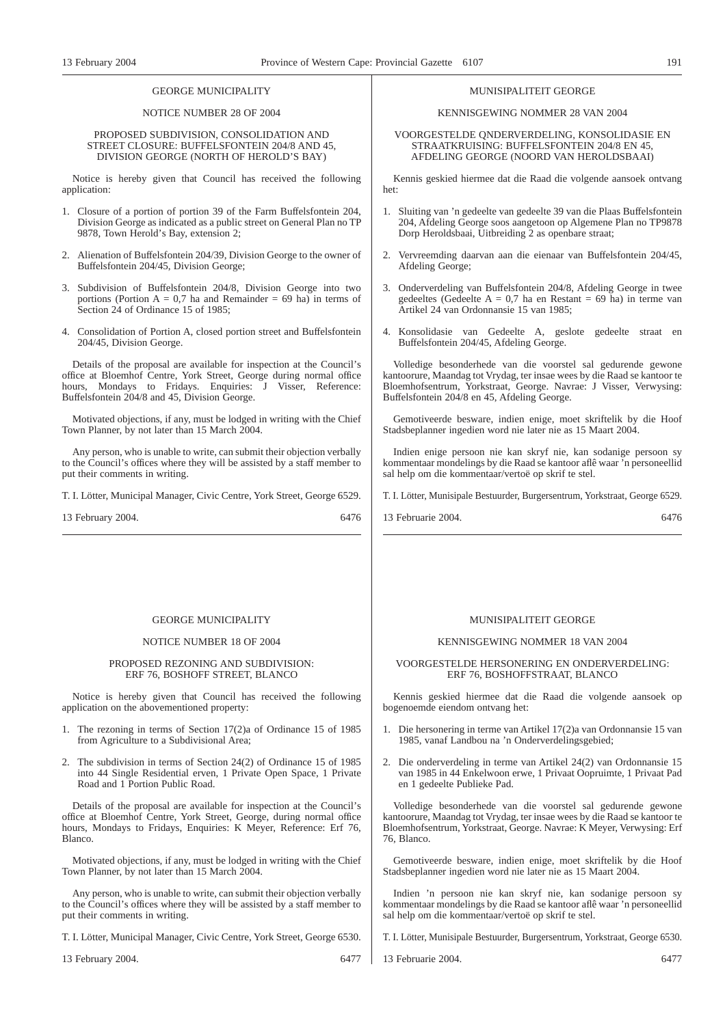#### GEORGE MUNICIPALITY

#### NOTICE NUMBER 28 OF 2004

#### PROPOSED SUBDIVISION, CONSOLIDATION AND STREET CLOSURE: BUFFELSFONTEIN 204/8 AND 45, DIVISION GEORGE (NORTH OF HEROLD'S BAY)

Notice is hereby given that Council has received the following application:

- 1. Closure of a portion of portion 39 of the Farm Buffelsfontein 204, Division George as indicated as a public street on General Plan no TP 9878, Town Herold's Bay, extension 2;
- 2. Alienation of Buffelsfontein 204/39, Division George to the owner of Buffelsfontein 204/45, Division George;
- 3. Subdivision of Buffelsfontein 204/8, Division George into two portions (Portion  $A = 0.7$  ha and Remainder = 69 ha) in terms of Section 24 of Ordinance 15 of 1985;
- 4. Consolidation of Portion A, closed portion street and Buffelsfontein 204/45, Division George.

Details of the proposal are available for inspection at the Council's office at Bloemhof Centre, York Street, George during normal office hours. Mondays to Fridays. Enquiries: J Visser, Reference: Buffelsfontein 204/8 and 45, Division George.

Motivated objections, if any, must be lodged in writing with the Chief Town Planner, by not later than 15 March 2004.

Any person, who is unable to write, can submit their objection verbally to the Council's offices where they will be assisted by a staff member to put their comments in writing.

T. I. Lötter, Municipal Manager, Civic Centre, York Street, George 6529.

13 February 2004. 6476

#### GEORGE MUNICIPALITY

#### NOTICE NUMBER 18 OF 2004

#### PROPOSED REZONING AND SUBDIVISION: ERF 76, BOSHOFF STREET, BLANCO

Notice is hereby given that Council has received the following application on the abovementioned property:

- 1. The rezoning in terms of Section 17(2)a of Ordinance 15 of 1985 from Agriculture to a Subdivisional Area;
- 2. The subdivision in terms of Section 24(2) of Ordinance 15 of 1985 into 44 Single Residential erven, 1 Private Open Space, 1 Private Road and 1 Portion Public Road.

Details of the proposal are available for inspection at the Council's office at Bloemhof Centre, York Street, George, during normal office hours, Mondays to Fridays, Enquiries: K Meyer, Reference: Erf 76, Blanco.

Motivated objections, if any, must be lodged in writing with the Chief Town Planner, by not later than 15 March 2004.

Any person, who is unable to write, can submit their objection verbally to the Council's offices where they will be assisted by a staff member to put their comments in writing.

T. I. Lötter, Municipal Manager, Civic Centre, York Street, George 6530.

13 February 2004. 6477

#### MUNISIPALITEIT GEORGE

KENNISGEWING NOMMER 28 VAN 2004

VOORGESTELDE QNDERVERDELING, KONSOLIDASIE EN STRAATKRUISING: BUFFELSFONTEIN 204/8 EN 45, AFDELING GEORGE (NOORD VAN HEROLDSBAAI)

Kennis geskied hiermee dat die Raad die volgende aansoek ontvang het:

- 1. Sluiting van 'n gedeelte van gedeelte 39 van die Plaas Buffelsfontein 204, Afdeling George soos aangetoon op Algemene Plan no TP9878 Dorp Heroldsbaai, Uitbreiding 2 as openbare straat;
- 2. Vervreemding daarvan aan die eienaar van Buffelsfontein 204/45, Afdeling George;
- 3. Onderverdeling van Buffelsfontein 204/8, Afdeling George in twee gedeeltes (Gedeelte  $A = 0.7$  ha en Restant = 69 ha) in terme van Artikel 24 van Ordonnansie 15 van 1985;
- 4. Konsolidasie van Gedeelte A, geslote gedeelte straat en Buffelsfontein 204/45, Afdeling George.

Volledige besonderhede van die voorstel sal gedurende gewone kantoorure, Maandag tot Vrydag, ter insae wees by die Raad se kantoor te Bloemhofsentrum, Yorkstraat, George. Navrae: J Visser, Verwysing: Buffelsfontein 204/8 en 45, Afdeling George.

Gemotiveerde besware, indien enige, moet skriftelik by die Hoof Stadsbeplanner ingedien word nie later nie as 15 Maart 2004.

Indien enige persoon nie kan skryf nie, kan sodanige persoon sy kommentaar mondelings by die Raad se kantoor aflê waar 'n personeellid sal help om die kommentaar/vertoë op skrif te stel.

T. I. Lötter, Munisipale Bestuurder, Burgersentrum, Yorkstraat, George 6529.

13 Februarie 2004. 6476

#### MUNISIPALITEIT GEORGE

#### KENNISGEWING NOMMER 18 VAN 2004

#### VOORGESTELDE HERSONERING EN ONDERVERDELING: ERF 76, BOSHOFFSTRAAT, BLANCO

Kennis geskied hiermee dat die Raad die volgende aansoek op bogenoemde eiendom ontvang het:

- 1. Die hersonering in terme van Artikel 17(2)a van Ordonnansie 15 van 1985, vanaf Landbou na 'n Onderverdelingsgebied;
- 2. Die onderverdeling in terme van Artikel 24(2) van Ordonnansie 15 van 1985 in 44 Enkelwoon erwe, 1 Privaat Oopruimte, 1 Privaat Pad en 1 gedeelte Publieke Pad.

Volledige besonderhede van die voorstel sal gedurende gewone kantoorure, Maandag tot Vrydag, ter insae wees by die Raad se kantoor te Bloemhofsentrum, Yorkstraat, George. Navrae: K Meyer, Verwysing: Erf 76, Blanco.

Gemotiveerde besware, indien enige, moet skriftelik by die Hoof Stadsbeplanner ingedien word nie later nie as 15 Maart 2004.

Indien 'n persoon nie kan skryf nie, kan sodanige persoon sy kommentaar mondelings by die Raad se kantoor aflê waar 'n personeellid sal help om die kommentaar/vertoë op skrif te stel.

T. I. Lötter, Munisipale Bestuurder, Burgersentrum, Yorkstraat, George 6530.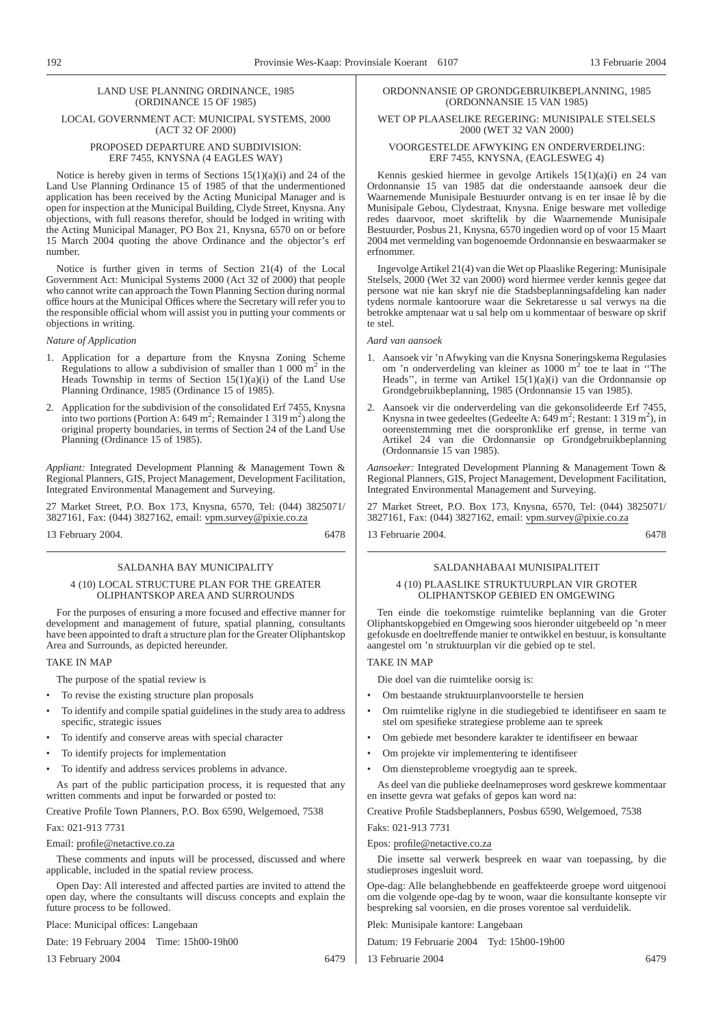#### LAND USE PLANNING ORDINANCE, 1985 (ORDINANCE 15 OF 1985)

#### LOCAL GOVERNMENT ACT: MUNICIPAL SYSTEMS, 2000 (ACT 32 OF 2000)

#### PROPOSED DEPARTURE AND SUBDIVISION: ERF 7455, KNYSNA (4 EAGLES WAY)

Notice is hereby given in terms of Sections 15(1)(a)(i) and 24 of the Land Use Planning Ordinance 15 of 1985 of that the undermentioned application has been received by the Acting Municipal Manager and is open for inspection at the Municipal Building, Clyde Street, Knysna. Any objections, with full reasons therefor, should be lodged in writing with the Acting Municipal Manager, PO Box 21, Knysna, 6570 on or before 15 March 2004 quoting the above Ordinance and the objector's erf number.

Notice is further given in terms of Section 21(4) of the Local Government Act: Municipal Systems 2000 (Act 32 of 2000) that people who cannot write can approach the Town Planning Section during normal office hours at the Municipal Offices where the Secretary will refer you to the responsible official whom will assist you in putting your comments or objections in writing.

#### *Nature of Application*

- 1. Application for a departure from the Knysna Zoning Scheme Regulations to allow a subdivision of smaller than  $1\ 000\ \text{m}^2$  in the Heads Township in terms of Section  $15(1)(a)(i)$  of the Land Use Planning Ordinance, 1985 (Ordinance 15 of 1985).
- 2. Application for the subdivision of the consolidated Erf 7455, Knysna into two portions (Portion A: 649 m<sup>2</sup>; Remainder 1 319 m<sup>2</sup>) along the original property boundaries, in terms of Section 24 of the Land Use Planning (Ordinance 15 of 1985).

*Appliant:* Integrated Development Planning & Management Town & Regional Planners, GIS, Project Management, Development Facilitation, Integrated Environmental Management and Surveying.

27 Market Street, P.O. Box 173, Knysna, 6570, Tel: (044) 3825071/ 3827161, Fax: (044) 3827162, email: vpm.survey@pixie.co.za

13 February 2004. 6478

#### SALDANHA BAY MUNICIPALITY

#### 4 (10) LOCAL STRUCTURE PLAN FOR THE GREATER OLIPHANTSKOP AREA AND SURROUNDS

For the purposes of ensuring a more focused and effective manner for development and management of future, spatial planning, consultants have been appointed to draft a structure plan for the Greater Oliphantskop Area and Surrounds, as depicted hereunder.

#### TAKE IN MAP

- The purpose of the spatial review is
- To revise the existing structure plan proposals
- To identify and compile spatial guidelines in the study area to address specific, strategic issues
- To identify and conserve areas with special character
- To identify projects for implementation
- To identify and address services problems in advance.

As part of the public participation process, it is requested that any written comments and input be forwarded or posted to:

Creative Profile Town Planners, P.O. Box 6590, Welgemoed, 7538

## Fax: 021-913 7731

Email: profile@netactive.co.za

These comments and inputs will be processed, discussed and where applicable, included in the spatial review process.

Open Day: All interested and affected parties are invited to attend the open day, where the consultants will discuss concepts and explain the future process to be followed.

Place: Municipal offices: Langebaan

Date: 19 February 2004 Time: 15h00-19h00

13 February 2004 6479

#### ORDONNANSIE OP GRONDGEBRUIKBEPLANNING, 1985 (ORDONNANSIE 15 VAN 1985)

#### WET OP PLAASELIKE REGERING: MUNISIPALE STELSELS 2000 (WET 32 VAN 2000)

#### VOORGESTELDE AFWYKING EN ONDERVERDELING: ERF 7455, KNYSNA, (EAGLESWEG 4)

Kennis geskied hiermee in gevolge Artikels 15(1)(a)(i) en 24 van Ordonnansie 15 van 1985 dat die onderstaande aansoek deur die Waarnemende Munisipale Bestuurder ontvang is en ter insae lê by die Munisipale Gebou, Clydestraat, Knysna. Enige besware met volledige redes daarvoor, moet skriftelik by die Waarnemende Munisipale Bestuurder, Posbus 21, Knysna, 6570 ingedien word op of voor 15 Maart 2004 met vermelding van bogenoemde Ordonnansie en beswaarmaker se erfnommer.

Ingevolge Artikel 21(4) van die Wet op Plaaslike Regering: Munisipale Stelsels, 2000 (Wet 32 van 2000) word hiermee verder kennis gegee dat persone wat nie kan skryf nie die Stadsbeplanningsafdeling kan nader tydens normale kantoorure waar die Sekretaresse u sal verwys na die betrokke amptenaar wat u sal help om u kommentaar of besware op skrif te stel.

#### *Aard van aansoek*

- 1. Aansoek vir 'n Afwyking van die Knysna Soneringskema Regulasies om 'n onderverdeling van kleiner as 1000 m<sup>2</sup> toe te laat in ''The Heads'', in terme van Artikel 15(1)(a)(i) van die Ordonnansie op Grondgebruikbeplanning, 1985 (Ordonnansie 15 van 1985).
- 2. Aansoek vir die onderverdeling van die gekonsolideerde Erf 7455, Knysna in twee gedeeltes (Gedeelte A:  $649 \text{ m}^2$ ; Restant: 1 319 m<sup>2</sup>), in ooreenstemming met die oorspronklike erf grense, in terme van Artikel 24 van die Ordonnansie op Grondgebruikbeplanning (Ordonnansie 15 van 1985).

*Aansoeker:* Integrated Development Planning & Management Town & Regional Planners, GIS, Project Management, Development Facilitation, Integrated Environmental Management and Surveying.

27 Market Street, P.O. Box 173, Knysna, 6570, Tel: (044) 3825071/ 3827161, Fax: (044) 3827162, email: vpm.survey@pixie.co.za

13 Februarie 2004. 6478

#### SALDANHABAAI MUNISIPALITEIT

#### 4 (10) PLAASLIKE STRUKTUURPLAN VIR GROTER OLIPHANTSKOP GEBIED EN OMGEWING

Ten einde die toekomstige ruimtelike beplanning van die Groter Oliphantskopgebied en Omgewing soos hieronder uitgebeeld op 'n meer gefokusde en doeltreffende manier te ontwikkel en bestuur, is konsultante aangestel om 'n struktuurplan vir die gebied op te stel.

## TAKE IN MAP

Die doel van die ruimtelike oorsig is:

- Om bestaande struktuurplanvoorstelle te hersien
- Om ruimtelike riglyne in die studiegebied te identifiseer en saam te stel om spesifieke strategiese probleme aan te spreek
- Om gebiede met besondere karakter te identifiseer en bewaar
- Om projekte vir implementering te identifiseer
- Om diensteprobleme vroegtydig aan te spreek.

As deel van die publieke deelnameproses word geskrewe kommentaar en insette gevra wat gefaks of gepos kan word na:

Creative Profile Stadsbeplanners, Posbus 6590, Welgemoed, 7538 Faks: 021-913 7731

#### Epos: profile@netactive.co.za

Die insette sal verwerk bespreek en waar van toepassing, by die studieproses ingesluit word.

Ope-dag: Alle belanghebbende en geaffekteerde groepe word uitgenooi om die volgende ope-dag by te woon, waar die konsultante konsepte vir bespreking sal voorsien, en die proses vorentoe sal verduidelik.

Plek: Munisipale kantore: Langebaan

Datum: 19 Februarie 2004 Tyd: 15h00-19h00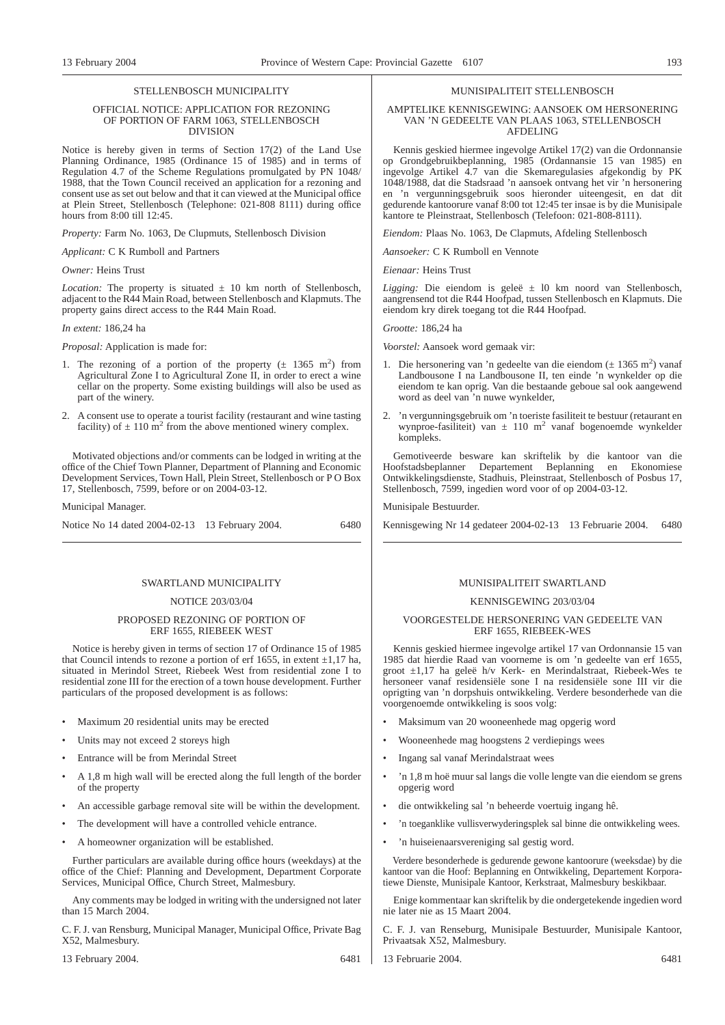#### STELL ENBOSCH MUNICIPALITY

#### OFFICIAL NOTICE: APPLICATION FOR REZONING OF PORTION OF FARM 1063, STELLENBOSCH DIVISION

Notice is hereby given in terms of Section 17(2) of the Land Use Planning Ordinance, 1985 (Ordinance 15 of 1985) and in terms of Regulation 4.7 of the Scheme Regulations promulgated by PN 1048/ 1988, that the Town Council received an application for a rezoning and consent use as set out below and that it can viewed at the Municipal office at Plein Street, Stellenbosch (Telephone: 021-808 8111) during office hours from 8:00 till 12:45.

*Property:* Farm No. 1063, De Clupmuts, Stellenbosch Division

*Applicant:* C K Rumboll and Partners

#### *Owner:* Heins Trust

*Location:* The property is situated  $\pm$  10 km north of Stellenbosch, adjacent to the R44 Main Road, between Stellenbosch and Klapmuts. The property gains direct access to the R44 Main Road.

#### *In extent:* 186,24 ha

*Proposal:* Application is made for:

- 1. The rezoning of a portion of the property  $(\pm 1365 \text{ m}^2)$  from Agricultural Zone I to Agricultural Zone II, in order to erect a wine cellar on the property. Some existing buildings will also be used as part of the winery.
- 2. A consent use to operate a tourist facility (restaurant and wine tasting facility) of  $\pm$  110 m<sup>2</sup> from the above mentioned winery complex.

Motivated objections and/or comments can be lodged in writing at the office of the Chief Town Planner, Department of Planning and Economic Development Services, Town Hall, Plein Street, Stellenbosch or P O Box 17, Stellenbosch, 7599, before or on 2004-03-12.

Municipal Manager.

| Notice No 14 dated 2004-02-13 13 February 2004. |  | 6480 |
|-------------------------------------------------|--|------|
|-------------------------------------------------|--|------|

#### SWARTLAND MUNICIPALITY

#### NOTICE 203/03/04

#### PROPOSED REZONING OF PORTION OF ERF 1655, RIEBEEK WEST

Notice is hereby given in terms of section 17 of Ordinance 15 of 1985 that Council intends to rezone a portion of erf 1655, in extent  $\pm 1.17$  ha, situated in Merindol Street, Riebeek West from residential zone I to residential zone III for the erection of a town house development. Further particulars of the proposed development is as follows:

- Maximum 20 residential units may be erected
- Units may not exceed 2 storeys high
- Entrance will be from Merindal Street
- A 1,8 m high wall will be erected along the full length of the border of the property
- An accessible garbage removal site will be within the development.
- The development will have a controlled vehicle entrance.
- A homeowner organization will be established.

Further particulars are available during office hours (weekdays) at the office of the Chief: Planning and Development, Department Corporate Services, Municipal Office, Church Street, Malmesbury.

Any comments may be lodged in writing with the undersigned not later than 15 March 2004.

C. F. J. van Rensburg, Municipal Manager, Municipal Office, Private Bag X52, Malmesbury.

13 February 2004. 6481

#### MUNISIPALITEIT STELLENBOSCH

#### AMPTELIKE KENNISGEWING: AANSOEK OM HERSONERING VAN 'N GEDEELTE VAN PLAAS 1063, STELLENBOSCH AFDELING

Kennis geskied hiermee ingevolge Artikel 17(2) van die Ordonnansie op Grondgebruikbeplanning, 1985 (Ordannansie 15 van 1985) en ingevolge Artikel 4.7 van die Skemaregulasies afgekondig by PK 1048/1988, dat die Stadsraad 'n aansoek ontvang het vir 'n hersonering en 'n vergunningsgebruik soos hieronder uiteengesit, en dat dit gedurende kantoorure vanaf 8:00 tot 12:45 ter insae is by die Munisipale kantore te Pleinstraat, Stellenbosch (Telefoon: 021-808-8111).

*Eiendom:* Plaas No. 1063, De Clapmuts, Afdeling Stellenbosch

*Aansoeker:* C K Rumboll en Vennote

*Eienaar:* Heins Trust

*Ligging:* Die eiendom is geleë ± l0 km noord van Stellenbosch, aangrensend tot die R44 Hoofpad, tussen Stellenbosch en Klapmuts. Die eiendom kry direk toegang tot die R44 Hoofpad.

*Grootte:* 186,24 ha

*Voorstel:* Aansoek word gemaak vir:

- 1. Die hersonering van 'n gedeelte van die eiendom  $(\pm 1365 \text{ m}^2)$  vanaf Landbousone I na Landbousone II, ten einde 'n wynkelder op die eiendom te kan oprig. Van die bestaande geboue sal ook aangewend word as deel van 'n nuwe wynkelder,
- 2. 'n vergunningsgebruik om 'n toeriste fasiliteit te bestuur (retaurant en wynproe-fasiliteit) van  $\pm$  110 m<sup>2</sup> vanaf bogenoemde wynkelder kompleks.

Gemotiveerde besware kan skriftelik by die kantoor van die Hoofstadsbeplanner Departement Beplanning en Ekonomiese Ontwikkelingsdienste, Stadhuis, Pleinstraat, Stellenbosch of Posbus 17, Stellenbosch, 7599, ingedien word voor of op 2004-03-12.

Munisipale Bestuurder.

Kennisgewing Nr 14 gedateer 2004-02-13 13 Februarie 2004. 6480

#### MUNISIPALITEIT SWARTLAND

#### KENNISGEWING 203/03/04

#### VOORGESTELDE HERSONERING VAN GEDEELTE VAN ERF 1655, RIEBEEK-WES

Kennis geskied hiermee ingevolge artikel 17 van Ordonnansie 15 van 1985 dat hierdie Raad van voorneme is om 'n gedeelte van erf 1655, groot ±1,17 ha geleë h/v Kerk- en Merindalstraat, Riebeek-Wes te hersoneer vanaf residensiële sone I na residensiële sone III vir die oprigting van 'n dorpshuis ontwikkeling. Verdere besonderhede van die voorgenoemde ontwikkeling is soos volg:

- Maksimum van 20 wooneenhede mag opgerig word
- Wooneenhede mag hoogstens 2 verdiepings wees
- Ingang sal vanaf Merindalstraat wees
- 'n 1,8 m hoë muur sal langs die volle lengte van die eiendom se grens opgerig word
- die ontwikkeling sal 'n beheerde voertuig ingang hê.
- 'n toeganklike vullisverwyderingsplek sal binne die ontwikkeling wees.
- 'n huiseienaarsvereniging sal gestig word.

Verdere besonderhede is gedurende gewone kantoorure (weeksdae) by die kantoor van die Hoof: Beplanning en Ontwikkeling, Departement Korporatiewe Dienste, Munisipale Kantoor, Kerkstraat, Malmesbury beskikbaar.

Enige kommentaar kan skriftelik by die ondergetekende ingedien word nie later nie as 15 Maart 2004.

C. F. J. van Renseburg, Munisipale Bestuurder, Munisipale Kantoor, Privaatsak X52, Malmesbury.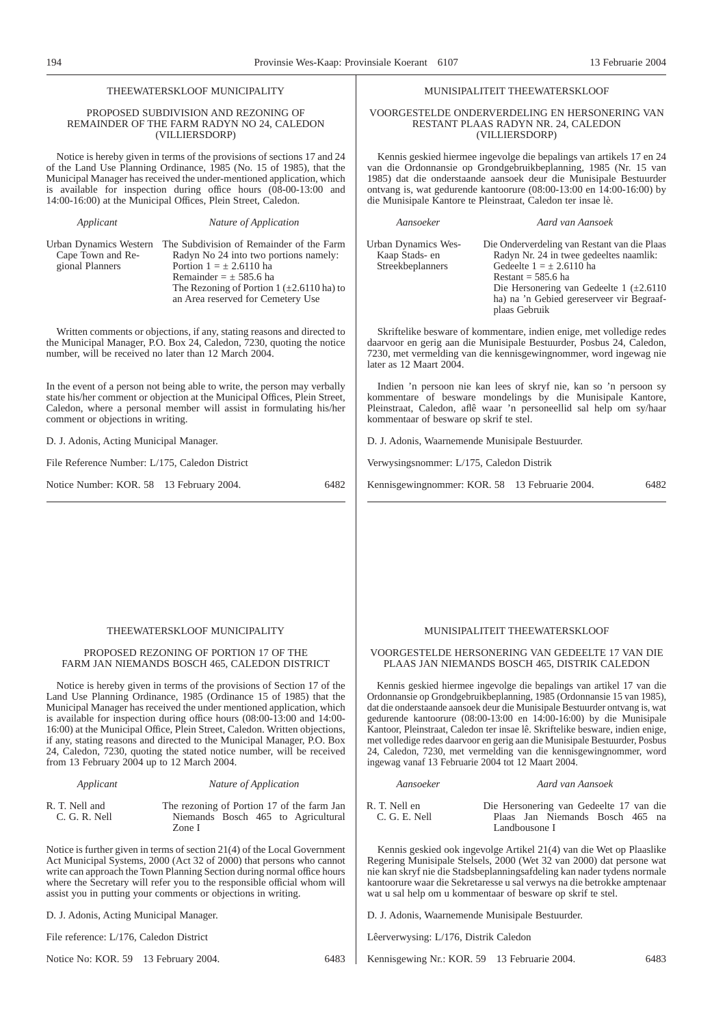#### THEEWATERSKLOOF MUNICIPALITY

#### PROPOSED SUBDIVISION AND REZONING OF REMAINDER OF THE FARM RADYN NO 24, CALEDON (VILLIERSDORP)

Notice is hereby given in terms of the provisions of sections 17 and 24 of the Land Use Planning Ordinance, 1985 (No. 15 of 1985), that the Municipal Manager has received the under-mentioned application, which is available for inspection during office hours  $(08-00-13:00)$  and 14:00-16:00) at the Municipal Offices, Plein Street, Caledon.

|                   | Urban Dynamics Western The Subdivision of Remainder of the Farm |
|-------------------|-----------------------------------------------------------------|
| Cape Town and Re- | Radyn No 24 into two portions namely:                           |
| gional Planners   | Portion $1 = \pm 2.6110$ ha                                     |
|                   | Remainder $= \pm 585.6$ ha                                      |
|                   | The Rezoning of Portion 1 ( $\pm$ 2.6110 ha) to                 |
|                   | an Area reserved for Cemetery Use                               |
|                   |                                                                 |

*Applicant Nature of Application*

Written comments or objections, if any, stating reasons and directed to the Municipal Manager, P.O. Box 24, Caledon, 7230, quoting the notice number, will be received no later than 12 March 2004.

In the event of a person not being able to write, the person may verbally state his/her comment or objection at the Municipal Offices, Plein Street, Caledon, where a personal member will assist in formulating his/her comment or objections in writing.

D. J. Adonis, Acting Municipal Manager.

File Reference Number: L/175, Caledon District

Notice Number: KOR. 58 13 February 2004. 6482

#### MUNISIPALITEIT THEEWATERSKLOOF

#### VOORGESTELDE ONDERVERDELING EN HERSONERING VAN RESTANT PLAAS RADYN NR. 24, CALEDON (VILLIERSDORP)

Kennis geskied hiermee ingevolge die bepalings van artikels 17 en 24 van die Ordonnansie op Grondgebruikbeplanning, 1985 (Nr. 15 van 1985) dat die onderstaande aansoek deur die Munisipale Bestuurder ontvang is, wat gedurende kantoorure (08:00-13:00 en 14:00-16:00) by die Munisipale Kantore te Pleinstraat, Caledon ter insae lè.

| Aansoeker                                                 | Aard van Aansoek                                                                                                                                                                                                                                               |
|-----------------------------------------------------------|----------------------------------------------------------------------------------------------------------------------------------------------------------------------------------------------------------------------------------------------------------------|
| Urban Dynamics Wes-<br>Kaap Stads- en<br>Streekbeplanners | Die Onderverdeling van Restant van die Plaas<br>Radyn Nr. 24 in twee gedeeltes naamlik:<br>Gedeelte $1 = \pm 2.6110$ ha<br>Restant = $585.6$ ha<br>Die Hersonering van Gedeelte 1 $(\pm 2.6110)$<br>ha) na 'n Gebied gereserveer vir Begraaf-<br>plaas Gebruik |

Skriftelike besware of kommentare, indien enige, met volledige redes daarvoor en gerig aan die Munisipale Bestuurder, Posbus 24, Caledon, 7230, met vermelding van die kennisgewingnommer, word ingewag nie later as 12 Maart 2004.

Indien 'n persoon nie kan lees of skryf nie, kan so 'n persoon sy kommentare of besware mondelings by die Munisipale Kantore, Pleinstraat, Caledon, aflê waar 'n personeellid sal help om sy/haar kommentaar of besware op skrif te stel.

D. J. Adonis, Waarnemende Munisipale Bestuurder.

Verwysingsnommer: L/175, Caledon Distrik

Kennisgewingnommer: KOR. 58 13 Februarie 2004. 6482

#### THEEWATERSKLOOF MUNICIPALITY

#### PROPOSED REZONING OF PORTION 17 OF THE FARM JAN NIEMANDS BOSCH 465, CALEDON DISTRICT

Notice is hereby given in terms of the provisions of Section 17 of the Land Use Planning Ordinance, 1985 (Ordinance 15 of 1985) that the Municipal Manager has received the under mentioned application, which is available for inspection during office hours (08:00-13:00 and 14:00- 16:00) at the Municipal Office, Plein Street, Caledon. Written objections, if any, stating reasons and directed to the Municipal Manager, P.O. Box 24, Caledon, 7230, quoting the stated notice number, will be received from 13 February 2004 up to 12 March 2004.

| Applicant                         | Nature of Application                                                                      |
|-----------------------------------|--------------------------------------------------------------------------------------------|
| R. T. Nell and<br>$C. G. R.$ Nell | The rezoning of Portion 17 of the farm Jan<br>Niemands Bosch 465 to Agricultural<br>Zone I |

Notice is further given in terms of section 21(4) of the Local Government Act Municipal Systems, 2000 (Act 32 of 2000) that persons who cannot write can approach the Town Planning Section during normal office hours where the Secretary will refer you to the responsible official whom will assist you in putting your comments or objections in writing.

D. J. Adonis, Acting Municipal Manager.

File reference: L/176, Caledon District

Notice No: KOR. 59 13 February 2004. 6483

#### MUNISIPALITEIT THEEWATERSKLOOF

#### VOORGESTELDE HERSONERING VAN GEDEELTE 17 VAN DIE PLAAS JAN NIEMANDS BOSCH 465, DISTRIK CALEDON

Kennis geskied hiermee ingevolge die bepalings van artikel 17 van die Ordonnansie op Grondgebruikbeplanning, 1985 (Ordonnansie 15 van 1985), dat die onderstaande aansoek deur die Munisipale Bestuurder ontvang is, wat gedurende kantoorure (08:00-13:00 en 14:00-16:00) by die Munisipale Kantoor, Pleinstraat, Caledon ter insae lê. Skriftelike besware, indien enige, met volledige redes daarvoor en gerig aan die Munisipale Bestuurder, Posbus 24, Caledon, 7230, met vermelding van die kennisgewingnommer, word ingewag vanaf 13 Februarie 2004 tot 12 Maart 2004.

| Aansoeker       | Aard van Aansoek                        |
|-----------------|-----------------------------------------|
| R. T. Nell en   | Die Hersonering van Gedeelte 17 van die |
| $C. G. E.$ Nell | Plaas Jan Niemands Bosch 465 na         |
|                 | Landbousone I                           |

Kennis geskied ook ingevolge Artikel 21(4) van die Wet op Plaaslike Regering Munisipale Stelsels, 2000 (Wet 32 van 2000) dat persone wat nie kan skryf nie die Stadsbeplanningsafdeling kan nader tydens normale kantoorure waar die Sekretaresse u sal verwys na die betrokke amptenaar wat u sal help om u kommentaar of besware op skrif te stel.

D. J. Adonis, Waarnemende Munisipale Bestuurder.

Lêerverwysing: L/176, Distrik Caledon

Kennisgewing Nr.: KOR. 59 13 Februarie 2004. 6483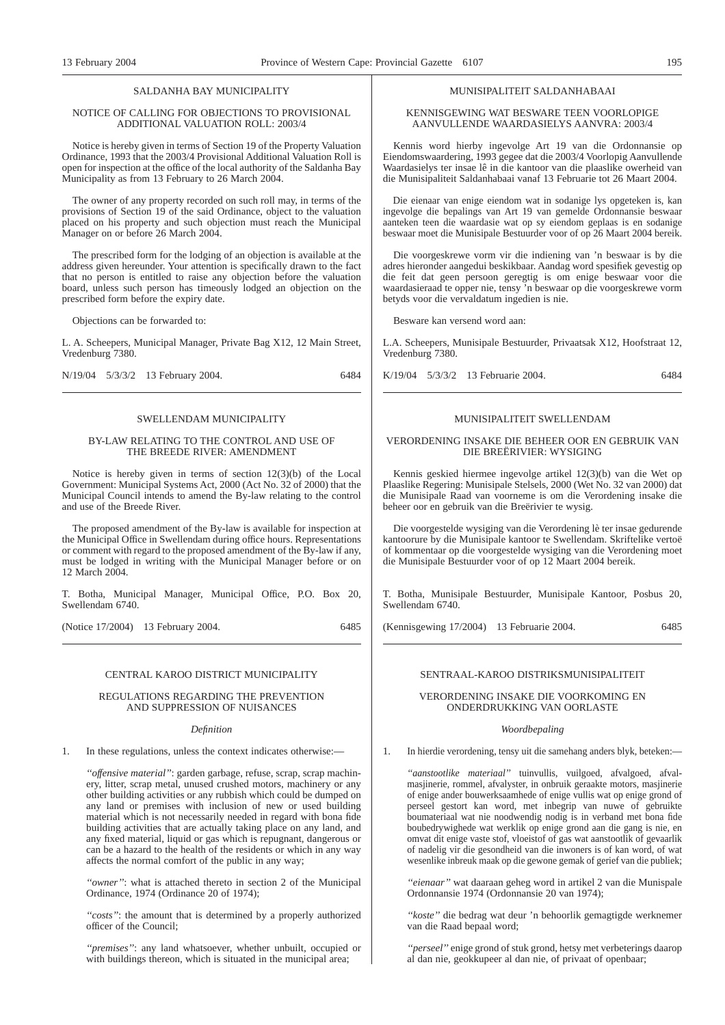#### SALDANHA BAY MUNICIPALITY

#### NOTICE OF CALLING FOR OBJECTIONS TO PROVISIONAL ADDITIONAL VALUATION ROLL: 2003/4

Notice is hereby given in terms of Section 19 of the Property Valuation Ordinance, 1993 that the 2003/4 Provisional Additional Valuation Roll is open for inspection at the office of the local authority of the Saldanha Bay Municipality as from 13 February to 26 March 2004.

The owner of any property recorded on such roll may, in terms of the provisions of Section 19 of the said Ordinance, object to the valuation placed on his property and such objection must reach the Municipal Manager on or before 26 March 2004.

The prescribed form for the lodging of an objection is available at the address given hereunder. Your attention is specifically drawn to the fact that no person is entitled to raise any objection before the valuation board, unless such person has timeously lodged an objection on the prescribed form before the expiry date.

Objections can be forwarded to:

L. A. Scheepers, Municipal Manager, Private Bag X12, 12 Main Street, Vredenburg 7380.

N/19/04 5/3/3/2 13 February 2004. 6484

#### SWELLENDAM MUNICIPALITY

#### BY-LAW RELATING TO THE CONTROL AND USE OF THE BREEDE RIVER: AMENDMENT

Notice is hereby given in terms of section 12(3)(b) of the Local Government: Municipal Systems Act, 2000 (Act No. 32 of 2000) that the Municipal Council intends to amend the By-law relating to the control and use of the Breede River.

The proposed amendment of the By-law is available for inspection at the Municipal Office in Swellendam during office hours. Representations or comment with regard to the proposed amendment of the By-law if any, must be lodged in writing with the Municipal Manager before or on 12 March 2004.

T. Botha, Municipal Manager, Municipal Office, P.O. Box 20, Swellendam 6740.

(Notice 17/2004) 13 February 2004. 6485

#### CENTRAL KAROO DISTRICT MUNICIPALITY

#### REGULATIONS REGARDING THE PREVENTION AND SUPPRESSION OF NUISANCES

#### *Definition*

1. In these regulations, unless the context indicates otherwise:—

*''offensive material''*: garden garbage, refuse, scrap, scrap machinery, litter, scrap metal, unused crushed motors, machinery or any other building activities or any rubbish which could be dumped on any land or premises with inclusion of new or used building material which is not necessarily needed in regard with bona fide building activities that are actually taking place on any land, and any fixed material, liquid or gas which is repugnant, dangerous or can be a hazard to the health of the residents or which in any way affects the normal comfort of the public in any way;

*''owner''*: what is attached thereto in section 2 of the Municipal Ordinance, 1974 (Ordinance 20 of 1974);

*''costs''*: the amount that is determined by a properly authorized officer of the Council;

*''premises''*: any land whatsoever, whether unbuilt, occupied or with buildings thereon, which is situated in the municipal area;

#### MUNISIPALITEIT SALDANHABAAI

KENNISGEWING WAT BESWARE TEEN VOORLOPIGE AANVULLENDE WAARDASIELYS AANVRA: 2003/4

Kennis word hierby ingevolge Art 19 van die Ordonnansie op Eiendomswaardering, 1993 gegee dat die 2003/4 Voorlopig Aanvullende Waardasielys ter insae lê in die kantoor van die plaaslike owerheid van die Munisipaliteit Saldanhabaai vanaf 13 Februarie tot 26 Maart 2004.

Die eienaar van enige eiendom wat in sodanige lys opgeteken is, kan ingevolge die bepalings van Art 19 van gemelde Ordonnansie beswaar aanteken teen die waardasie wat op sy eiendom geplaas is en sodanige beswaar moet die Munisipale Bestuurder voor of op 26 Maart 2004 bereik.

Die voorgeskrewe vorm vir die indiening van 'n beswaar is by die adres hieronder aangedui beskikbaar. Aandag word spesifiek gevestig op die feit dat geen persoon geregtig is om enige beswaar voor die waardasieraad te opper nie, tensy 'n beswaar op die voorgeskrewe vorm betyds voor die vervaldatum ingedien is nie.

Besware kan versend word aan:

L.A. Scheepers, Munisipale Bestuurder, Privaatsak X12, Hoofstraat 12, Vredenburg 7380.

K/19/04 5/3/3/2 13 Februarie 2004. 6484

#### MUNISIPALITEIT SWELLENDAM

#### VERORDENING INSAKE DIE BEHEER OOR EN GEBRUIK VAN DIE BREËRIVIER: WYSIGING

Kennis geskied hiermee ingevolge artikel 12(3)(b) van die Wet op Plaaslike Regering: Munisipale Stelsels, 2000 (Wet No. 32 van 2000) dat die Munisipale Raad van voorneme is om die Verordening insake die beheer oor en gebruik van die Breërivier te wysig.

Die voorgestelde wysiging van die Verordening lè ter insae gedurende kantoorure by die Munisipale kantoor te Swellendam. Skriftelike vertoë of kommentaar op die voorgestelde wysiging van die Verordening moet die Munisipale Bestuurder voor of op 12 Maart 2004 bereik.

T. Botha, Munisipale Bestuurder, Munisipale Kantoor, Posbus 20, Swellendam 6740.

(Kennisgewing 17/2004) 13 Februarie 2004. 6485

SENTRAAL-KAROO DISTRIKSMUNISIPALITEIT

#### VERORDENING INSAKE DIE VOORKOMING EN ONDERDRUKKING VAN OORLASTE

#### *Woordbepaling*

1. In hierdie verordening, tensy uit die samehang anders blyk, beteken:—

*''aanstootlike materiaal''* tuinvullis, vuilgoed, afvalgoed, afvalmasjinerie, rommel, afvalyster, in onbruik geraakte motors, masjinerie of enige ander bouwerksaamhede of enige vullis wat op enige grond of perseel gestort kan word, met inbegrip van nuwe of gebruikte boumateriaal wat nie noodwendig nodig is in verband met bona fide boubedrywighede wat werklik op enige grond aan die gang is nie, en omvat dit enige vaste stof, vloeistof of gas wat aanstootlik of gevaarlik of nadelig vir die gesondheid van die inwoners is of kan word, of wat wesenlike inbreuk maak op die gewone gemak of gerief van die publiek;

*''eienaar''* wat daaraan geheg word in artikel 2 van die Munispale Ordonnansie 1974 (Ordonnansie 20 van 1974);

*''koste''* die bedrag wat deur 'n behoorlik gemagtigde werknemer van die Raad bepaal word;

*''perseel''* enige grond of stuk grond, hetsy met verbeterings daarop al dan nie, geokkupeer al dan nie, of privaat of openbaar;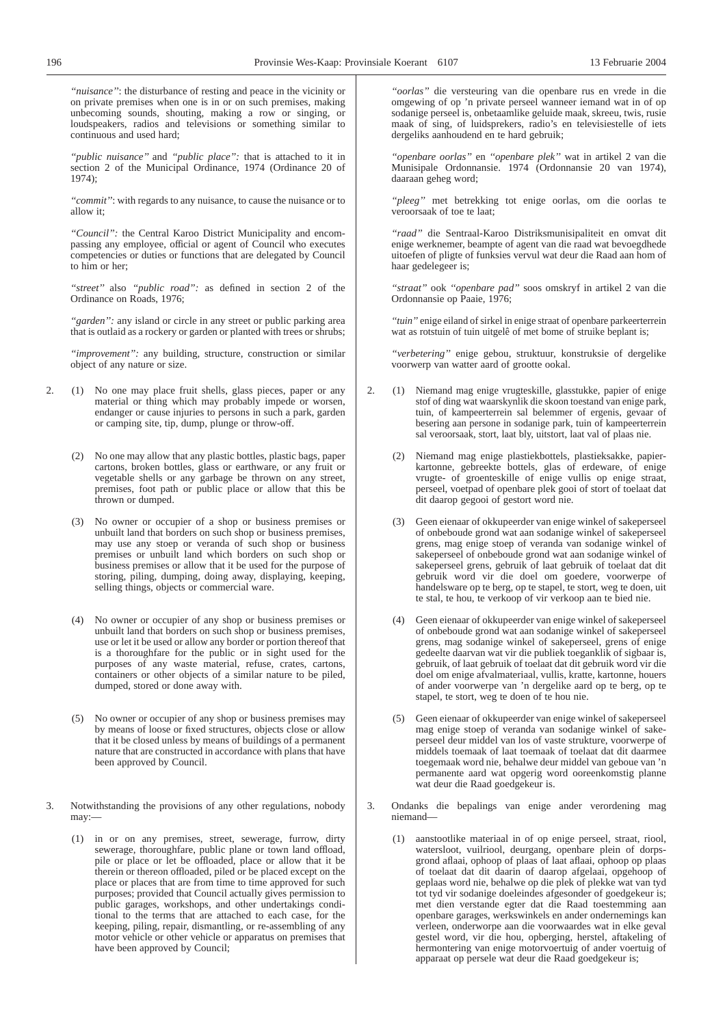*''nuisance''*: the disturbance of resting and peace in the vicinity or on private premises when one is in or on such premises, making unbecoming sounds, shouting, making a row or singing, or loudspeakers, radios and televisions or something similar to continuous and used hard;

*''public nuisance''* and *''public place'':* that is attached to it in section 2 of the Municipal Ordinance, 1974 (Ordinance 20 of 1974);

*''commit''*: with regards to any nuisance, to cause the nuisance or to allow it;

*''Council'':* the Central Karoo District Municipality and encompassing any employee, official or agent of Council who executes competencies or duties or functions that are delegated by Council to him or her;

*''street''* also *''public road'':* as defined in section 2 of the Ordinance on Roads, 1976;

*''garden'':* any island or circle in any street or public parking area that is outlaid as a rockery or garden or planted with trees or shrubs;

*''improvement'':* any building, structure, construction or similar object of any nature or size.

- 2. (1) No one may place fruit shells, glass pieces, paper or any material or thing which may probably impede or worsen, endanger or cause injuries to persons in such a park, garden or camping site, tip, dump, plunge or throw-off.
	- (2) No one may allow that any plastic bottles, plastic bags, paper cartons, broken bottles, glass or earthware, or any fruit or vegetable shells or any garbage be thrown on any street, premises, foot path or public place or allow that this be thrown or dumped.
	- (3) No owner or occupier of a shop or business premises or unbuilt land that borders on such shop or business premises, may use any stoep or veranda of such shop or business premises or unbuilt land which borders on such shop or business premises or allow that it be used for the purpose of storing, piling, dumping, doing away, displaying, keeping, selling things, objects or commercial ware.
	- (4) No owner or occupier of any shop or business premises or unbuilt land that borders on such shop or business premises, use or let it be used or allow any border or portion thereof that is a thoroughfare for the public or in sight used for the purposes of any waste material, refuse, crates, cartons, containers or other objects of a similar nature to be piled, dumped, stored or done away with.
	- (5) No owner or occupier of any shop or business premises may by means of loose or fixed structures, objects close or allow that it be closed unless by means of buildings of a permanent nature that are constructed in accordance with plans that have been approved by Council.
- 3. Notwithstanding the provisions of any other regulations, nobody may:—
	- (1) in or on any premises, street, sewerage, furrow, dirty sewerage, thoroughfare, public plane or town land offload, pile or place or let be offloaded, place or allow that it be therein or thereon offloaded, piled or be placed except on the place or places that are from time to time approved for such purposes; provided that Council actually gives permission to public garages, workshops, and other undertakings conditional to the terms that are attached to each case, for the keeping, piling, repair, dismantling, or re-assembling of any motor vehicle or other vehicle or apparatus on premises that have been approved by Council;

*''oorlas''* die versteuring van die openbare rus en vrede in die omgewing of op 'n private perseel wanneer iemand wat in of op sodanige perseel is, onbetaamlike geluide maak, skreeu, twis, rusie maak of sing, of luidsprekers, radio's en televisiestelle of iets dergeliks aanhoudend en te hard gebruik;

*''openbare oorlas''* en *''openbare plek''* wat in artikel 2 van die Munisipale Ordonnansie. 1974 (Ordonnansie 20 van 1974), daaraan geheg word;

*''pleeg''* met betrekking tot enige oorlas, om die oorlas te veroorsaak of toe te laat;

*''raad''* die Sentraal-Karoo Distriksmunisipaliteit en omvat dit enige werknemer, beampte of agent van die raad wat bevoegdhede uitoefen of pligte of funksies vervul wat deur die Raad aan hom of haar gedelegeer is;

*''straat''* ook *''openbare pad''* soos omskryf in artikel 2 van die Ordonnansie op Paaie, 1976;

*''tuin''* enige eiland of sirkel in enige straat of openbare parkeerterrein wat as rotstuin of tuin uitgelê of met bome of struike beplant is:

*''verbetering''* enige gebou, struktuur, konstruksie of dergelike voorwerp van watter aard of grootte ookal.

- 2. (1) Niemand mag enige vrugteskille, glasstukke, papier of enige stof of ding wat waarskynlik die skoon toestand van enige park, tuin, of kampeerterrein sal belemmer of ergenis, gevaar of besering aan persone in sodanige park, tuin of kampeerterrein sal veroorsaak, stort, laat bly, uitstort, laat val of plaas nie.
	- (2) Niemand mag enige plastiekbottels, plastieksakke, papierkartonne, gebreekte bottels, glas of erdeware, of enige vrugte- of groenteskille of enige vullis op enige straat, perseel, voetpad of openbare plek gooi of stort of toelaat dat dit daarop gegooi of gestort word nie.
	- (3) Geen eienaar of okkupeerder van enige winkel of sakeperseel of onbeboude grond wat aan sodanige winkel of sakeperseel grens, mag enige stoep of veranda van sodanige winkel of sakeperseel of onbeboude grond wat aan sodanige winkel of sakeperseel grens, gebruik of laat gebruik of toelaat dat dit gebruik word vir die doel om goedere, voorwerpe of handelsware op te berg, op te stapel, te stort, weg te doen, uit te stal, te hou, te verkoop of vir verkoop aan te bied nie.
	- (4) Geen eienaar of okkupeerder van enige winkel of sakeperseel of onbeboude grond wat aan sodanige winkel of sakeperseel grens, mag sodanige winkel of sakeperseel, grens of enige gedeelte daarvan wat vir die publiek toeganklik of sigbaar is, gebruik, of laat gebruik of toelaat dat dit gebruik word vir die doel om enige afvalmateriaal, vullis, kratte, kartonne, houers of ander voorwerpe van 'n dergelike aard op te berg, op te stapel, te stort, weg te doen of te hou nie.
	- (5) Geen eienaar of okkupeerder van enige winkel of sakeperseel mag enige stoep of veranda van sodanige winkel of sakeperseel deur middel van los of vaste strukture, voorwerpe of middels toemaak of laat toemaak of toelaat dat dit daarmee toegemaak word nie, behalwe deur middel van geboue van 'n permanente aard wat opgerig word ooreenkomstig planne wat deur die Raad goedgekeur is.
- 3. Ondanks die bepalings van enige ander verordening mag niemand—
	- (1) aanstootlike materiaal in of op enige perseel, straat, riool, watersloot, vuilriool, deurgang, openbare plein of dorpsgrond aflaai, ophoop of plaas of laat aflaai, ophoop op plaas of toelaat dat dit daarin of daarop afgelaai, opgehoop of geplaas word nie, behalwe op die plek of plekke wat van tyd tot tyd vir sodanige doeleindes afgesonder of goedgekeur is; met dien verstande egter dat die Raad toestemming aan openbare garages, werkswinkels en ander ondernemings kan verleen, onderworpe aan die voorwaardes wat in elke geval gestel word, vir die hou, opberging, herstel, aftakeling of hermontering van enige motorvoertuig of ander voertuig of apparaat op persele wat deur die Raad goedgekeur is;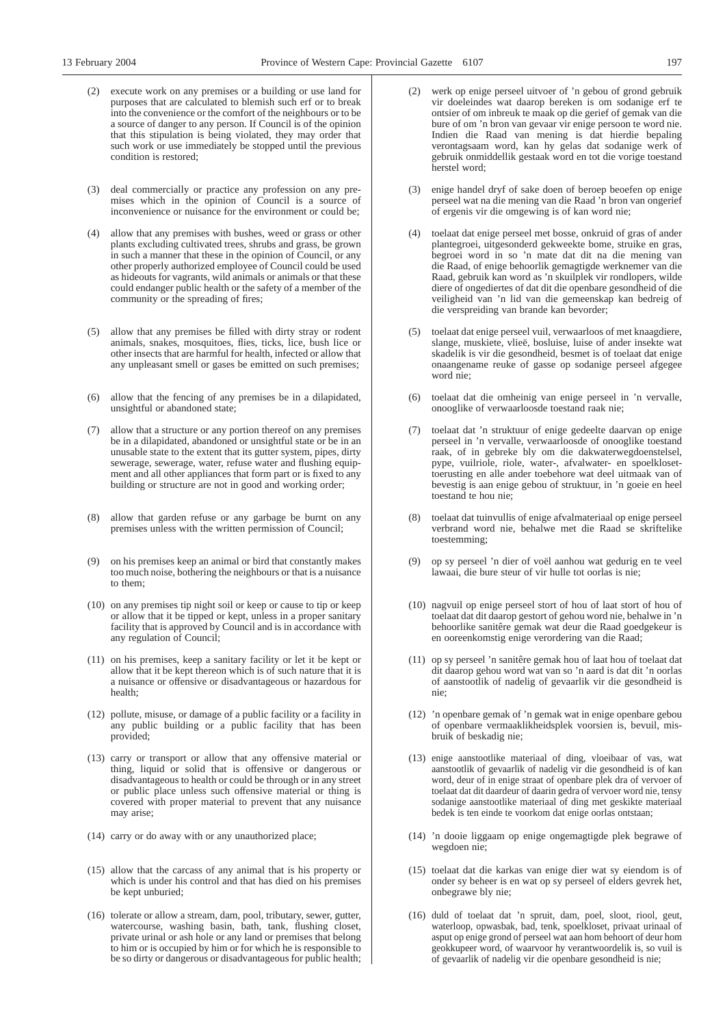- (2) execute work on any premises or a building or use land for purposes that are calculated to blemish such erf or to break into the convenience or the comfort of the neighbours or to be a source of danger to any person. If Council is of the opinion that this stipulation is being violated, they may order that such work or use immediately be stopped until the previous condition is restored;
- (3) deal commercially or practice any profession on any premises which in the opinion of Council is a source of inconvenience or nuisance for the environment or could be;
- (4) allow that any premises with bushes, weed or grass or other plants excluding cultivated trees, shrubs and grass, be grown in such a manner that these in the opinion of Council, or any other properly authorized employee of Council could be used as hideouts for vagrants, wild animals or animals or that these could endanger public health or the safety of a member of the community or the spreading of fires;
- (5) allow that any premises be filled with dirty stray or rodent animals, snakes, mosquitoes, flies, ticks, lice, bush lice or other insects that are harmful for health, infected or allow that any unpleasant smell or gases be emitted on such premises;
- (6) allow that the fencing of any premises be in a dilapidated, unsightful or abandoned state;
- (7) allow that a structure or any portion thereof on any premises be in a dilapidated, abandoned or unsightful state or be in an unusable state to the extent that its gutter system, pipes, dirty sewerage, sewerage, water, refuse water and flushing equipment and all other appliances that form part or is fixed to any building or structure are not in good and working order;
- (8) allow that garden refuse or any garbage be burnt on any premises unless with the written permission of Council;
- (9) on his premises keep an animal or bird that constantly makes too much noise, bothering the neighbours or that is a nuisance to them;
- (10) on any premises tip night soil or keep or cause to tip or keep or allow that it be tipped or kept, unless in a proper sanitary facility that is approved by Council and is in accordance with any regulation of Council;
- (11) on his premises, keep a sanitary facility or let it be kept or allow that it be kept thereon which is of such nature that it is a nuisance or offensive or disadvantageous or hazardous for health;
- (12) pollute, misuse, or damage of a public facility or a facility in any public building or a public facility that has been provided;
- (13) carry or transport or allow that any offensive material or thing, liquid or solid that is offensive or dangerous or disadvantageous to health or could be through or in any street or public place unless such offensive material or thing is covered with proper material to prevent that any nuisance may arise;
- (14) carry or do away with or any unauthorized place;
- (15) allow that the carcass of any animal that is his property or which is under his control and that has died on his premises be kept unburied;
- (16) tolerate or allow a stream, dam, pool, tributary, sewer, gutter, watercourse, washing basin, bath, tank, flushing closet, private urinal or ash hole or any land or premises that belong to him or is occupied by him or for which he is responsible to be so dirty or dangerous or disadvantageous for public health;
- werk op enige perseel uitvoer of 'n gebou of grond gebruik vir doeleindes wat daarop bereken is om sodanige erf te ontsier of om inbreuk te maak op die gerief of gemak van die bure of om 'n bron van gevaar vir enige persoon te word nie. Indien die Raad van mening is dat hierdie bepaling verontagsaam word, kan hy gelas dat sodanige werk of gebruik onmiddellik gestaak word en tot die vorige toestand herstel word;
- (3) enige handel dryf of sake doen of beroep beoefen op enige perseel wat na die mening van die Raad 'n bron van ongerief of ergenis vir die omgewing is of kan word nie;
- (4) toelaat dat enige perseel met bosse, onkruid of gras of ander plantegroei, uitgesonderd gekweekte bome, struike en gras, begroei word in so 'n mate dat dit na die mening van die Raad, of enige behoorlik gemagtigde werknemer van die Raad, gebruik kan word as 'n skuilplek vir rondlopers, wilde diere of ongediertes of dat dit die openbare gesondheid of die veiligheid van 'n lid van die gemeenskap kan bedreig of die verspreiding van brande kan bevorder;
- (5) toelaat dat enige perseel vuil, verwaarloos of met knaagdiere, slange, muskiete, vlieë, bosluise, luise of ander insekte wat skadelik is vir die gesondheid, besmet is of toelaat dat enige onaangename reuke of gasse op sodanige perseel afgegee word nie;
- (6) toelaat dat die omheinig van enige perseel in 'n vervalle, onooglike of verwaarloosde toestand raak nie;
- (7) toelaat dat 'n struktuur of enige gedeelte daarvan op enige perseel in 'n vervalle, verwaarloosde of onooglike toestand raak, of in gebreke bly om die dakwaterwegdoenstelsel, pype, vuilriole, riole, water-, afvalwater- en spoelklosettoerusting en alle ander toebehore wat deel uitmaak van of bevestig is aan enige gebou of struktuur, in 'n goeie en heel toestand te hou nie;
- (8) toelaat dat tuinvullis of enige afvalmateriaal op enige perseel verbrand word nie, behalwe met die Raad se skriftelike toestemming;
- (9) op sy perseel 'n dier of voël aanhou wat gedurig en te veel lawaai, die bure steur of vir hulle tot oorlas is nie;
- (10) nagvuil op enige perseel stort of hou of laat stort of hou of toelaat dat dit daarop gestort of gehou word nie, behalwe in 'n behoorlike sanitêre gemak wat deur die Raad goedgekeur is en ooreenkomstig enige verordering van die Raad;
- (11) op sy perseel 'n sanitêre gemak hou of laat hou of toelaat dat dit daarop gehou word wat van so 'n aard is dat dit 'n oorlas of aanstootlik of nadelig of gevaarlik vir die gesondheid is nie;
- (12) 'n openbare gemak of 'n gemak wat in enige openbare gebou of openbare vermaaklikheidsplek voorsien is, bevuil, misbruik of beskadig nie;
- (13) enige aanstootlike materiaal of ding, vloeibaar of vas, wat aanstootlik of gevaarlik of nadelig vir die gesondheid is of kan word, deur of in enige straat of openbare plek dra of vervoer of toelaat dat dit daardeur of daarin gedra of vervoer word nie, tensy sodanige aanstootlike materiaal of ding met geskikte materiaal bedek is ten einde te voorkom dat enige oorlas ontstaan;
- (14) 'n dooie liggaam op enige ongemagtigde plek begrawe of wegdoen nie;
- (15) toelaat dat die karkas van enige dier wat sy eiendom is of onder sy beheer is en wat op sy perseel of elders gevrek het, onbegrawe bly nie;
- (16) duld of toelaat dat 'n spruit, dam, poel, sloot, riool, geut, waterloop, opwasbak, bad, tenk, spoelkloset, privaat urinaal of asput op enige grond of perseel wat aan hom behoort of deur hom geokkupeer word, of waarvoor hy verantwoordelik is, so vuil is of gevaarlik of nadelig vir die openbare gesondheid is nie;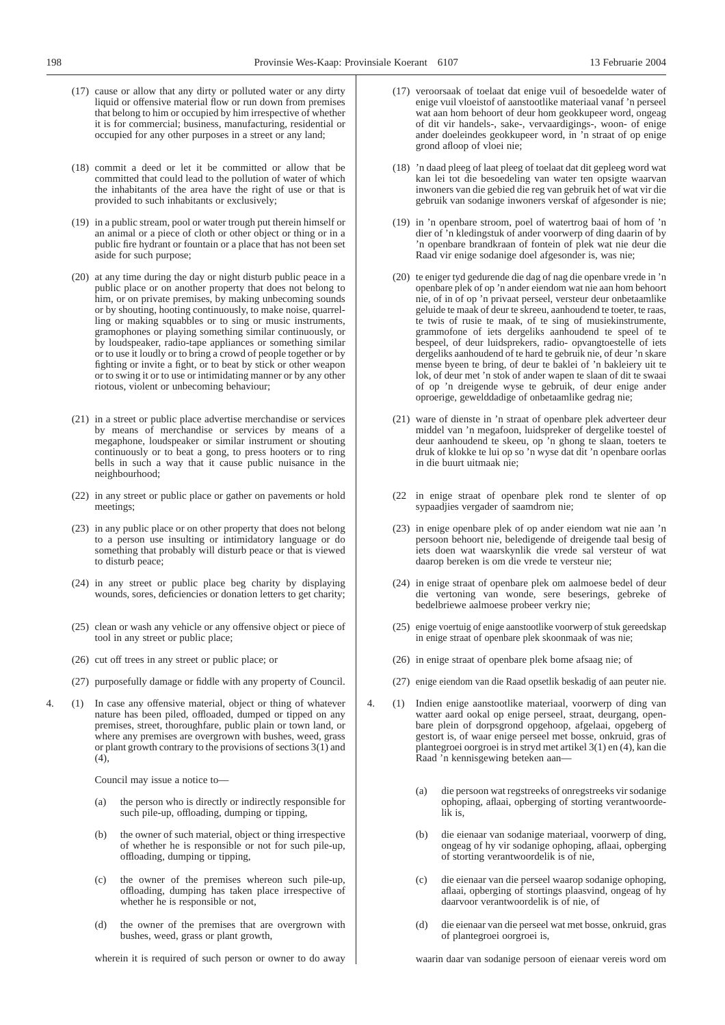- (17) cause or allow that any dirty or polluted water or any dirty liquid or offensive material flow or run down from premises that belong to him or occupied by him irrespective of whether it is for commercial; business, manufacturing, residential or occupied for any other purposes in a street or any land;
- (18) commit a deed or let it be committed or allow that be committed that could lead to the pollution of water of which the inhabitants of the area have the right of use or that is provided to such inhabitants or exclusively;
- (19) in a public stream, pool or water trough put therein himself or an animal or a piece of cloth or other object or thing or in a public fire hydrant or fountain or a place that has not been set aside for such purpose;
- (20) at any time during the day or night disturb public peace in a public place or on another property that does not belong to him, or on private premises, by making unbecoming sounds or by shouting, hooting continuously, to make noise, quarrelling or making squabbles or to sing or music instruments, gramophones or playing something similar continuously, or by loudspeaker, radio-tape appliances or something similar or to use it loudly or to bring a crowd of people together or by fighting or invite a fight, or to beat by stick or other weapon or to swing it or to use or intimidating manner or by any other riotous, violent or unbecoming behaviour;
- (21) in a street or public place advertise merchandise or services by means of merchandise or services by means of a megaphone, loudspeaker or similar instrument or shouting continuously or to beat a gong, to press hooters or to ring bells in such a way that it cause public nuisance in the neighbourhood;
- (22) in any street or public place or gather on pavements or hold meetings;
- (23) in any public place or on other property that does not belong to a person use insulting or intimidatory language or do something that probably will disturb peace or that is viewed to disturb peace;
- (24) in any street or public place beg charity by displaying wounds, sores, deficiencies or donation letters to get charity;
- (25) clean or wash any vehicle or any offensive object or piece of tool in any street or public place;
- (26) cut off trees in any street or public place; or
- (27) purposefully damage or fiddle with any property of Council.
- 4. (1) In case any offensive material, object or thing of whatever nature has been piled, offloaded, dumped or tipped on any premises, street, thoroughfare, public plain or town land, or where any premises are overgrown with bushes, weed, grass or plant growth contrary to the provisions of sections 3(1) and  $(4)$ ,

Council may issue a notice to—

- (a) the person who is directly or indirectly responsible for such pile-up, offloading, dumping or tipping,
- (b) the owner of such material, object or thing irrespective of whether he is responsible or not for such pile-up, offloading, dumping or tipping,
- (c) the owner of the premises whereon such pile-up, offloading, dumping has taken place irrespective of whether he is responsible or not,
- (d) the owner of the premises that are overgrown with bushes, weed, grass or plant growth,

wherein it is required of such person or owner to do away

- (17) veroorsaak of toelaat dat enige vuil of besoedelde water of enige vuil vloeistof of aanstootlike materiaal vanaf 'n perseel wat aan hom behoort of deur hom geokkupeer word, ongeag of dit vir handels-, sake-, vervaardigings-, woon- of enige ander doeleindes geokkupeer word, in 'n straat of op enige grond afloop of vloei nie;
- (18) 'n daad pleeg of laat pleeg of toelaat dat dit gepleeg word wat kan lei tot die besoedeling van water ten opsigte waarvan inwoners van die gebied die reg van gebruik het of wat vir die gebruik van sodanige inwoners verskaf of afgesonder is nie;
- (19) in 'n openbare stroom, poel of watertrog baai of hom of 'n dier of 'n kledingstuk of ander voorwerp of ding daarin of by 'n openbare brandkraan of fontein of plek wat nie deur die Raad vir enige sodanige doel afgesonder is, was nie;
- (20) te eniger tyd gedurende die dag of nag die openbare vrede in 'n openbare plek of op 'n ander eiendom wat nie aan hom behoort nie, of in of op 'n privaat perseel, versteur deur onbetaamlike geluide te maak of deur te skreeu, aanhoudend te toeter, te raas, te twis of rusie te maak, of te sing of musiekinstrumente, grammofone of iets dergeliks aanhoudend te speel of te bespeel, of deur luidsprekers, radio- opvangtoestelle of iets dergeliks aanhoudend of te hard te gebruik nie, of deur 'n skare mense byeen te bring, of deur te baklei of 'n bakleiery uit te lok, of deur met 'n stok of ander wapen te slaan of dit te swaai of op 'n dreigende wyse te gebruik, of deur enige ander oproerige, gewelddadige of onbetaamlike gedrag nie;
- (21) ware of dienste in 'n straat of openbare plek adverteer deur middel van 'n megafoon, luidspreker of dergelike toestel of deur aanhoudend te skeeu, op 'n ghong te slaan, toeters te druk of klokke te lui op so 'n wyse dat dit 'n openbare oorlas in die buurt uitmaak nie;
- (22 in enige straat of openbare plek rond te slenter of op sypaadjies vergader of saamdrom nie;
- (23) in enige openbare plek of op ander eiendom wat nie aan 'n persoon behoort nie, beledigende of dreigende taal besig of iets doen wat waarskynlik die vrede sal versteur of wat daarop bereken is om die vrede te versteur nie;
- (24) in enige straat of openbare plek om aalmoese bedel of deur die vertoning van wonde, sere beserings, gebreke of bedelbriewe aalmoese probeer verkry nie;
- (25) enige voertuig of enige aanstootlike voorwerp of stuk gereedskap in enige straat of openbare plek skoonmaak of was nie;
- (26) in enige straat of openbare plek bome afsaag nie; of
- (27) enige eiendom van die Raad opsetlik beskadig of aan peuter nie.
- 4. (1) Indien enige aanstootlike materiaal, voorwerp of ding van watter aard ookal op enige perseel, straat, deurgang, openbare plein of dorpsgrond opgehoop, afgelaai, opgeberg of gestort is, of waar enige perseel met bosse, onkruid, gras of plantegroei oorgroei is in stryd met artikel 3(1) en (4), kan die Raad 'n kennisgewing beteken aan—
	- (a) die persoon wat regstreeks of onregstreeks vir sodanige ophoping, aflaai, opberging of storting verantwoordelik is,
	- (b) die eienaar van sodanige materiaal, voorwerp of ding, ongeag of hy vir sodanige ophoping, aflaai, opberging of storting verantwoordelik is of nie,
	- (c) die eienaar van die perseel waarop sodanige ophoping, aflaai, opberging of stortings plaasvind, ongeag of hy daarvoor verantwoordelik is of nie, of
	- (d) die eienaar van die perseel wat met bosse, onkruid, gras of plantegroei oorgroei is,

waarin daar van sodanige persoon of eienaar vereis word om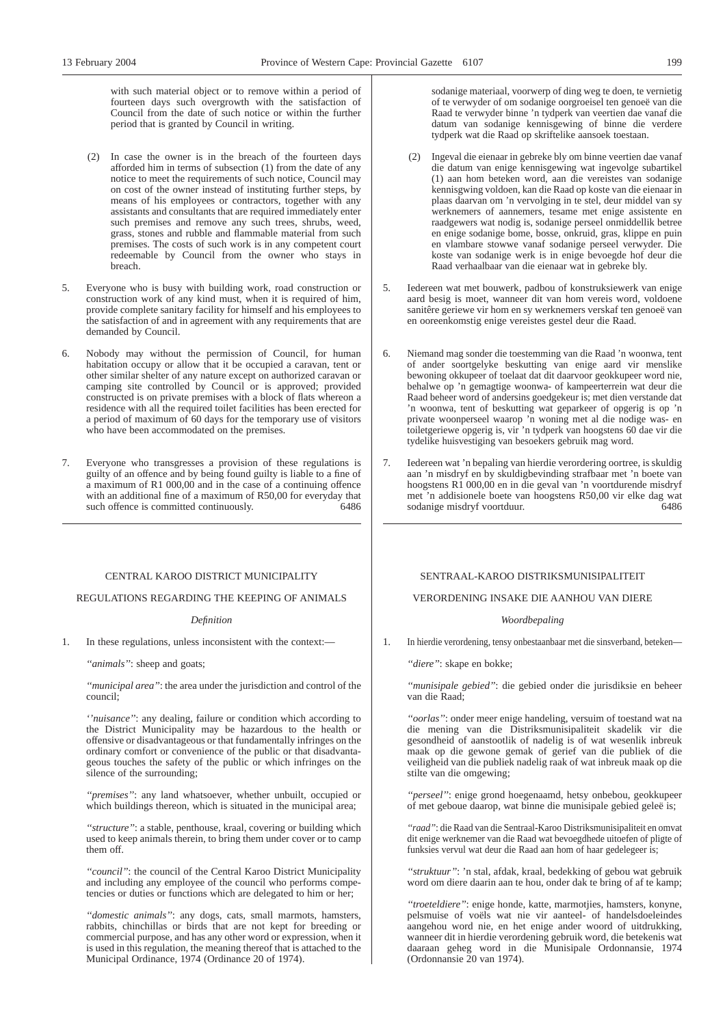with such material object or to remove within a period of fourteen days such overgrowth with the satisfaction of Council from the date of such notice or within the further period that is granted by Council in writing.

- (2) In case the owner is in the breach of the fourteen days afforded him in terms of subsection (1) from the date of any notice to meet the requirements of such notice, Council may on cost of the owner instead of instituting further steps, by means of his employees or contractors, together with any assistants and consultants that are required immediately enter such premises and remove any such trees, shrubs, weed, grass, stones and rubble and flammable material from such premises. The costs of such work is in any competent court redeemable by Council from the owner who stays in breach.
- 5. Everyone who is busy with building work, road construction or construction work of any kind must, when it is required of him, provide complete sanitary facility for himself and his employees to the satisfaction of and in agreement with any requirements that are demanded by Council.
- 6. Nobody may without the permission of Council, for human habitation occupy or allow that it be occupied a caravan, tent or other similar shelter of any nature except on authorized caravan or camping site controlled by Council or is approved; provided constructed is on private premises with a block of flats whereon a residence with all the required toilet facilities has been erected for a period of maximum of 60 days for the temporary use of visitors who have been accommodated on the premises.
- 7. Everyone who transgresses a provision of these regulations is guilty of an offence and by being found guilty is liable to a fine of a maximum of R1 000,00 and in the case of a continuing offence with an additional fine of a maximum of R50,00 for everyday that such offence is committed continuously. 6486

#### CENTRAL KAROO DISTRICT MUNICIPALITY

#### REGULATIONS REGARDING THE KEEPING OF ANIMALS

#### *Definition*

1. In these regulations, unless inconsistent with the context:—

*''animals''*: sheep and goats;

*''municipal area''*: the area under the jurisdiction and control of the council;

*''nuisance''*: any dealing, failure or condition which according to the District Municipality may be hazardous to the health or offensive or disadvantageous or that fundamentally infringes on the ordinary comfort or convenience of the public or that disadvantageous touches the safety of the public or which infringes on the silence of the surrounding;

*''premises''*: any land whatsoever, whether unbuilt, occupied or which buildings thereon, which is situated in the municipal area;

*''structure''*: a stable, penthouse, kraal, covering or building which used to keep animals therein, to bring them under cover or to camp them off.

*''council''*: the council of the Central Karoo District Municipality and including any employee of the council who performs competencies or duties or functions which are delegated to him or her;

*''domestic animals''*: any dogs, cats, small marmots, hamsters, rabbits, chinchillas or birds that are not kept for breeding or commercial purpose, and has any other word or expression, when it is used in this regulation, the meaning thereof that is attached to the Municipal Ordinance, 1974 (Ordinance 20 of 1974).

sodanige materiaal, voorwerp of ding weg te doen, te vernietig of te verwyder of om sodanige oorgroeisel ten genoeë van die Raad te verwyder binne 'n tydperk van veertien dae vanaf die datum van sodanige kennisgewing of binne die verdere tydperk wat die Raad op skriftelike aansoek toestaan.

- (2) Ingeval die eienaar in gebreke bly om binne veertien dae vanaf die datum van enige kennisgewing wat ingevolge subartikel (1) aan hom beteken word, aan die vereistes van sodanige kennisgwing voldoen, kan die Raad op koste van die eienaar in plaas daarvan om 'n vervolging in te stel, deur middel van sy werknemers of aannemers, tesame met enige assistente en raadgewers wat nodig is, sodanige perseel onmiddellik betree en enige sodanige bome, bosse, onkruid, gras, klippe en puin en vlambare stowwe vanaf sodanige perseel verwyder. Die koste van sodanige werk is in enige bevoegde hof deur die Raad verhaalbaar van die eienaar wat in gebreke bly.
- 5. Iedereen wat met bouwerk, padbou of konstruksiewerk van enige aard besig is moet, wanneer dit van hom vereis word, voldoene sanitêre geriewe vir hom en sy werknemers verskaf ten genoeë van en ooreenkomstig enige vereistes gestel deur die Raad.
- 6. Niemand mag sonder die toestemming van die Raad 'n woonwa, tent of ander soortgelyke beskutting van enige aard vir menslike bewoning okkupeer of toelaat dat dit daarvoor geokkupeer word nie, behalwe op 'n gemagtige woonwa- of kampeerterrein wat deur die Raad beheer word of andersins goedgekeur is; met dien verstande dat 'n woonwa, tent of beskutting wat geparkeer of opgerig is op 'n private woonperseel waarop 'n woning met al die nodige was- en toiletgeriewe opgerig is, vir 'n tydperk van hoogstens 60 dae vir die tydelike huisvestiging van besoekers gebruik mag word.
- 7. Iedereen wat 'n bepaling van hierdie verordering oortree, is skuldig aan 'n misdryf en by skuldigbevinding strafbaar met 'n boete van hoogstens R1 000,00 en in die geval van 'n voortdurende misdryf met 'n addisionele boete van hoogstens R50,00 vir elke dag wat sodanige misdryf voortduur. 6486

#### SENTRAAL-KAROO DISTRIKSMUNISIPALITEIT

#### VERORDENING INSAKE DIE AANHOU VAN DIERE

#### *Woordbepaling*

1. In hierdie verordening, tensy onbestaanbaar met die sinsverband, beteken—

*''diere''*: skape en bokke;

*''munisipale gebied''*: die gebied onder die jurisdiksie en beheer van die Raad;

*''oorlas''*: onder meer enige handeling, versuim of toestand wat na die mening van die Distriksmunisipaliteit skadelik vir die gesondheid of aanstootlik of nadelig is of wat wesenlik inbreuk maak op die gewone gemak of gerief van die publiek of die veiligheid van die publiek nadelig raak of wat inbreuk maak op die stilte van die omgewing;

*''perseel''*: enige grond hoegenaamd, hetsy onbebou, geokkupeer of met geboue daarop, wat binne die munisipale gebied geleë is;

*''raad''*: die Raad van die Sentraal-Karoo Distriksmunisipaliteit en omvat dit enige werknemer van die Raad wat bevoegdhede uitoefen of pligte of funksies vervul wat deur die Raad aan hom of haar gedelegeer is;

*''struktuur''*: 'n stal, afdak, kraal, bedekking of gebou wat gebruik word om diere daarin aan te hou, onder dak te bring of af te kamp;

*''troeteldiere''*: enige honde, katte, marmotjies, hamsters, konyne, pelsmuise of voëls wat nie vir aanteel- of handelsdoeleindes aangehou word nie, en het enige ander woord of uitdrukking, wanneer dit in hierdie verordening gebruik word, die betekenis wat daaraan geheg word in die Munisipale Ordonnansie, 1974 (Ordonnansie 20 van 1974).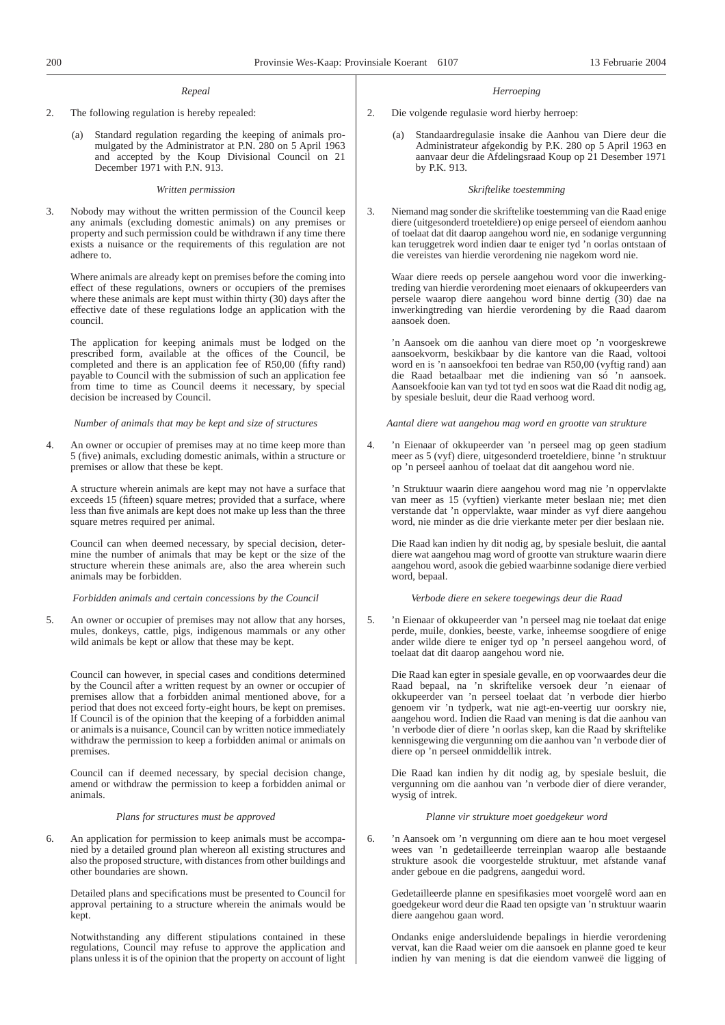#### *Repeal*

2. The following regulation is hereby repealed:

(a) Standard regulation regarding the keeping of animals promulgated by the Administrator at P.N. 280 on 5 April 1963 and accepted by the Koup Divisional Council on 21 December 1971 with P.N. 913.

#### *Written permission*

3. Nobody may without the written permission of the Council keep any animals (excluding domestic animals) on any premises or property and such permission could be withdrawn if any time there exists a nuisance or the requirements of this regulation are not adhere to.

Where animals are already kept on premises before the coming into effect of these regulations, owners or occupiers of the premises where these animals are kept must within thirty (30) days after the effective date of these regulations lodge an application with the council.

The application for keeping animals must be lodged on the prescribed form, available at the offices of the Council, be completed and there is an application fee of R50,00 (fifty rand) payable to Council with the submission of such an application fee from time to time as Council deems it necessary, by special decision be increased by Council.

*Number of animals that may be kept and size of structures*

4. An owner or occupier of premises may at no time keep more than 5 (five) animals, excluding domestic animals, within a structure or premises or allow that these be kept.

A structure wherein animals are kept may not have a surface that exceeds 15 (fifteen) square metres; provided that a surface, where less than five animals are kept does not make up less than the three square metres required per animal.

Council can when deemed necessary, by special decision, determine the number of animals that may be kept or the size of the structure wherein these animals are, also the area wherein such animals may be forbidden.

*Forbidden animals and certain concessions by the Council*

5. An owner or occupier of premises may not allow that any horses, mules, donkeys, cattle, pigs, indigenous mammals or any other wild animals be kept or allow that these may be kept.

Council can however, in special cases and conditions determined by the Council after a written request by an owner or occupier of premises allow that a forbidden animal mentioned above, for a period that does not exceed forty-eight hours, be kept on premises. If Council is of the opinion that the keeping of a forbidden animal or animals is a nuisance, Council can by written notice immediately withdraw the permission to keep a forbidden animal or animals on premises.

Council can if deemed necessary, by special decision change, amend or withdraw the permission to keep a forbidden animal or animals.

#### *Plans for structures must be approved*

6. An application for permission to keep animals must be accompanied by a detailed ground plan whereon all existing structures and also the proposed structure, with distances from other buildings and other boundaries are shown.

Detailed plans and specifications must be presented to Council for approval pertaining to a structure wherein the animals would be kept.

Notwithstanding any different stipulations contained in these regulations, Council may refuse to approve the application and plans unless it is of the opinion that the property on account of light

#### *Herroeping*

- 2. Die volgende regulasie word hierby herroep:
	- Standaardregulasie insake die Aanhou van Diere deur die Administrateur afgekondig by P.K. 280 op 5 April 1963 en aanvaar deur die Afdelingsraad Koup op 21 Desember 1971 by P.K. 913.

#### *Skriftelike toestemming*

3. Niemand mag sonder die skriftelike toestemming van die Raad enige diere (uitgesonderd troeteldiere) op enige perseel of eiendom aanhou of toelaat dat dit daarop aangehou word nie, en sodanige vergunning kan teruggetrek word indien daar te eniger tyd 'n oorlas ontstaan of die vereistes van hierdie verordening nie nagekom word nie.

Waar diere reeds op persele aangehou word voor die inwerkingtreding van hierdie verordening moet eienaars of okkupeerders van persele waarop diere aangehou word binne dertig (30) dae na inwerkingtreding van hierdie verordening by die Raad daarom aansoek doen.

'n Aansoek om die aanhou van diere moet op 'n voorgeskrewe aansoekvorm, beskikbaar by die kantore van die Raad, voltooi word en is 'n aansoekfooi ten bedrae van R50,00 (vyftig rand) aan die Raad betaalbaar met die indiening van só 'n aansoek. Aansoekfooie kan van tyd tot tyd en soos wat die Raad dit nodig ag, by spesiale besluit, deur die Raad verhoog word.

*Aantal diere wat aangehou mag word en grootte van strukture*

4. 'n Eienaar of okkupeerder van 'n perseel mag op geen stadium meer as 5 (vyf) diere, uitgesonderd troeteldiere, binne 'n struktuur op 'n perseel aanhou of toelaat dat dit aangehou word nie.

'n Struktuur waarin diere aangehou word mag nie 'n oppervlakte van meer as 15 (vyftien) vierkante meter beslaan nie; met dien verstande dat 'n oppervlakte, waar minder as vyf diere aangehou word, nie minder as die drie vierkante meter per dier beslaan nie.

Die Raad kan indien hy dit nodig ag, by spesiale besluit, die aantal diere wat aangehou mag word of grootte van strukture waarin diere aangehou word, asook die gebied waarbinne sodanige diere verbied word, bepaal.

#### *Verbode diere en sekere toegewings deur die Raad*

5. 'n Eienaar of okkupeerder van 'n perseel mag nie toelaat dat enige perde, muile, donkies, beeste, varke, inheemse soogdiere of enige ander wilde diere te eniger tyd op 'n perseel aangehou word, of toelaat dat dit daarop aangehou word nie.

Die Raad kan egter in spesiale gevalle, en op voorwaardes deur die Raad bepaal, na 'n skriftelike versoek deur 'n eienaar of okkupeerder van 'n perseel toelaat dat 'n verbode dier hierbo genoem vir 'n tydperk, wat nie agt-en-veertig uur oorskry nie, aangehou word. Indien die Raad van mening is dat die aanhou van 'n verbode dier of diere 'n oorlas skep, kan die Raad by skriftelike kennisgewing die vergunning om die aanhou van 'n verbode dier of diere op 'n perseel onmiddellik intrek.

Die Raad kan indien hy dit nodig ag, by spesiale besluit, die vergunning om die aanhou van 'n verbode dier of diere verander, wysig of intrek.

#### *Planne vir strukture moet goedgekeur word*

6. 'n Aansoek om 'n vergunning om diere aan te hou moet vergesel wees van 'n gedetailleerde terreinplan waarop alle bestaande strukture asook die voorgestelde struktuur, met afstande vanaf ander geboue en die padgrens, aangedui word.

Gedetailleerde planne en spesifikasies moet voorgelê word aan en goedgekeur word deur die Raad ten opsigte van 'n struktuur waarin diere aangehou gaan word.

Ondanks enige andersluidende bepalings in hierdie verordening vervat, kan die Raad weier om die aansoek en planne goed te keur indien hy van mening is dat die eiendom vanweë die ligging of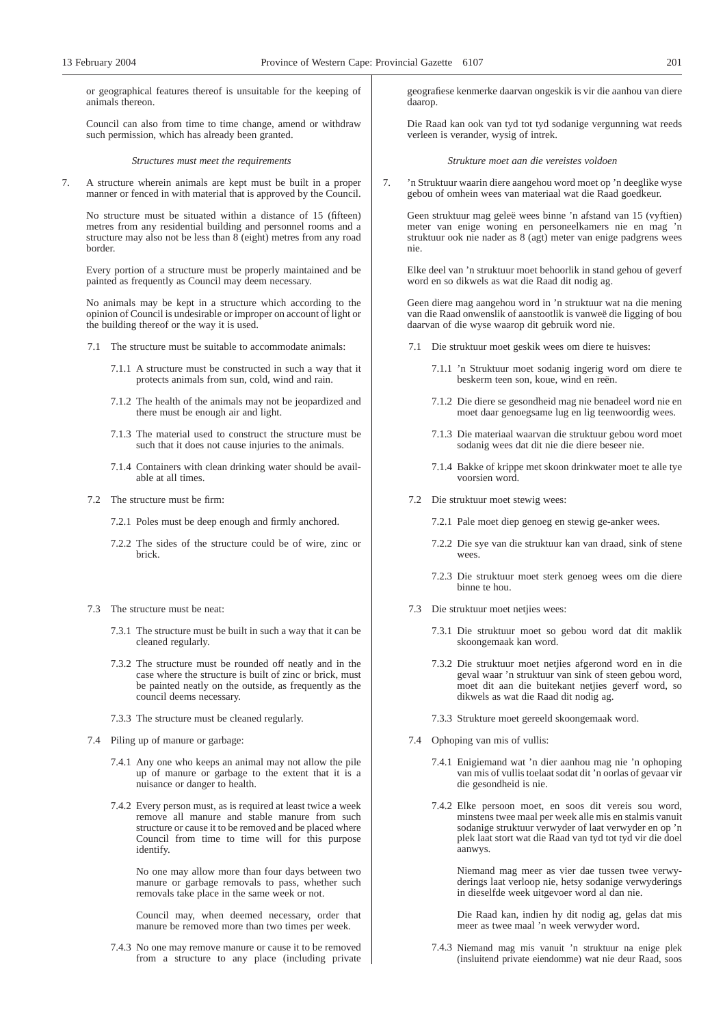or geographical features thereof is unsuitable for the keeping of animals thereon.

Council can also from time to time change, amend or withdraw such permission, which has already been granted.

*Structures must meet the requirements*

7. A structure wherein animals are kept must be built in a proper manner or fenced in with material that is approved by the Council.

No structure must be situated within a distance of 15 (fifteen) metres from any residential building and personnel rooms and a structure may also not be less than 8 (eight) metres from any road border.

Every portion of a structure must be properly maintained and be painted as frequently as Council may deem necessary.

No animals may be kept in a structure which according to the opinion of Council is undesirable or improper on account of light or the building thereof or the way it is used.

- 7.1 The structure must be suitable to accommodate animals:
	- 7.1.1 A structure must be constructed in such a way that it protects animals from sun, cold, wind and rain.
	- 7.1.2 The health of the animals may not be jeopardized and there must be enough air and light.
	- 7.1.3 The material used to construct the structure must be such that it does not cause injuries to the animals.
	- 7.1.4 Containers with clean drinking water should be available at all times.
- 7.2 The structure must be firm:
	- 7.2.1 Poles must be deep enough and firmly anchored.
	- 7.2.2 The sides of the structure could be of wire, zinc or brick.
- 7.3 The structure must be neat:
	- 7.3.1 The structure must be built in such a way that it can be cleaned regularly.
	- 7.3.2 The structure must be rounded off neatly and in the case where the structure is built of zinc or brick, must be painted neatly on the outside, as frequently as the council deems necessary.
	- 7.3.3 The structure must be cleaned regularly.
- 7.4 Piling up of manure or garbage:
	- 7.4.1 Any one who keeps an animal may not allow the pile up of manure or garbage to the extent that it is a nuisance or danger to health.
	- 7.4.2 Every person must, as is required at least twice a week remove all manure and stable manure from such structure or cause it to be removed and be placed where Council from time to time will for this purpose identify.

No one may allow more than four days between two manure or garbage removals to pass, whether such removals take place in the same week or not.

Council may, when deemed necessary, order that manure be removed more than two times per week.

7.4.3 No one may remove manure or cause it to be removed from a structure to any place (including private geografiese kenmerke daarvan ongeskik is vir die aanhou van diere daarop.

Die Raad kan ook van tyd tot tyd sodanige vergunning wat reeds verleen is verander, wysig of intrek.

*Strukture moet aan die vereistes voldoen*

7. 'n Struktuur waarin diere aangehou word moet op 'n deeglike wyse gebou of omhein wees van materiaal wat die Raad goedkeur.

Geen struktuur mag geleë wees binne 'n afstand van 15 (vyftien) meter van enige woning en personeelkamers nie en mag 'n struktuur ook nie nader as 8 (agt) meter van enige padgrens wees nie.

Elke deel van 'n struktuur moet behoorlik in stand gehou of geverf word en so dikwels as wat die Raad dit nodig ag.

Geen diere mag aangehou word in 'n struktuur wat na die mening van die Raad onwenslik of aanstootlik is vanweë die ligging of bou daarvan of die wyse waarop dit gebruik word nie.

- 7.1 Die struktuur moet geskik wees om diere te huisves:
	- 7.1.1 'n Struktuur moet sodanig ingerig word om diere te beskerm teen son, koue, wind en reën.
	- 7.1.2 Die diere se gesondheid mag nie benadeel word nie en moet daar genoegsame lug en lig teenwoordig wees.
	- 7.1.3 Die materiaal waarvan die struktuur gebou word moet sodanig wees dat dit nie die diere beseer nie.
	- 7.1.4 Bakke of krippe met skoon drinkwater moet te alle tye voorsien word.
- 7.2 Die struktuur moet stewig wees:
	- 7.2.1 Pale moet diep genoeg en stewig ge-anker wees.
	- 7.2.2 Die sye van die struktuur kan van draad, sink of stene wees.
	- 7.2.3 Die struktuur moet sterk genoeg wees om die diere binne te hou.
- 7.3 Die struktuur moet netjies wees:
	- 7.3.1 Die struktuur moet so gebou word dat dit maklik skoongemaak kan word.
	- 7.3.2 Die struktuur moet netjies afgerond word en in die geval waar 'n struktuur van sink of steen gebou word, moet dit aan die buitekant netjies geverf word, so dikwels as wat die Raad dit nodig ag.
	- 7.3.3 Strukture moet gereeld skoongemaak word.
- 7.4 Ophoping van mis of vullis:
	- 7.4.1 Enigiemand wat 'n dier aanhou mag nie 'n ophoping van mis of vullis toelaat sodat dit 'n oorlas of gevaar vir die gesondheid is nie.
	- 7.4.2 Elke persoon moet, en soos dit vereis sou word, minstens twee maal per week alle mis en stalmis vanuit sodanige struktuur verwyder of laat verwyder en op 'n plek laat stort wat die Raad van tyd tot tyd vir die doel aanwys.

Niemand mag meer as vier dae tussen twee verwyderings laat verloop nie, hetsy sodanige verwyderings in dieselfde week uitgevoer word al dan nie.

Die Raad kan, indien hy dit nodig ag, gelas dat mis meer as twee maal 'n week verwyder word.

7.4.3 Niemand mag mis vanuit 'n struktuur na enige plek (insluitend private eiendomme) wat nie deur Raad, soos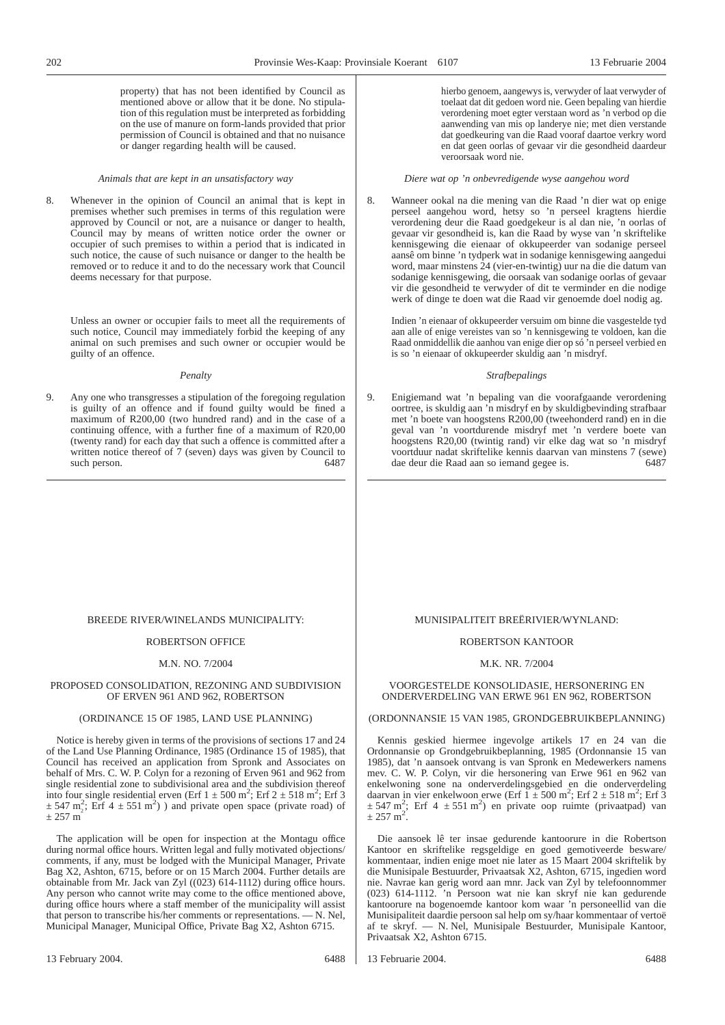property) that has not been identified by Council as mentioned above or allow that it be done. No stipulation of this regulation must be interpreted as forbidding on the use of manure on form-lands provided that prior permission of Council is obtained and that no nuisance or danger regarding health will be caused.

#### *Animals that are kept in an unsatisfactory way*

8. Whenever in the opinion of Council an animal that is kept in premises whether such premises in terms of this regulation were approved by Council or not, are a nuisance or danger to health, Council may by means of written notice order the owner or occupier of such premises to within a period that is indicated in such notice, the cause of such nuisance or danger to the health be removed or to reduce it and to do the necessary work that Council deems necessary for that purpose.

Unless an owner or occupier fails to meet all the requirements of such notice, Council may immediately forbid the keeping of any animal on such premises and such owner or occupier would be guilty of an offence.

#### *Penalty*

9. Any one who transgresses a stipulation of the foregoing regulation is guilty of an offence and if found guilty would be fined a maximum of R200,00 (two hundred rand) and in the case of a continuing offence, with a further fine of a maximum of R20,00 (twenty rand) for each day that such a offence is committed after a written notice thereof of 7 (seven) days was given by Council to such person. 6487

hierbo genoem, aangewys is, verwyder of laat verwyder of toelaat dat dit gedoen word nie. Geen bepaling van hierdie verordening moet egter verstaan word as 'n verbod op die aanwending van mis op landerye nie; met dien verstande dat goedkeuring van die Raad vooraf daartoe verkry word en dat geen oorlas of gevaar vir die gesondheid daardeur veroorsaak word nie.

#### *Diere wat op 'n onbevredigende wyse aangehou word*

8. Wanneer ookal na die mening van die Raad 'n dier wat op enige perseel aangehou word, hetsy so 'n perseel kragtens hierdie verordening deur die Raad goedgekeur is al dan nie, 'n oorlas of gevaar vir gesondheid is, kan die Raad by wyse van 'n skriftelike kennisgewing die eienaar of okkupeerder van sodanige perseel aansê om binne 'n tydperk wat in sodanige kennisgewing aangedui word, maar minstens 24 (vier-en-twintig) uur na die die datum van sodanige kennisgewing, die oorsaak van sodanige oorlas of gevaar vir die gesondheid te verwyder of dit te verminder en die nodige werk of dinge te doen wat die Raad vir genoemde doel nodig ag.

Indien 'n eienaar of okkupeerder versuim om binne die vasgestelde tyd aan alle of enige vereistes van so 'n kennisgewing te voldoen, kan die Raad onmiddellik die aanhou van enige dier op só 'n perseel verbied en is so 'n eienaar of okkupeerder skuldig aan 'n misdryf.

#### *Strafbepalings*

9. Enigiemand wat 'n bepaling van die voorafgaande verordening oortree, is skuldig aan 'n misdryf en by skuldigbevinding strafbaar met 'n boete van hoogstens R200,00 (tweehonderd rand) en in die geval van 'n voortdurende misdryf met 'n verdere boete van hoogstens R20,00 (twintig rand) vir elke dag wat so 'n misdryf voortduur nadat skriftelike kennis daarvan van minstens 7 (sewe) dae deur die Raad aan so iemand gegee is. 6487

#### BREEDE RIVER/WINELANDS MUNICIPALITY:

#### ROBERTSON OFFICE

#### M.N. NO. 7/2004

#### PROPOSED CONSOLIDATION, REZONING AND SUBDIVISION OF ERVEN 961 AND 962, ROBERTSON

#### (ORDINANCE 15 OF 1985, LAND USE PLANNING)

Notice is hereby given in terms of the provisions of sections 17 and 24 of the Land Use Planning Ordinance, 1985 (Ordinance 15 of 1985), that Council has received an application from Spronk and Associates on behalf of Mrs. C. W. P. Colyn for a rezoning of Erven 961 and 962 from single residential zone to subdivisional area and the subdivision thereof into four single residential erven (Erf  $1 \pm 500$  m<sup>2</sup>; Erf  $2 \pm 518$  m<sup>2</sup>; Erf 3  $\pm$  547 m<sup>2</sup>; Erf 4  $\pm$  551 m<sup>2</sup>) and private open space (private road) of  $± 257 m$ 

The application will be open for inspection at the Montagu office during normal office hours. Written legal and fully motivated objections/ comments, if any, must be lodged with the Municipal Manager, Private Bag X2, Ashton, 6715, before or on 15 March 2004. Further details are obtainable from Mr. Jack van Zyl ((023) 614-1112) during office hours. Any person who cannot write may come to the office mentioned above, during office hours where a staff member of the municipality will assist that person to transcribe his/her comments or representations. — N. Nel, Municipal Manager, Municipal Office, Private Bag X2, Ashton 6715.

#### MUNISIPALITEIT BREËRIVIER/WYNLAND:

#### ROBERTSON KANTOOR

#### M.K. NR. 7/2004

#### VOORGESTELDE KONSOLIDASIE, HERSONERING EN ONDERVERDELING VAN ERWE 961 EN 962, ROBERTSON

#### (ORDONNANSIE 15 VAN 1985, GRONDGEBRUIKBEPLANNING)

Kennis geskied hiermee ingevolge artikels 17 en 24 van die Ordonnansie op Grondgebruikbeplanning, 1985 (Ordonnansie 15 van 1985), dat 'n aansoek ontvang is van Spronk en Medewerkers namens mev. C. W. P. Colyn, vir die hersonering van Erwe 961 en 962 van enkelwoning sone na onderverdelingsgebied en die onderverdeling daarvan in vier enkelwoon erwe (Erf  $1 \pm 500$  m<sup>2</sup>; Erf 2  $\pm 518$  m<sup>2</sup>; Erf 3  $\pm$  547 m<sup>2</sup>; Erf 4  $\pm$  551 m<sup>2</sup>) en private oop ruimte (privaatpad) van  $\pm$  257 m<sup>2</sup>.

Die aansoek lê ter insae gedurende kantoorure in die Robertson Kantoor en skriftelike regsgeldige en goed gemotiveerde besware/ kommentaar, indien enige moet nie later as 15 Maart 2004 skriftelik by die Munisipale Bestuurder, Privaatsak X2, Ashton, 6715, ingedien word nie. Navrae kan gerig word aan mnr. Jack van Zyl by telefoonnommer (023) 614-1112. 'n Persoon wat nie kan skryf nie kan gedurende kantoorure na bogenoemde kantoor kom waar 'n personeellid van die Munisipaliteit daardie persoon sal help om sy/haar kommentaar of vertoë af te skryf. — N. Nel, Munisipale Bestuurder, Munisipale Kantoor, Privaatsak X2, Ashton 6715.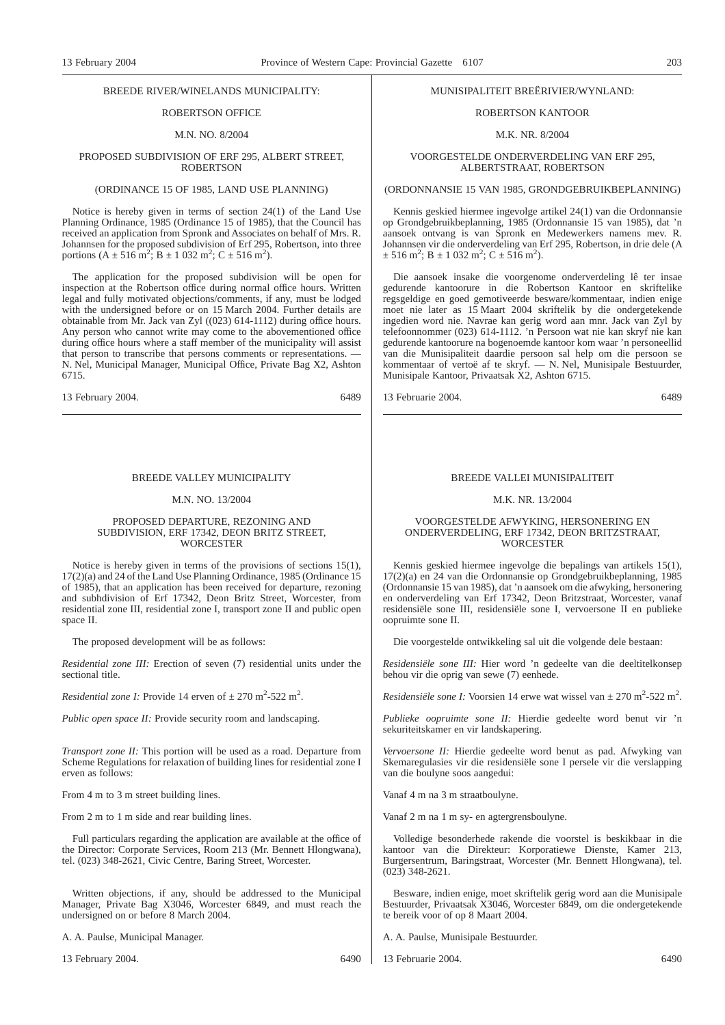#### BREEDE RIVER/WINELANDS MUNICIPALITY:

### ROBERTSON OFFICE

#### M.N. NO. 8/2004

#### PROPOSED SUBDIVISION OF ERF 295, ALBERT STREET, **ROBERTSON**

#### (ORDINANCE 15 OF 1985, LAND USE PLANNING)

Notice is hereby given in terms of section 24(1) of the Land Use Planning Ordinance, 1985 (Ordinance 15 of 1985), that the Council has received an application from Spronk and Associates on behalf of Mrs. R. Johannsen for the proposed subdivision of Erf 295, Robertson, into three portions  $(A \pm 516 \text{ m}^2\text{; }B \pm 1.032 \text{ m}^2\text{; }C \pm 516 \text{ m}^2\text{)}.$ 

The application for the proposed subdivision will be open for inspection at the Robertson office during normal office hours. Written legal and fully motivated objections/comments, if any, must be lodged with the undersigned before or on 15 March 2004. Further details are obtainable from Mr. Jack van Zyl ((023) 614-1112) during office hours. Any person who cannot write may come to the abovementioned office during office hours where a staff member of the municipality will assist that person to transcribe that persons comments or representations. N. Nel, Municipal Manager, Municipal Office, Private Bag X2, Ashton 6715.

13 February 2004. 6489

#### BREEDE VALLEY MUNICIPALITY

#### M.N. NO. 13/2004

#### PROPOSED DEPARTURE, REZONING AND SUBDIVISION, ERF 17342, DEON BRITZ STREET, **WORCESTER**

Notice is hereby given in terms of the provisions of sections 15(1), 17(2)(a) and 24 of the Land Use Planning Ordinance, 1985 (Ordinance 15 of 1985), that an application has been received for departure, rezoning and subhdivision of Erf 17342, Deon Britz Street, Worcester, from residential zone III, residential zone I, transport zone II and public open space II.

The proposed development will be as follows:

*Residential zone III:* Erection of seven (7) residential units under the sectional title.

*Residential zone I:* Provide 14 erven of  $\pm$  270 m<sup>2</sup>-522 m<sup>2</sup>.

*Public open space II:* Provide security room and landscaping.

*Transport zone II:* This portion will be used as a road. Departure from Scheme Regulations for relaxation of building lines for residential zone I erven as follows:

From 4 m to 3 m street building lines.

From 2 m to 1 m side and rear building lines.

Full particulars regarding the application are available at the office of the Director: Corporate Services, Room 213 (Mr. Bennett Hlongwana), tel. (023) 348-2621, Civic Centre, Baring Street, Worcester.

Written objections, if any, should be addressed to the Municipal Manager, Private Bag X3046, Worcester 6849, and must reach the undersigned on or before 8 March 2004.

A. A. Paulse, Municipal Manager.

13 February 2004. 6490

#### MUNISIPALITEIT BREËRIVIER/WYNLAND:

#### ROBERTSON KANTOOR

#### M.K. NR. 8/2004

#### VOORGESTELDE ONDERVERDELING VAN ERF 295, ALBERTSTRAAT, ROBERTSON

(ORDONNANSIE 15 VAN 1985, GRONDGEBRUIKBEPLANNING)

Kennis geskied hiermee ingevolge artikel 24(1) van die Ordonnansie op Grondgebruikbeplanning, 1985 (Ordonnansie 15 van 1985), dat 'n aansoek ontvang is van Spronk en Medewerkers namens mev. R. Johannsen vir die onderverdeling van Erf 295, Robertson, in drie dele (A  $\pm$  516 m<sup>2</sup>; B  $\pm$  1 032 m<sup>2</sup>; C  $\pm$  516 m<sup>2</sup>).

Die aansoek insake die voorgenome onderverdeling lê ter insae gedurende kantoorure in die Robertson Kantoor en skriftelike regsgeldige en goed gemotiveerde besware/kommentaar, indien enige moet nie later as 15 Maart 2004 skriftelik by die ondergetekende ingedien word nie. Navrae kan gerig word aan mnr. Jack van Zyl by telefoonnommer (023) 614-1112. 'n Persoon wat nie kan skryf nie kan gedurende kantoorure na bogenoemde kantoor kom waar 'n personeellid van die Munisipaliteit daardie persoon sal help om die persoon se kommentaar of vertoë af te skryf. — N. Nel, Munisipale Bestuurder, Munisipale Kantoor, Privaatsak X2, Ashton 6715.

13 Februarie 2004. 6489

#### BREEDE VALLEI MUNISIPALITEIT

#### M.K. NR. 13/2004

#### VOORGESTELDE AFWYKING, HERSONERING EN ONDERVERDELING, ERF 17342, DEON BRITZSTRAAT, WORCESTER

Kennis geskied hiermee ingevolge die bepalings van artikels 15(1), 17(2)(a) en 24 van die Ordonnansie op Grondgebruikbeplanning, 1985 (Ordonnansie 15 van 1985), dat 'n aansoek om die afwyking, hersonering en onderverdeling van Erf 17342, Deon Britzstraat, Worcester, vanaf residensiële sone III, residensiële sone I, vervoersone II en publieke oopruimte sone II.

Die voorgestelde ontwikkeling sal uit die volgende dele bestaan:

*Residensiële sone III:* Hier word 'n gedeelte van die deeltitelkonsep behou vir die oprig van sewe (7) eenhede.

*Residensiële sone I:* Voorsien 14 erwe wat wissel van  $\pm$  270 m<sup>2</sup>-522 m<sup>2</sup>.

*Publieke oopruimte sone II:* Hierdie gedeelte word benut vir 'n sekuriteitskamer en vir landskapering.

*Vervoersone II:* Hierdie gedeelte word benut as pad. Afwyking van Skemaregulasies vir die residensiële sone I persele vir die verslapping van die boulyne soos aangedui:

Vanaf 4 m na 3 m straatboulyne.

Vanaf 2 m na 1 m sy- en agtergrensboulyne.

Volledige besonderhede rakende die voorstel is beskikbaar in die kantoor van die Direkteur: Korporatiewe Dienste, Kamer 213, Burgersentrum, Baringstraat, Worcester (Mr. Bennett Hlongwana), tel. (023) 348-2621.

Besware, indien enige, moet skriftelik gerig word aan die Munisipale Bestuurder, Privaatsak X3046, Worcester 6849, om die ondergetekende te bereik voor of op 8 Maart 2004.

- A. A. Paulse, Munisipale Bestuurder.
- 13 Februarie 2004. 6490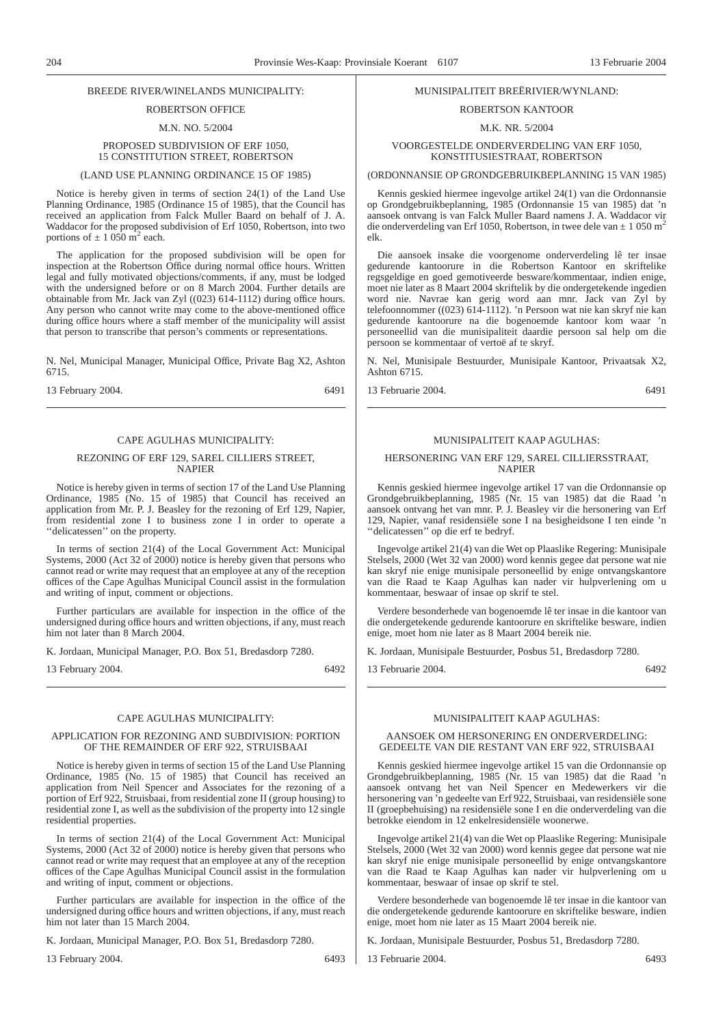#### BREEDE RIVER/WINELANDS MUNICIPALITY:

#### ROBERTSON OFFICE

M.N. NO. 5/2004

#### PROPOSED SUBDIVISION OF ERF 1050, 15 CONSTITUTION STREET, ROBERTSON

#### (LAND USE PLANNING ORDINANCE 15 OF 1985)

Notice is hereby given in terms of section 24(1) of the Land Use Planning Ordinance, 1985 (Ordinance 15 of 1985), that the Council has received an application from Falck Muller Baard on behalf of J. A. Waddacor for the proposed subdivision of Erf 1050, Robertson, into two portions of  $\pm$  1 050 m<sup>2</sup> each.

The application for the proposed subdivision will be open for inspection at the Robertson Office during normal office hours. Written legal and fully motivated objections/comments, if any, must be lodged with the undersigned before or on 8 March 2004. Further details are obtainable from Mr. Jack van Zyl ((023) 614-1112) during office hours. Any person who cannot write may come to the above-mentioned office during office hours where a staff member of the municipality will assist that person to transcribe that person's comments or representations.

N. Nel, Municipal Manager, Municipal Office, Private Bag X2, Ashton 6715.

13 February 2004. 6491

#### CAPE AGULHAS MUNICIPALITY:

#### REZONING OF ERF 129, SAREL CILLIERS STREET, NAPIER

Notice is hereby given in terms of section 17 of the Land Use Planning Ordinance, 1985 (No. 15 of 1985) that Council has received an application from Mr. P. J. Beasley for the rezoning of Erf 129, Napier, from residential zone I to business zone I in order to operate a ''delicatessen'' on the property.

In terms of section 21(4) of the Local Government Act: Municipal Systems, 2000 (Act 32 of 2000) notice is hereby given that persons who cannot read or write may request that an employee at any of the reception offices of the Cape Agulhas Municipal Council assist in the formulation and writing of input, comment or objections.

Further particulars are available for inspection in the office of the undersigned during office hours and written objections, if any, must reach him not later than 8 March 2004.

K. Jordaan, Municipal Manager, P.O. Box 51, Bredasdorp 7280.

13 February 2004. 6492

#### CAPE AGULHAS MUNICIPALITY:

#### APPLICATION FOR REZONING AND SUBDIVISION: PORTION OF THE REMAINDER OF ERF 922, STRUISBAAI

Notice is hereby given in terms of section 15 of the Land Use Planning Ordinance, 1985 (No. 15 of 1985) that Council has received an application from Neil Spencer and Associates for the rezoning of a portion of Erf 922, Struisbaai, from residential zone II (group housing) to residential zone I, as well as the subdivision of the property into 12 single residential properties.

In terms of section 21(4) of the Local Government Act: Municipal Systems, 2000 (Act 32 of 2000) notice is hereby given that persons who cannot read or write may request that an employee at any of the reception offices of the Cape Agulhas Municipal Council assist in the formulation and writing of input, comment or objections.

Further particulars are available for inspection in the office of the undersigned during office hours and written objections, if any, must reach him not later than 15 March 2004.

K. Jordaan, Municipal Manager, P.O. Box 51, Bredasdorp 7280.

13 February 2004. 6493

# MUNISIPALITEIT BREËRIVIER/WYNLAND:

## ROBERTSON KANTOOR

## M.K. NR. 5/2004

#### VOORGESTELDE ONDERVERDELING VAN ERF 1050, KONSTITUSIESTRAAT, ROBERTSON

(ORDONNANSIE OP GRONDGEBRUIKBEPLANNING 15 VAN 1985)

Kennis geskied hiermee ingevolge artikel 24(1) van die Ordonnansie op Grondgebruikbeplanning, 1985 (Ordonnansie 15 van 1985) dat 'n aansoek ontvang is van Falck Muller Baard namens J. A. Waddacor vir die onderverdeling van Erf 1050, Robertson, in twee dele van  $\pm$  1 050 m<sup>2</sup> elk.

Die aansoek insake die voorgenome onderverdeling lê ter insae gedurende kantoorure in die Robertson Kantoor en skriftelike regsgeldige en goed gemotiveerde besware/kommentaar, indien enige, moet nie later as 8 Maart 2004 skriftelik by die ondergetekende ingedien word nie. Navrae kan gerig word aan mnr. Jack van Zyl by telefoonnommer ((023) 614-1112). 'n Persoon wat nie kan skryf nie kan gedurende kantoorure na die bogenoemde kantoor kom waar 'n personeellid van die munisipaliteit daardie persoon sal help om die persoon se kommentaar of vertoë af te skryf.

N. Nel, Munisipale Bestuurder, Munisipale Kantoor, Privaatsak X2, Ashton 6715.

13 Februarie 2004. 6491

#### MUNISIPALITEIT KAAP AGULHAS:

#### HERSONERING VAN ERF 129, SAREL CILLIERSSTRAAT, NAPIER

Kennis geskied hiermee ingevolge artikel 17 van die Ordonnansie op Grondgebruikbeplanning, 1985 (Nr. 15 van 1985) dat die Raad 'n aansoek ontvang het van mnr. P. J. Beasley vir die hersonering van Erf 129, Napier, vanaf residensiële sone I na besigheidsone I ten einde 'n ''delicatessen'' op die erf te bedryf.

Ingevolge artikel 21(4) van die Wet op Plaaslike Regering: Munisipale Stelsels, 2000 (Wet 32 van 2000) word kennis gegee dat persone wat nie kan skryf nie enige munisipale personeellid by enige ontvangskantore van die Raad te Kaap Agulhas kan nader vir hulpverlening om u kommentaar, beswaar of insae op skrif te stel.

Verdere besonderhede van bogenoemde lê ter insae in die kantoor van die ondergetekende gedurende kantoorure en skriftelike besware, indien enige, moet hom nie later as 8 Maart 2004 bereik nie.

K. Jordaan, Munisipale Bestuurder, Posbus 51, Bredasdorp 7280.

13 Februarie 2004. 6492

#### MUNISIPALITEIT KAAP AGULHAS:

#### AANSOEK OM HERSONERING EN ONDERVERDELING: GEDEELTE VAN DIE RESTANT VAN ERF 922, STRUISBAAI

Kennis geskied hiermee ingevolge artikel 15 van die Ordonnansie op Grondgebruikbeplanning, 1985 (Nr. 15 van 1985) dat die Raad 'n aansoek ontvang het van Neil Spencer en Medewerkers vir die hersonering van 'n gedeelte van Erf 922, Struisbaai, van residensiële sone II (groepbehuising) na residensiële sone I en die onderverdeling van die betrokke eiendom in 12 enkelresidensiële woonerwe.

Ingevolge artikel 21(4) van die Wet op Plaaslike Regering: Munisipale Stelsels, 2000 (Wet 32 van 2000) word kennis gegee dat persone wat nie kan skryf nie enige munisipale personeellid by enige ontvangskantore van die Raad te Kaap Agulhas kan nader vir hulpverlening om u kommentaar, beswaar of insae op skrif te stel.

Verdere besonderhede van bogenoemde lê ter insae in die kantoor van die ondergetekende gedurende kantoorure en skriftelike besware, indien enige, moet hom nie later as 15 Maart 2004 bereik nie.

K. Jordaan, Munisipale Bestuurder, Posbus 51, Bredasdorp 7280.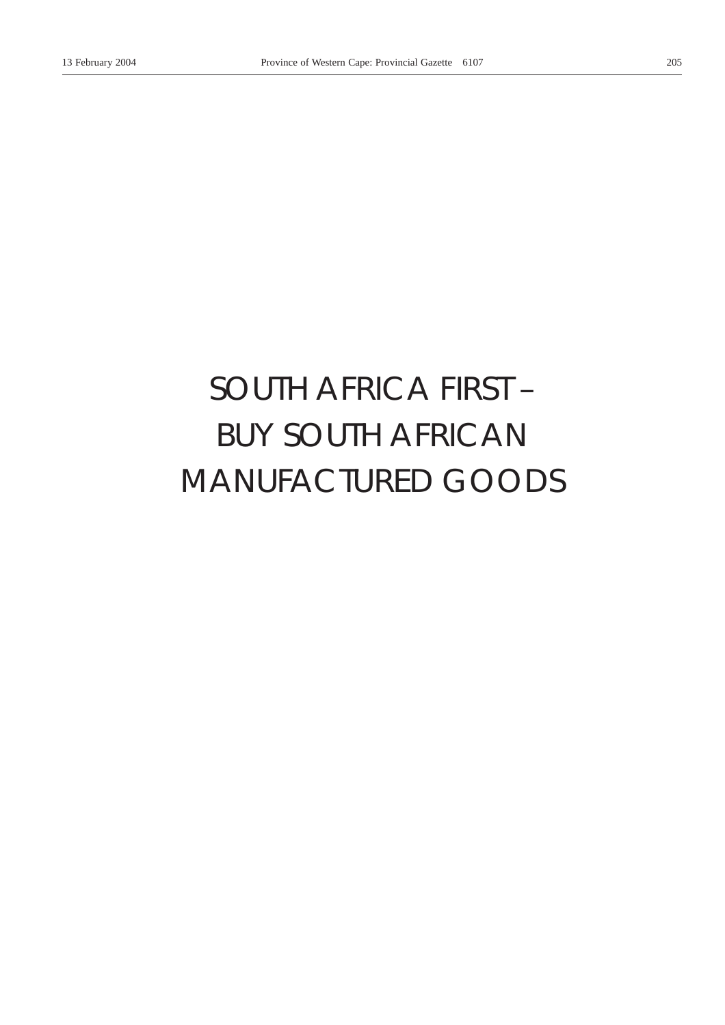# *SOUTH AFRICA FIRST –* BUY SOUTH AFRICAN MANUFACTURED GOODS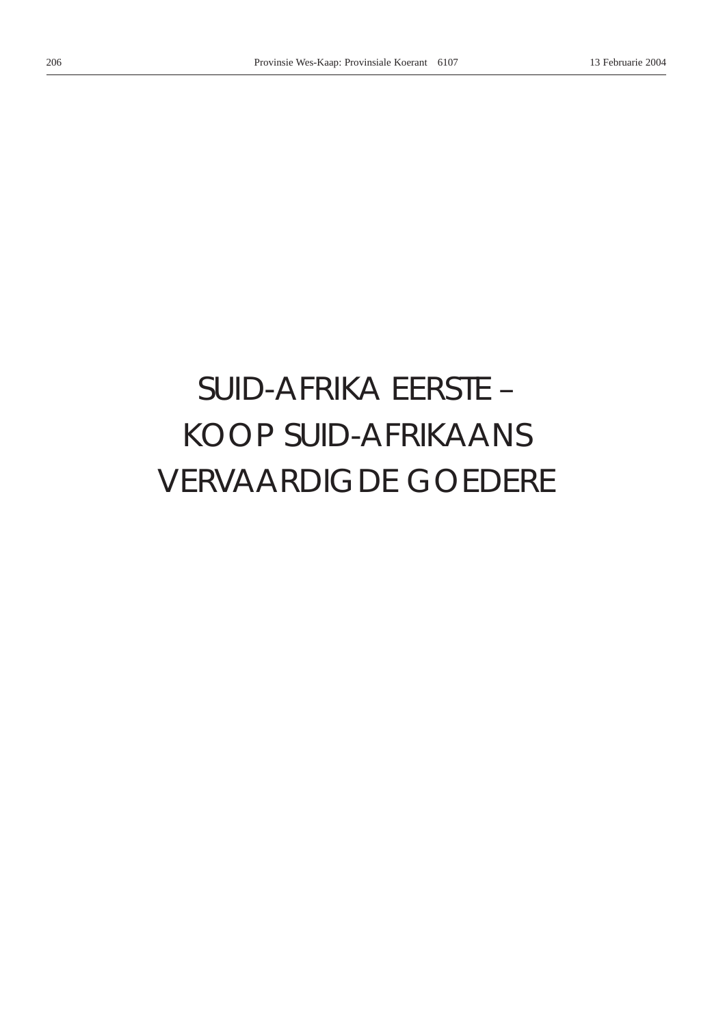# *SUID-AFRIKA EERSTE –* KOOP SUID-AFRIKAANS VERVAARDIGDE GOEDERE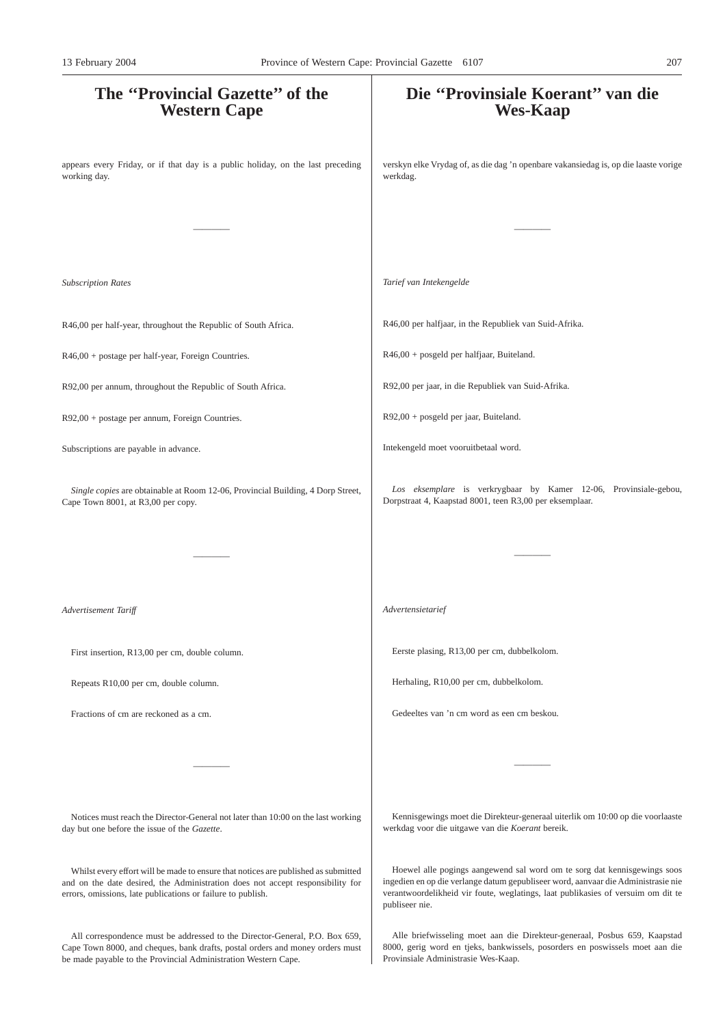# **The ''Provincial Gazette'' of the Western Cape** appears every Friday, or if that day is a public holiday, on the last preceding working day. ———— *Subscription Rates* R46,00 per half-year, throughout the Republic of South Africa. R46,00 + postage per half-year, Foreign Countries. R92,00 per annum, throughout the Republic of South Africa. R92,00 + postage per annum, Foreign Countries. Subscriptions are payable in advance. *Single copies* are obtainable at Room 12-06, Provincial Building, 4 Dorp Street, Cape Town 8001, at R3,00 per copy. ———— *Advertisement Tariff* First insertion, R13,00 per cm, double column. Repeats R10,00 per cm, double column. Fractions of cm are reckoned as a cm. ———— Notices must reach the Director-General not later than 10:00 on the last working day but one before the issue of the *Gazette*. Whilst every effort will be made to ensure that notices are published as submitted **Die ''Provinsiale Koerant'' van die Wes-Kaap** verskyn elke Vrydag of, as die dag 'n openbare vakansiedag is, op die laaste vorige werkdag. ———— *Tarief van Intekengelde* R46,00 per halfjaar, in the Republiek van Suid-Afrika. R46,00 + posgeld per halfjaar, Buiteland. R92,00 per jaar, in die Republiek van Suid-Afrika. R92,00 + posgeld per jaar, Buiteland. Intekengeld moet vooruitbetaal word. *Los eksemplare* is verkrygbaar by Kamer 12-06, Provinsiale-gebou, Dorpstraat 4, Kaapstad 8001, teen R3,00 per eksemplaar. ———— *Advertensietarief* Eerste plasing, R13,00 per cm, dubbelkolom. Herhaling, R10,00 per cm, dubbelkolom. Gedeeltes van 'n cm word as een cm beskou. ———— Kennisgewings moet die Direkteur-generaal uiterlik om 10:00 op die voorlaaste werkdag voor die uitgawe van die *Koerant* bereik. Hoewel alle pogings aangewend sal word om te sorg dat kennisgewings soos 13 February 2004 Province of Western Cape: Provincial Gazette 6107 207

publiseer nie.

and on the date desired, the Administration does not accept responsibility for errors, omissions, late publications or failure to publish.

All correspondence must be addressed to the Director-General, P.O. Box 659, Cape Town 8000, and cheques, bank drafts, postal orders and money orders must be made payable to the Provincial Administration Western Cape.

Alle briefwisseling moet aan die Direkteur-generaal, Posbus 659, Kaapstad 8000, gerig word en tjeks, bankwissels, posorders en poswissels moet aan die Provinsiale Administrasie Wes-Kaap.

ingedien en op die verlange datum gepubliseer word, aanvaar die Administrasie nie verantwoordelikheid vir foute, weglatings, laat publikasies of versuim om dit te